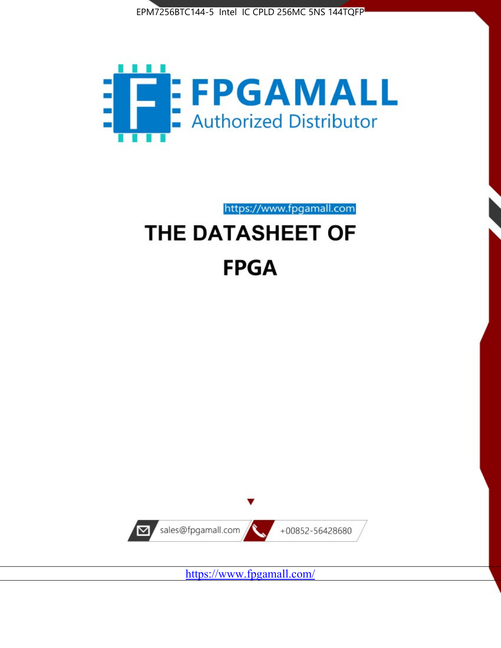



# https://www.fpgamall.com THE DATASHEET OF **FPGA**



<https://www.fpgamall.com/>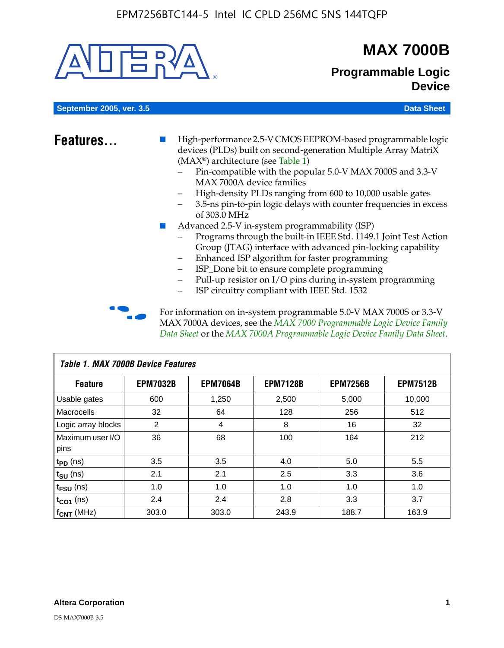

# **MAX 7000B**

# **Programmable Logic Device**

**September 2005, ver. 3.5 Data Sheet** Construction of the Construction of the Construction of the Data Sheet

- **Features...** High-performance 2.5-V CMOS EEPROM-based programmable logic devices (PLDs) built on second-generation Multiple Array MatriX (MAX®) architecture (see Table 1)
	- Pin-compatible with the popular 5.0-V MAX 7000S and 3.3-V MAX 7000A device families
	- High-density PLDs ranging from 600 to 10,000 usable gates
	- 3.5-ns pin-to-pin logic delays with counter frequencies in excess of 303.0 MHz
	- Advanced 2.5-V in-system programmability (ISP)
	- Programs through the built-in IEEE Std. 1149.1 Joint Test Action Group (JTAG) interface with advanced pin-locking capability
	- Enhanced ISP algorithm for faster programming
	- ISP\_Done bit to ensure complete programming
	- Pull-up resistor on I/O pins during in-system programming
	- ISP circuitry compliant with IEEE Std. 1532

For information on in-system programmable 5.0-V MAX 7000S or 3.3-V MAX 7000A devices, see the *MAX 7000 Programmable Logic Device Family Data Sheet* or the *MAX 7000A Programmable Logic Device Family Data Sheet*.

| <b>Table 1. MAX 7000B Device Features</b> |                 |                 |                 |                 |                 |  |  |  |  |
|-------------------------------------------|-----------------|-----------------|-----------------|-----------------|-----------------|--|--|--|--|
| <b>Feature</b>                            | <b>EPM7032B</b> | <b>EPM7064B</b> | <b>EPM7128B</b> | <b>EPM7256B</b> | <b>EPM7512B</b> |  |  |  |  |
| Usable gates                              | 600             | 1,250           | 2,500           | 5,000           | 10,000          |  |  |  |  |
| <b>Macrocells</b>                         | 32              | 64              | 128             | 256             | 512             |  |  |  |  |
| Logic array blocks                        | 2               | 4               | 8               | 16              | 32              |  |  |  |  |
| Maximum user I/O                          | 36              | 68              | 100             | 164             | 212             |  |  |  |  |
| pins                                      |                 |                 |                 |                 |                 |  |  |  |  |
| $t_{PD}$ (ns)                             | 3.5             | 3.5             | 4.0             | 5.0             | 5.5             |  |  |  |  |
| $t_{\text{SU}}$ (ns)                      | 2.1             | 2.1             | 2.5             | 3.3             | 3.6             |  |  |  |  |
| $t_{\text{FSU}}$ (ns)                     | 1.0             | 1.0             | 1.0             | 1.0             | 1.0             |  |  |  |  |
| $t_{CO1}$ (ns)                            | 2.4             | 2.4             | 2.8             | 3.3             | 3.7             |  |  |  |  |
| f <sub>CNT</sub> (MHz)                    | 303.0           | 303.0           | 243.9           | 188.7           | 163.9           |  |  |  |  |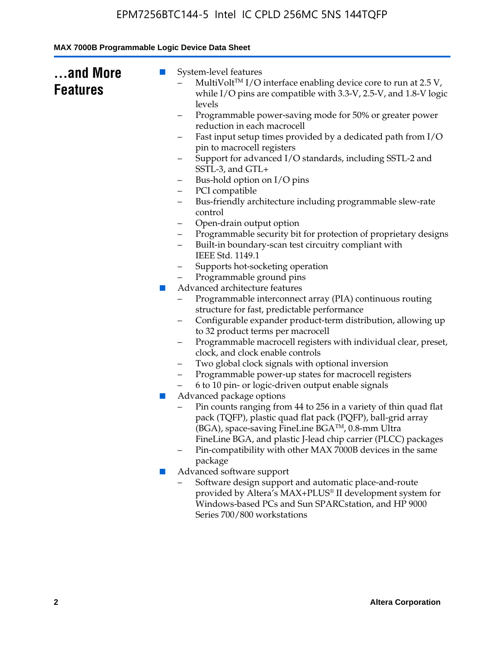| and More<br><b>Features</b> | System-level features<br>$\blacksquare$<br>MultiVolt <sup>™</sup> I/O interface enabling device core to run at $2.5 V$ ,<br>while I/O pins are compatible with 3.3-V, 2.5-V, and 1.8-V logic<br>levels |
|-----------------------------|--------------------------------------------------------------------------------------------------------------------------------------------------------------------------------------------------------|
|                             | Programmable power-saving mode for 50% or greater power<br>-                                                                                                                                           |
|                             | reduction in each macrocell<br>Fast input setup times provided by a dedicated path from I/O<br>-                                                                                                       |
|                             | pin to macrocell registers                                                                                                                                                                             |
|                             | Support for advanced I/O standards, including SSTL-2 and<br>SSTL-3, and GTL+                                                                                                                           |
|                             | Bus-hold option on I/O pins<br>-                                                                                                                                                                       |
|                             | PCI compatible<br>-                                                                                                                                                                                    |
|                             | Bus-friendly architecture including programmable slew-rate<br>-<br>control                                                                                                                             |
|                             | Open-drain output option<br>-                                                                                                                                                                          |
|                             | Programmable security bit for protection of proprietary designs<br>$\overline{\phantom{0}}$                                                                                                            |
|                             | Built-in boundary-scan test circuitry compliant with<br>IEEE Std. 1149.1                                                                                                                               |
|                             | Supports hot-socketing operation<br>—                                                                                                                                                                  |
|                             | Programmable ground pins                                                                                                                                                                               |
|                             | Advanced architecture features<br>п                                                                                                                                                                    |
|                             | Programmable interconnect array (PIA) continuous routing                                                                                                                                               |
|                             | structure for fast, predictable performance                                                                                                                                                            |
|                             | Configurable expander product-term distribution, allowing up<br>-                                                                                                                                      |
|                             | to 32 product terms per macrocell                                                                                                                                                                      |
|                             | Programmable macrocell registers with individual clear, preset,<br>-<br>clock, and clock enable controls                                                                                               |
|                             | Two global clock signals with optional inversion<br>-                                                                                                                                                  |
|                             | Programmable power-up states for macrocell registers                                                                                                                                                   |
|                             | 6 to 10 pin- or logic-driven output enable signals                                                                                                                                                     |
|                             | Advanced package options<br>$\blacksquare$                                                                                                                                                             |
|                             | Pin counts ranging from 44 to 256 in a variety of thin quad flat<br>pack (TQFP), plastic quad flat pack (PQFP), ball-grid array                                                                        |
|                             | (BGA), space-saving FineLine BGA <sup>TM</sup> , 0.8-mm Ultra                                                                                                                                          |
|                             | FineLine BGA, and plastic J-lead chip carrier (PLCC) packages<br>Pin-compatibility with other MAX 7000B devices in the same                                                                            |
|                             | package                                                                                                                                                                                                |
|                             | Advanced software support<br>ш                                                                                                                                                                         |
|                             | Software design support and automatic place-and-route<br>provided by Altera's MAX+PLUS® II development system for                                                                                      |
|                             | Windows-based PCs and Sun SPARCstation, and HP 9000<br>Series 700/800 workstations                                                                                                                     |
|                             |                                                                                                                                                                                                        |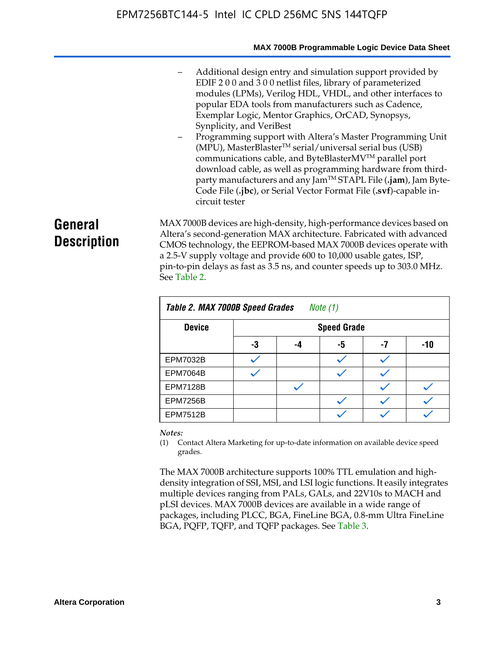#### **MAX 7000B Programmable Logic Device Data Sheet**

- Additional design entry and simulation support provided by EDIF 2 0 0 and 3 0 0 netlist files, library of parameterized modules (LPMs), Verilog HDL, VHDL, and other interfaces to popular EDA tools from manufacturers such as Cadence, Exemplar Logic, Mentor Graphics, OrCAD, Synopsys, Synplicity, and VeriBest
- Programming support with Altera's Master Programming Unit  $(MPU)$ , MasterBlaster<sup>TM</sup> serial/universal serial bus (USB) communications cable, and ByteBlasterMVTM parallel port download cable, as well as programming hardware from thirdparty manufacturers and any JamTM STAPL File (**.jam**), Jam Byte-Code File (**.jbc**), or Serial Vector Format File (**.svf**)-capable incircuit tester

# **General Description**

MAX 7000B devices are high-density, high-performance devices based on Altera's second-generation MAX architecture. Fabricated with advanced CMOS technology, the EEPROM-based MAX 7000B devices operate with a 2.5-V supply voltage and provide 600 to 10,000 usable gates, ISP, pin-to-pin delays as fast as 3.5 ns, and counter speeds up to 303.0 MHz. See Table 2.

| Table 2. MAX 7000B Speed Grades<br>Note $(1)$ |                    |    |    |    |     |  |  |  |
|-----------------------------------------------|--------------------|----|----|----|-----|--|--|--|
| <b>Device</b>                                 | <b>Speed Grade</b> |    |    |    |     |  |  |  |
|                                               | -3                 | -4 | -5 | -7 | -10 |  |  |  |
| <b>EPM7032B</b>                               |                    |    |    |    |     |  |  |  |
| <b>EPM7064B</b>                               |                    |    |    |    |     |  |  |  |
| <b>EPM7128B</b>                               |                    |    |    |    |     |  |  |  |
| <b>EPM7256B</b>                               |                    |    |    |    |     |  |  |  |
| <b>EPM7512B</b>                               |                    |    |    |    |     |  |  |  |

#### *Notes:*

(1) Contact Altera Marketing for up-to-date information on available device speed grades.

The MAX 7000B architecture supports 100% TTL emulation and highdensity integration of SSI, MSI, and LSI logic functions. It easily integrates multiple devices ranging from PALs, GALs, and 22V10s to MACH and pLSI devices. MAX 7000B devices are available in a wide range of packages, including PLCC, BGA, FineLine BGA, 0.8-mm Ultra FineLine BGA, PQFP, TQFP, and TQFP packages. See Table 3.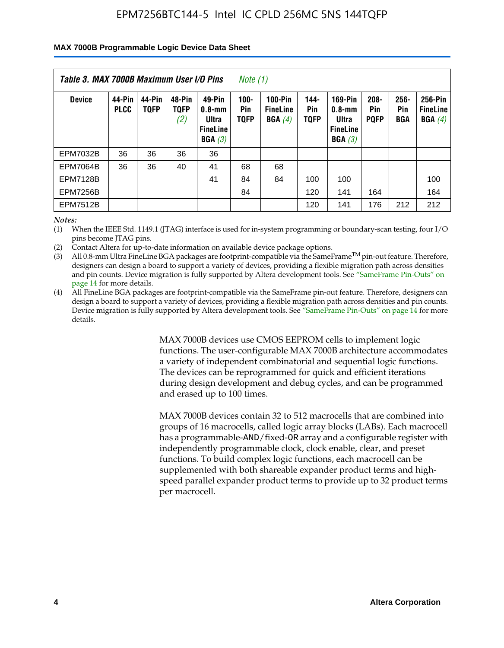#### **MAX 7000B Programmable Logic Device Data Sheet**

| Table 3. MAX 7000B Maximum User I/O Pins<br>Note (1) |                       |                       |                              |                                                            |                                      |                                             |                            |                                                                    |                               |                              |                                      |
|------------------------------------------------------|-----------------------|-----------------------|------------------------------|------------------------------------------------------------|--------------------------------------|---------------------------------------------|----------------------------|--------------------------------------------------------------------|-------------------------------|------------------------------|--------------------------------------|
| <b>Device</b>                                        | 44-Pin<br><b>PLCC</b> | 44-Pin<br><b>TOFP</b> | 48-Pin<br><b>TQFP</b><br>(2) | 49-Pin<br>$0.8 - mm$<br>Ultra<br><b>FineLine</b><br>BGA(3) | $100 -$<br><b>Pin</b><br><b>TQFP</b> | <b>100-Pin</b><br><b>FineLine</b><br>BGA(4) | 144-<br>Pin<br><b>TOFP</b> | <b>169-Pin</b><br>$0.8 - mm$<br>Ultra<br><b>FineLine</b><br>BGA(3) | $208 -$<br>Pin<br><b>PQFP</b> | $256 -$<br>Pin<br><b>BGA</b> | 256-Pin<br><b>FineLine</b><br>BGA(4) |
| <b>EPM7032B</b>                                      | 36                    | 36                    | 36                           | 36                                                         |                                      |                                             |                            |                                                                    |                               |                              |                                      |
| <b>EPM7064B</b>                                      | 36                    | 36                    | 40                           | 41                                                         | 68                                   | 68                                          |                            |                                                                    |                               |                              |                                      |
| <b>EPM7128B</b>                                      |                       |                       |                              | 41                                                         | 84                                   | 84                                          | 100                        | 100                                                                |                               |                              | 100                                  |
| <b>EPM7256B</b>                                      |                       |                       |                              |                                                            | 84                                   |                                             | 120                        | 141                                                                | 164                           |                              | 164                                  |
| <b>EPM7512B</b>                                      |                       |                       |                              |                                                            |                                      |                                             | 120                        | 141                                                                | 176                           | 212                          | 212                                  |

*Notes:*

(1) When the IEEE Std. 1149.1 (JTAG) interface is used for in-system programming or boundary-scan testing, four I/O pins become JTAG pins.

(2) Contact Altera for up-to-date information on available device package options.

(3) All 0.8-mm Ultra FineLine BGA packages are footprint-compatible via the SameFrame<sup>TM</sup> pin-out feature. Therefore, designers can design a board to support a variety of devices, providing a flexible migration path across densities and pin counts. Device migration is fully supported by Altera development tools. See "SameFrame Pin-Outs" on page 14 for more details.

(4) All FineLine BGA packages are footprint-compatible via the SameFrame pin-out feature. Therefore, designers can design a board to support a variety of devices, providing a flexible migration path across densities and pin counts. Device migration is fully supported by Altera development tools. See "SameFrame Pin-Outs" on page 14 for more details.

> MAX 7000B devices use CMOS EEPROM cells to implement logic functions. The user-configurable MAX 7000B architecture accommodates a variety of independent combinatorial and sequential logic functions. The devices can be reprogrammed for quick and efficient iterations during design development and debug cycles, and can be programmed and erased up to 100 times.

> MAX 7000B devices contain 32 to 512 macrocells that are combined into groups of 16 macrocells, called logic array blocks (LABs). Each macrocell has a programmable-AND/fixed-OR array and a configurable register with independently programmable clock, clock enable, clear, and preset functions. To build complex logic functions, each macrocell can be supplemented with both shareable expander product terms and highspeed parallel expander product terms to provide up to 32 product terms per macrocell.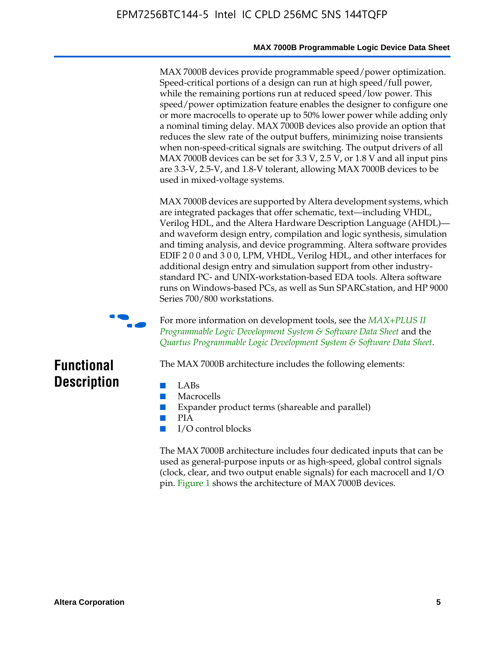#### **MAX 7000B Programmable Logic Device Data Sheet**

MAX 7000B devices provide programmable speed/power optimization. Speed-critical portions of a design can run at high speed/full power, while the remaining portions run at reduced speed/low power. This speed/power optimization feature enables the designer to configure one or more macrocells to operate up to 50% lower power while adding only a nominal timing delay. MAX 7000B devices also provide an option that reduces the slew rate of the output buffers, minimizing noise transients when non-speed-critical signals are switching. The output drivers of all MAX 7000B devices can be set for 3.3 V, 2.5 V, or 1.8 V and all input pins are 3.3-V, 2.5-V, and 1.8-V tolerant, allowing MAX 7000B devices to be used in mixed-voltage systems.

MAX 7000B devices are supported by Altera development systems, which are integrated packages that offer schematic, text—including VHDL, Verilog HDL, and the Altera Hardware Description Language (AHDL) and waveform design entry, compilation and logic synthesis, simulation and timing analysis, and device programming. Altera software provides EDIF 2 0 0 and 3 0 0, LPM, VHDL, Verilog HDL, and other interfaces for additional design entry and simulation support from other industrystandard PC- and UNIX-workstation-based EDA tools. Altera software runs on Windows-based PCs, as well as Sun SPARCstation, and HP 9000 Series 700/800 workstations.



**For more information on development tools, see the** *MAX+PLUS II Programmable Logic Development System & Software Data Sheet* and the *Quartus Programmable Logic Development System & Software Data Sheet*.

# **Functional Description**

- LABs
- Macrocells
- Expander product terms (shareable and parallel)

The MAX 7000B architecture includes the following elements:

- PIA
- I/O control blocks

The MAX 7000B architecture includes four dedicated inputs that can be used as general-purpose inputs or as high-speed, global control signals (clock, clear, and two output enable signals) for each macrocell and I/O pin. Figure 1 shows the architecture of MAX 7000B devices.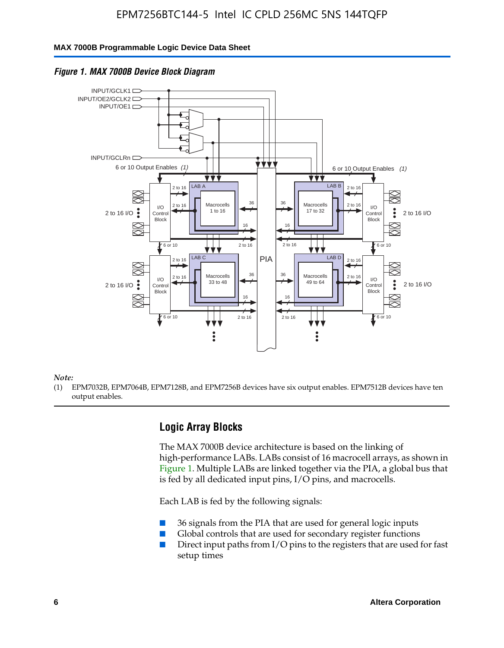#### **MAX 7000B Programmable Logic Device Data Sheet**





#### *Note:*

(1) EPM7032B, EPM7064B, EPM7128B, and EPM7256B devices have six output enables. EPM7512B devices have ten output enables.

### **Logic Array Blocks**

The MAX 7000B device architecture is based on the linking of high-performance LABs. LABs consist of 16 macrocell arrays, as shown in Figure 1. Multiple LABs are linked together via the PIA, a global bus that is fed by all dedicated input pins, I/O pins, and macrocells.

Each LAB is fed by the following signals:

- 36 signals from the PIA that are used for general logic inputs
- Global controls that are used for secondary register functions
- Direct input paths from I/O pins to the registers that are used for fast setup times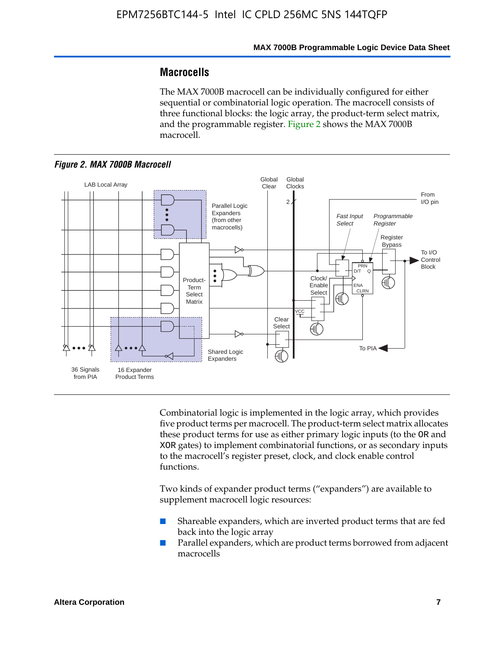# **Macrocells**

The MAX 7000B macrocell can be individually configured for either sequential or combinatorial logic operation. The macrocell consists of three functional blocks: the logic array, the product-term select matrix, and the programmable register. Figure 2 shows the MAX 7000B macrocell.





Combinatorial logic is implemented in the logic array, which provides five product terms per macrocell. The product-term select matrix allocates these product terms for use as either primary logic inputs (to the OR and XOR gates) to implement combinatorial functions, or as secondary inputs to the macrocell's register preset, clock, and clock enable control functions.

Two kinds of expander product terms ("expanders") are available to supplement macrocell logic resources:

- Shareable expanders, which are inverted product terms that are fed back into the logic array
- Parallel expanders, which are product terms borrowed from adjacent macrocells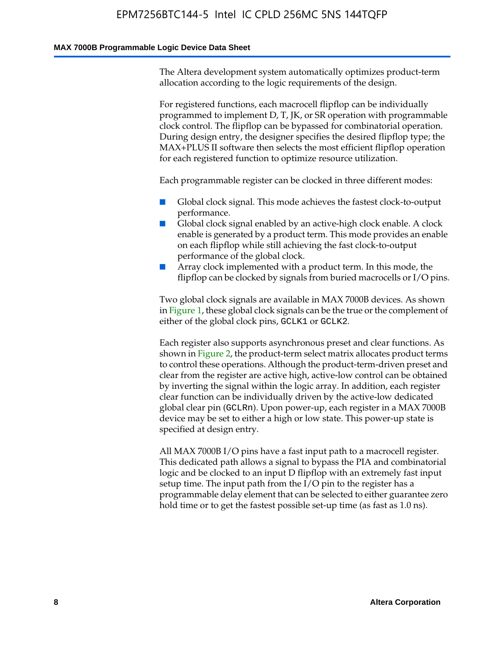#### **MAX 7000B Programmable Logic Device Data Sheet**

The Altera development system automatically optimizes product-term allocation according to the logic requirements of the design.

For registered functions, each macrocell flipflop can be individually programmed to implement D, T, JK, or SR operation with programmable clock control. The flipflop can be bypassed for combinatorial operation. During design entry, the designer specifies the desired flipflop type; the MAX+PLUS II software then selects the most efficient flipflop operation for each registered function to optimize resource utilization.

Each programmable register can be clocked in three different modes:

- Global clock signal. This mode achieves the fastest clock-to-output performance.
- Global clock signal enabled by an active-high clock enable. A clock enable is generated by a product term. This mode provides an enable on each flipflop while still achieving the fast clock-to-output performance of the global clock.
- Array clock implemented with a product term. In this mode, the flipflop can be clocked by signals from buried macrocells or I/O pins.

Two global clock signals are available in MAX 7000B devices. As shown in Figure 1, these global clock signals can be the true or the complement of either of the global clock pins, GCLK1 or GCLK2.

Each register also supports asynchronous preset and clear functions. As shown in Figure 2, the product-term select matrix allocates product terms to control these operations. Although the product-term-driven preset and clear from the register are active high, active-low control can be obtained by inverting the signal within the logic array. In addition, each register clear function can be individually driven by the active-low dedicated global clear pin (GCLRn). Upon power-up, each register in a MAX 7000B device may be set to either a high or low state. This power-up state is specified at design entry.

All MAX 7000B I/O pins have a fast input path to a macrocell register. This dedicated path allows a signal to bypass the PIA and combinatorial logic and be clocked to an input D flipflop with an extremely fast input setup time. The input path from the I/O pin to the register has a programmable delay element that can be selected to either guarantee zero hold time or to get the fastest possible set-up time (as fast as 1.0 ns).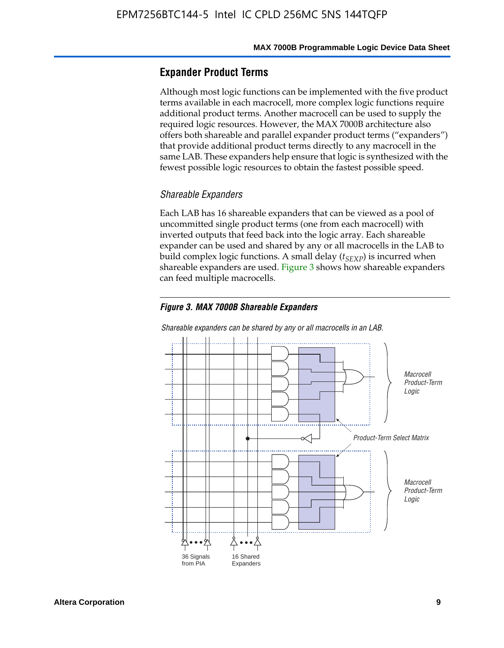### **Expander Product Terms**

Although most logic functions can be implemented with the five product terms available in each macrocell, more complex logic functions require additional product terms. Another macrocell can be used to supply the required logic resources. However, the MAX 7000B architecture also offers both shareable and parallel expander product terms ("expanders") that provide additional product terms directly to any macrocell in the same LAB. These expanders help ensure that logic is synthesized with the fewest possible logic resources to obtain the fastest possible speed.

#### *Shareable Expanders*

Each LAB has 16 shareable expanders that can be viewed as a pool of uncommitted single product terms (one from each macrocell) with inverted outputs that feed back into the logic array. Each shareable expander can be used and shared by any or all macrocells in the LAB to build complex logic functions. A small delay ( $t_{SEXP}$ ) is incurred when shareable expanders are used. Figure 3 shows how shareable expanders can feed multiple macrocells.

#### *Figure 3. MAX 7000B Shareable Expanders*



*Shareable expanders can be shared by any or all macrocells in an LAB.*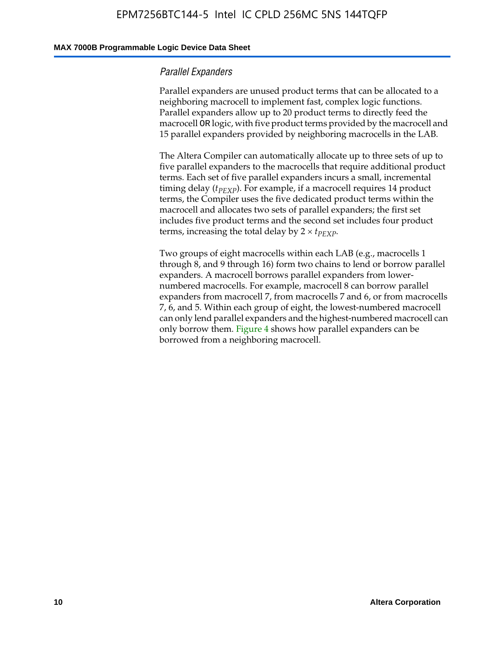#### **MAX 7000B Programmable Logic Device Data Sheet**

#### *Parallel Expanders*

Parallel expanders are unused product terms that can be allocated to a neighboring macrocell to implement fast, complex logic functions. Parallel expanders allow up to 20 product terms to directly feed the macrocell OR logic, with five product terms provided by the macrocell and 15 parallel expanders provided by neighboring macrocells in the LAB.

The Altera Compiler can automatically allocate up to three sets of up to five parallel expanders to the macrocells that require additional product terms. Each set of five parallel expanders incurs a small, incremental timing delay ( $t_{PEXP}$ ). For example, if a macrocell requires 14 product terms, the Compiler uses the five dedicated product terms within the macrocell and allocates two sets of parallel expanders; the first set includes five product terms and the second set includes four product terms, increasing the total delay by  $2 \times t_{PEXP}$ .

Two groups of eight macrocells within each LAB (e.g., macrocells 1 through 8, and 9 through 16) form two chains to lend or borrow parallel expanders. A macrocell borrows parallel expanders from lowernumbered macrocells. For example, macrocell 8 can borrow parallel expanders from macrocell 7, from macrocells 7 and 6, or from macrocells 7, 6, and 5. Within each group of eight, the lowest-numbered macrocell can only lend parallel expanders and the highest-numbered macrocell can only borrow them. Figure 4 shows how parallel expanders can be borrowed from a neighboring macrocell.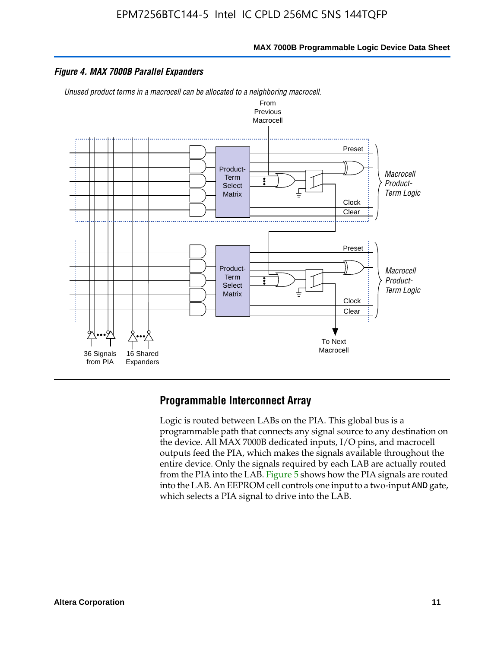

#### *Figure 4. MAX 7000B Parallel Expanders*

*Unused product terms in a macrocell can be allocated to a neighboring macrocell.*



#### **Programmable Interconnect Array**

Logic is routed between LABs on the PIA. This global bus is a programmable path that connects any signal source to any destination on the device. All MAX 7000B dedicated inputs, I/O pins, and macrocell outputs feed the PIA, which makes the signals available throughout the entire device. Only the signals required by each LAB are actually routed from the PIA into the LAB. Figure 5 shows how the PIA signals are routed into the LAB. An EEPROM cell controls one input to a two-input AND gate, which selects a PIA signal to drive into the LAB.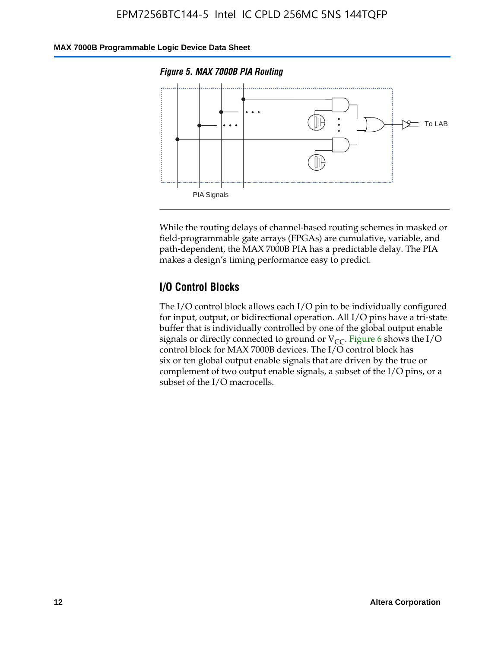#### **MAX 7000B Programmable Logic Device Data Sheet**





While the routing delays of channel-based routing schemes in masked or field-programmable gate arrays (FPGAs) are cumulative, variable, and path-dependent, the MAX 7000B PIA has a predictable delay. The PIA makes a design's timing performance easy to predict.

### **I/O Control Blocks**

The I/O control block allows each I/O pin to be individually configured for input, output, or bidirectional operation. All I/O pins have a tri-state buffer that is individually controlled by one of the global output enable signals or directly connected to ground or  $V_{CC}$ . Figure 6 shows the I/O control block for MAX 7000B devices. The I/O control block has six or ten global output enable signals that are driven by the true or complement of two output enable signals, a subset of the I/O pins, or a subset of the I/O macrocells.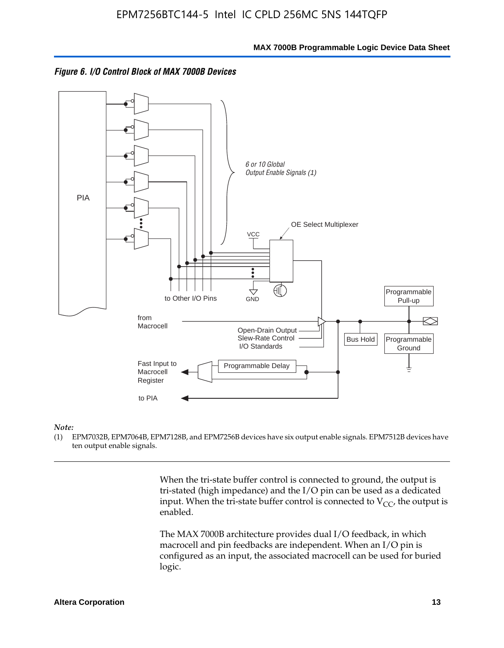



#### *Note:*

(1) EPM7032B, EPM7064B, EPM7128B, and EPM7256B devices have six output enable signals. EPM7512B devices have ten output enable signals.

> When the tri-state buffer control is connected to ground, the output is tri-stated (high impedance) and the I/O pin can be used as a dedicated input. When the tri-state buffer control is connected to  $V_{CC}$ , the output is enabled.

The MAX 7000B architecture provides dual I/O feedback, in which macrocell and pin feedbacks are independent. When an I/O pin is configured as an input, the associated macrocell can be used for buried logic.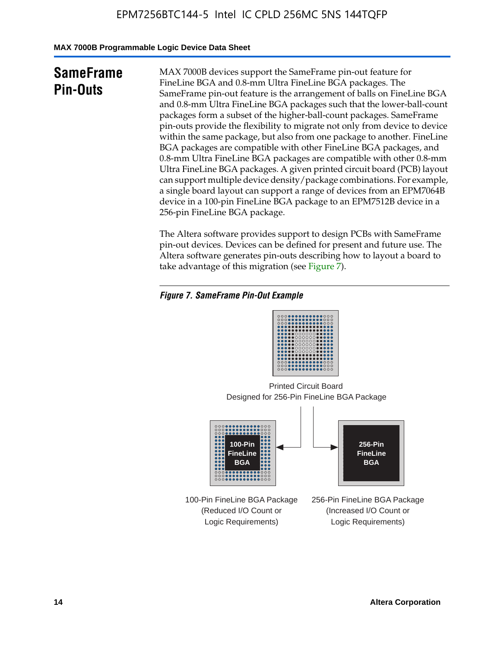**MAX 7000B Programmable Logic Device Data Sheet**

# **SameFrame Pin-Outs**

MAX 7000B devices support the SameFrame pin-out feature for FineLine BGA and 0.8-mm Ultra FineLine BGA packages. The SameFrame pin-out feature is the arrangement of balls on FineLine BGA and 0.8-mm Ultra FineLine BGA packages such that the lower-ball-count packages form a subset of the higher-ball-count packages. SameFrame pin-outs provide the flexibility to migrate not only from device to device within the same package, but also from one package to another. FineLine BGA packages are compatible with other FineLine BGA packages, and 0.8-mm Ultra FineLine BGA packages are compatible with other 0.8-mm Ultra FineLine BGA packages. A given printed circuit board (PCB) layout can support multiple device density/package combinations. For example, a single board layout can support a range of devices from an EPM7064B device in a 100-pin FineLine BGA package to an EPM7512B device in a 256-pin FineLine BGA package.

The Altera software provides support to design PCBs with SameFrame pin-out devices. Devices can be defined for present and future use. The Altera software generates pin-outs describing how to layout a board to take advantage of this migration (see Figure 7).

### *Figure 7. SameFrame Pin-Out Example*

| 0000000000000000<br>00000000000000000<br>0000000000000000<br><br><br>000000000000000<br><br>000000000000000<br> |
|-----------------------------------------------------------------------------------------------------------------|
| 000000000000000<br>000000000000000<br><br><b></b><br>000000000000000                                            |

Designed for 256-Pin FineLine BGA Package Printed Circuit Board



100-Pin FineLine BGA Package (Reduced I/O Count or Logic Requirements)

256-Pin FineLine BGA Package (Increased I/O Count or Logic Requirements)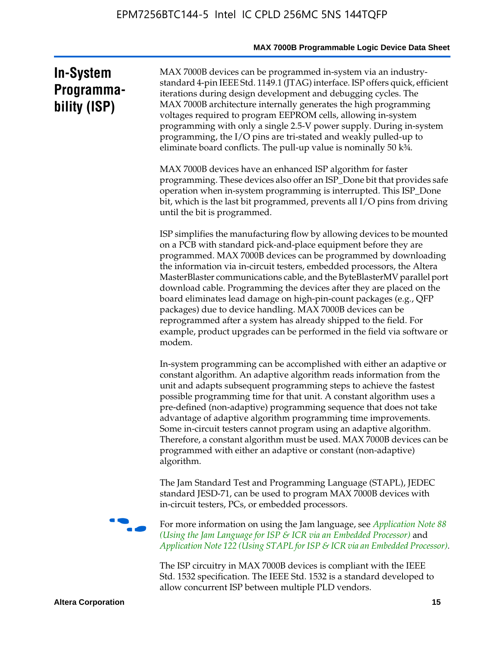# **In-System Programmability (ISP)**

MAX 7000B devices can be programmed in-system via an industrystandard 4-pin IEEE Std. 1149.1 (JTAG) interface. ISP offers quick, efficient iterations during design development and debugging cycles. The MAX 7000B architecture internally generates the high programming voltages required to program EEPROM cells, allowing in-system programming with only a single 2.5-V power supply. During in-system programming, the I/O pins are tri-stated and weakly pulled-up to eliminate board conflicts. The pull-up value is nominally 50 k¾.

MAX 7000B devices have an enhanced ISP algorithm for faster programming. These devices also offer an ISP\_Done bit that provides safe operation when in-system programming is interrupted. This ISP\_Done bit, which is the last bit programmed, prevents all I/O pins from driving until the bit is programmed.

ISP simplifies the manufacturing flow by allowing devices to be mounted on a PCB with standard pick-and-place equipment before they are programmed. MAX 7000B devices can be programmed by downloading the information via in-circuit testers, embedded processors, the Altera MasterBlaster communications cable, and the ByteBlasterMV parallel port download cable. Programming the devices after they are placed on the board eliminates lead damage on high-pin-count packages (e.g., QFP packages) due to device handling. MAX 7000B devices can be reprogrammed after a system has already shipped to the field. For example, product upgrades can be performed in the field via software or modem.

In-system programming can be accomplished with either an adaptive or constant algorithm. An adaptive algorithm reads information from the unit and adapts subsequent programming steps to achieve the fastest possible programming time for that unit. A constant algorithm uses a pre-defined (non-adaptive) programming sequence that does not take advantage of adaptive algorithm programming time improvements. Some in-circuit testers cannot program using an adaptive algorithm. Therefore, a constant algorithm must be used. MAX 7000B devices can be programmed with either an adaptive or constant (non-adaptive) algorithm.

The Jam Standard Test and Programming Language (STAPL), JEDEC standard JESD-71, can be used to program MAX 7000B devices with in-circuit testers, PCs, or embedded processors.



f For more information on using the Jam language, see *Application Note 88 (Using the Jam Language for ISP & ICR via an Embedded Processor)* and *Application Note 122 (Using STAPL for ISP & ICR via an Embedded Processor).*

The ISP circuitry in MAX 7000B devices is compliant with the IEEE Std. 1532 specification. The IEEE Std. 1532 is a standard developed to allow concurrent ISP between multiple PLD vendors.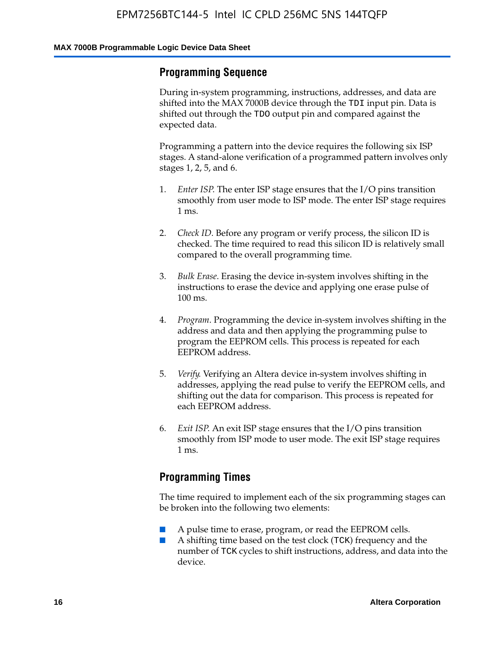### **Programming Sequence**

During in-system programming, instructions, addresses, and data are shifted into the MAX 7000B device through the TDI input pin. Data is shifted out through the TDO output pin and compared against the expected data.

Programming a pattern into the device requires the following six ISP stages. A stand-alone verification of a programmed pattern involves only stages 1, 2, 5, and 6.

- 1. *Enter ISP*. The enter ISP stage ensures that the I/O pins transition smoothly from user mode to ISP mode. The enter ISP stage requires 1 ms.
- 2. *Check ID*. Before any program or verify process, the silicon ID is checked. The time required to read this silicon ID is relatively small compared to the overall programming time.
- 3. *Bulk Erase*. Erasing the device in-system involves shifting in the instructions to erase the device and applying one erase pulse of 100 ms.
- 4. *Program*. Programming the device in-system involves shifting in the address and data and then applying the programming pulse to program the EEPROM cells. This process is repeated for each EEPROM address.
- 5. *Verify*. Verifying an Altera device in-system involves shifting in addresses, applying the read pulse to verify the EEPROM cells, and shifting out the data for comparison. This process is repeated for each EEPROM address.
- 6. *Exit ISP*. An exit ISP stage ensures that the I/O pins transition smoothly from ISP mode to user mode. The exit ISP stage requires 1 ms.

# **Programming Times**

The time required to implement each of the six programming stages can be broken into the following two elements:

- A pulse time to erase, program, or read the EEPROM cells.
- A shifting time based on the test clock (TCK) frequency and the number of TCK cycles to shift instructions, address, and data into the device.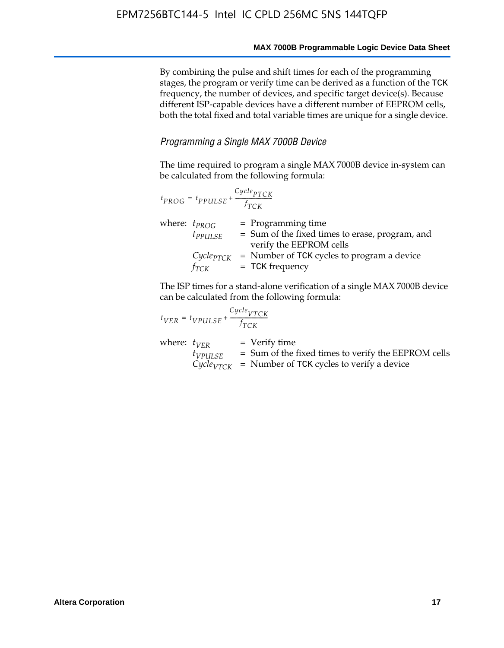By combining the pulse and shift times for each of the programming stages, the program or verify time can be derived as a function of the TCK frequency, the number of devices, and specific target device(s). Because different ISP-capable devices have a different number of EEPROM cells, both the total fixed and total variable times are unique for a single device.

#### *Programming a Single MAX 7000B Device*

The time required to program a single MAX 7000B device in-system can be calculated from the following formula:

| $t_{PROG} = t_{PPULSE} + \frac{Cycle_{PTCK}}{f_{TCK}}$ |                                                                                                    |
|--------------------------------------------------------|----------------------------------------------------------------------------------------------------|
| where: $t_{PROG}$<br>$t_{PPULSE}$                      | $=$ Programming time<br>= Sum of the fixed times to erase, program, and<br>verify the EEPROM cells |
| $Cycle_{PTCK}$<br>fтск                                 | = Number of TCK cycles to program a device<br>$=$ TCK frequency                                    |

The ISP times for a stand-alone verification of a single MAX 7000B device can be calculated from the following formula:

| $t_{VER} = t_{VPULSE} + \frac{t_{TCK}}{f_{TCK}}$ | $Cycle_{VTCK}$                                                                                                                |
|--------------------------------------------------|-------------------------------------------------------------------------------------------------------------------------------|
| where: $t_{VFR}$<br>$t_{VPULSE}$                 | = Verify time<br>= Sum of the fixed times to verify the EEPROM cells<br>$CycleVTCK$ = Number of TCK cycles to verify a device |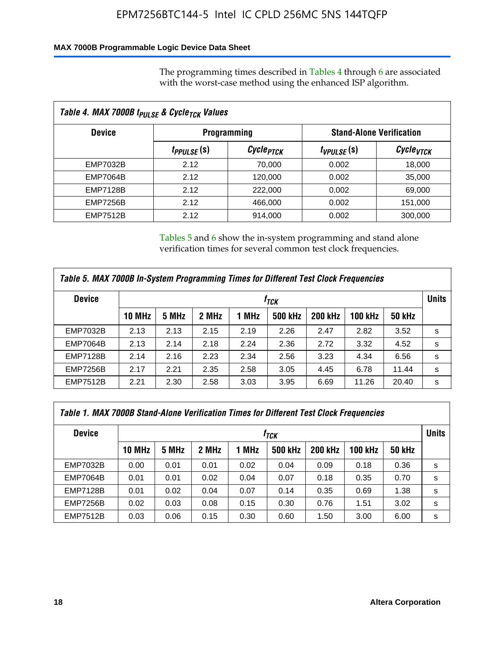### **MAX 7000B Programmable Logic Device Data Sheet**

The programming times described in Tables 4 through 6 are associated with the worst-case method using the enhanced ISP algorithm.

| Table 4. MAX 7000B t <sub>PULSE</sub> & Cycle <sub>TCK</sub> Values |                               |                             |                 |                                 |  |  |  |  |
|---------------------------------------------------------------------|-------------------------------|-----------------------------|-----------------|---------------------------------|--|--|--|--|
| <b>Device</b>                                                       |                               | <b>Programming</b>          |                 | <b>Stand-Alone Verification</b> |  |  |  |  |
|                                                                     | <i>t<sub>PPULSE</sub></i> (s) | <i>Cycle<sub>PTCK</sub></i> | $t_{VPULSE}(s)$ | Cycle <sub>vTCK</sub>           |  |  |  |  |
| EMP7032B                                                            | 2.12                          | 70,000                      | 0.002           | 18,000                          |  |  |  |  |
| <b>EMP7064B</b>                                                     | 2.12                          | 120,000                     | 0.002           | 35,000                          |  |  |  |  |
| <b>EMP7128B</b>                                                     | 2.12                          | 222,000                     | 0.002           | 69,000                          |  |  |  |  |
| <b>EMP7256B</b>                                                     | 2.12                          | 466,000                     | 0.002           | 151,000                         |  |  |  |  |
| <b>EMP7512B</b>                                                     | 2.12                          | 914,000                     | 0.002           | 300,000                         |  |  |  |  |

Tables 5 and 6 show the in-system programming and stand alone verification times for several common test clock frequencies.

| Table 5. MAX 7000B In-System Programming Times for Different Test Clock Frequencies |                  |       |       |       |                |                |                |               |              |
|-------------------------------------------------------------------------------------|------------------|-------|-------|-------|----------------|----------------|----------------|---------------|--------------|
| <b>Device</b>                                                                       | t <sub>тск</sub> |       |       |       |                |                |                |               | <b>Units</b> |
|                                                                                     | 10 MHz           | 5 MHz | 2 MHz | 1 MHz | <b>500 kHz</b> | <b>200 kHz</b> | <b>100 kHz</b> | <b>50 kHz</b> |              |
| <b>EMP7032B</b>                                                                     | 2.13             | 2.13  | 2.15  | 2.19  | 2.26           | 2.47           | 2.82           | 3.52          | s            |
| <b>EMP7064B</b>                                                                     | 2.13             | 2.14  | 2.18  | 2.24  | 2.36           | 2.72           | 3.32           | 4.52          | s            |
| <b>EMP7128B</b>                                                                     | 2.14             | 2.16  | 2.23  | 2.34  | 2.56           | 3.23           | 4.34           | 6.56          | s            |
| <b>EMP7256B</b>                                                                     | 2.17             | 2.21  | 2.35  | 2.58  | 3.05           | 4.45           | 6.78           | 11.44         | s            |
| <b>EMP7512B</b>                                                                     | 2.21             | 2.30  | 2.58  | 3.03  | 3.95           | 6.69           | 11.26          | 20.40         | s            |

| Table 1. MAX 7000B Stand-Alone Verification Times for Different Test Clock Frequencies |                  |       |       |       |                |                |                |               |   |
|----------------------------------------------------------------------------------------|------------------|-------|-------|-------|----------------|----------------|----------------|---------------|---|
| <b>Device</b>                                                                          | t <sub>тск</sub> |       |       |       |                |                |                |               |   |
|                                                                                        | <b>10 MHz</b>    | 5 MHz | 2 MHz | 1 MHz | <b>500 kHz</b> | <b>200 kHz</b> | <b>100 kHz</b> | <b>50 kHz</b> |   |
| <b>EMP7032B</b>                                                                        | 0.00             | 0.01  | 0.01  | 0.02  | 0.04           | 0.09           | 0.18           | 0.36          | s |
| <b>EMP7064B</b>                                                                        | 0.01             | 0.01  | 0.02  | 0.04  | 0.07           | 0.18           | 0.35           | 0.70          | s |
| <b>EMP7128B</b>                                                                        | 0.01             | 0.02  | 0.04  | 0.07  | 0.14           | 0.35           | 0.69           | 1.38          | s |
| <b>EMP7256B</b>                                                                        | 0.02             | 0.03  | 0.08  | 0.15  | 0.30           | 0.76           | 1.51           | 3.02          | s |
| <b>EMP7512B</b>                                                                        | 0.03             | 0.06  | 0.15  | 0.30  | 0.60           | 1.50           | 3.00           | 6.00          | s |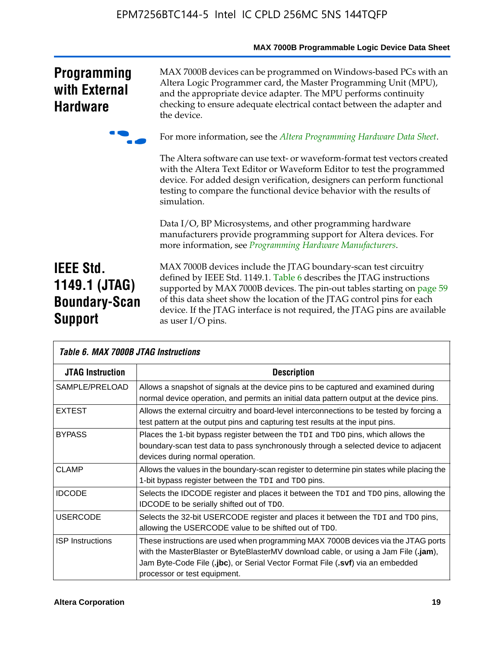|                                                                             | MAX 7000B Programmable Logic Device Data Sheet                                                                                                                                                                                                                                                                                                                                                 |
|-----------------------------------------------------------------------------|------------------------------------------------------------------------------------------------------------------------------------------------------------------------------------------------------------------------------------------------------------------------------------------------------------------------------------------------------------------------------------------------|
| <b>Programming</b><br>with External<br><b>Hardware</b>                      | MAX 7000B devices can be programmed on Windows-based PCs with an<br>Altera Logic Programmer card, the Master Programming Unit (MPU),<br>and the appropriate device adapter. The MPU performs continuity<br>checking to ensure adequate electrical contact between the adapter and<br>the device.                                                                                               |
|                                                                             | For more information, see the Altera Programming Hardware Data Sheet.                                                                                                                                                                                                                                                                                                                          |
|                                                                             | The Altera software can use text- or waveform-format test vectors created<br>with the Altera Text Editor or Waveform Editor to test the programmed<br>device. For added design verification, designers can perform functional<br>testing to compare the functional device behavior with the results of<br>simulation.                                                                          |
|                                                                             | Data I/O, BP Microsystems, and other programming hardware<br>manufacturers provide programming support for Altera devices. For<br>more information, see Programming Hardware Manufacturers.                                                                                                                                                                                                    |
| <b>IEEE Std.</b><br>1149.1 (JTAG)<br><b>Boundary-Scan</b><br><b>Support</b> | MAX 7000B devices include the JTAG boundary-scan test circuitry<br>defined by IEEE Std. 1149.1. Table 6 describes the JTAG instructions<br>supported by MAX 7000B devices. The pin-out tables starting on page 59<br>of this data sheet show the location of the JTAG control pins for each<br>device. If the JTAG interface is not required, the JTAG pins are available<br>as user I/O pins. |

| Table 6. MAX 7000B JTAG Instructions |                                                                                                                                                                                                                                                                                            |  |  |  |  |  |
|--------------------------------------|--------------------------------------------------------------------------------------------------------------------------------------------------------------------------------------------------------------------------------------------------------------------------------------------|--|--|--|--|--|
| <b>JTAG Instruction</b>              | <b>Description</b>                                                                                                                                                                                                                                                                         |  |  |  |  |  |
| SAMPLE/PRELOAD                       | Allows a snapshot of signals at the device pins to be captured and examined during<br>normal device operation, and permits an initial data pattern output at the device pins.                                                                                                              |  |  |  |  |  |
| <b>EXTEST</b>                        | Allows the external circuitry and board-level interconnections to be tested by forcing a<br>test pattern at the output pins and capturing test results at the input pins.                                                                                                                  |  |  |  |  |  |
| <b>BYPASS</b>                        | Places the 1-bit bypass register between the TDI and TDO pins, which allows the<br>boundary-scan test data to pass synchronously through a selected device to adjacent<br>devices during normal operation.                                                                                 |  |  |  |  |  |
| <b>CLAMP</b>                         | Allows the values in the boundary-scan register to determine pin states while placing the<br>1-bit bypass register between the TDI and TDO pins.                                                                                                                                           |  |  |  |  |  |
| <b>IDCODE</b>                        | Selects the IDCODE register and places it between the TDI and TDO pins, allowing the<br><b>IDCODE</b> to be serially shifted out of TDO.                                                                                                                                                   |  |  |  |  |  |
| <b>USERCODE</b>                      | Selects the 32-bit USERCODE register and places it between the TDI and TDO pins,<br>allowing the USERCODE value to be shifted out of TDO.                                                                                                                                                  |  |  |  |  |  |
| <b>ISP Instructions</b>              | These instructions are used when programming MAX 7000B devices via the JTAG ports<br>with the MasterBlaster or ByteBlasterMV download cable, or using a Jam File (.jam),<br>Jam Byte-Code File (.jbc), or Serial Vector Format File (.svf) via an embedded<br>processor or test equipment. |  |  |  |  |  |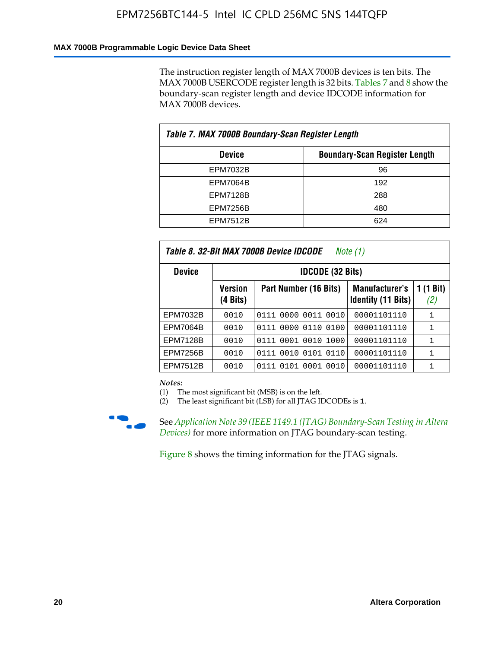#### **MAX 7000B Programmable Logic Device Data Sheet**

The instruction register length of MAX 7000B devices is ten bits. The MAX 7000B USERCODE register length is 32 bits. Tables 7 and 8 show the boundary-scan register length and device IDCODE information for MAX 7000B devices.

| Table 7. MAX 7000B Boundary-Scan Register Length |                                      |  |  |  |  |  |
|--------------------------------------------------|--------------------------------------|--|--|--|--|--|
| <b>Device</b>                                    | <b>Boundary-Scan Register Length</b> |  |  |  |  |  |
| <b>EPM7032B</b>                                  | 96                                   |  |  |  |  |  |
| <b>EPM7064B</b>                                  | 192                                  |  |  |  |  |  |
| <b>EPM7128B</b>                                  | 288                                  |  |  |  |  |  |
| <b>EPM7256B</b>                                  | 480                                  |  |  |  |  |  |
| <b>EPM7512B</b>                                  | 624                                  |  |  |  |  |  |

| Table 8. 32-Bit MAX 7000B Device IDCODE<br>Note (1) |                            |                           |                                             |                          |  |  |  |  |  |
|-----------------------------------------------------|----------------------------|---------------------------|---------------------------------------------|--------------------------|--|--|--|--|--|
| <b>Device</b>                                       | <b>IDCODE (32 Bits)</b>    |                           |                                             |                          |  |  |  |  |  |
|                                                     | <b>Version</b><br>(4 Bits) | Part Number (16 Bits)     | Manufacturer's<br><b>Identity (11 Bits)</b> | $(1 \text{ Bit})$<br>(2) |  |  |  |  |  |
| EPM7032B                                            | 0010                       | 0111 0000 0011 0010       | 00001101110                                 | 1                        |  |  |  |  |  |
| <b>EPM7064B</b>                                     | 0010                       | 0111 0000 0110 0100       | 00001101110                                 | 1                        |  |  |  |  |  |
| <b>EPM7128B</b>                                     | 0010                       | 0001 0010 1000<br>0111    | 00001101110                                 | 1                        |  |  |  |  |  |
| <b>EPM7256B</b>                                     | 0010                       | 0111 0010 0101 0110       | 00001101110                                 | 1                        |  |  |  |  |  |
| <b>EPM7512B</b>                                     | 0010                       | 0010<br>0111 0101<br>0001 | 00001101110                                 | 1                        |  |  |  |  |  |

*Notes:*

(1) The most significant bit (MSB) is on the left.

(2) The least significant bit (LSB) for all JTAG IDCODEs is 1.



**f See Application Note 39 (IEEE 1149.1 (JTAG) Boundary-Scan Testing in Altera** *Devices)* for more information on JTAG boundary-scan testing.

Figure 8 shows the timing information for the JTAG signals.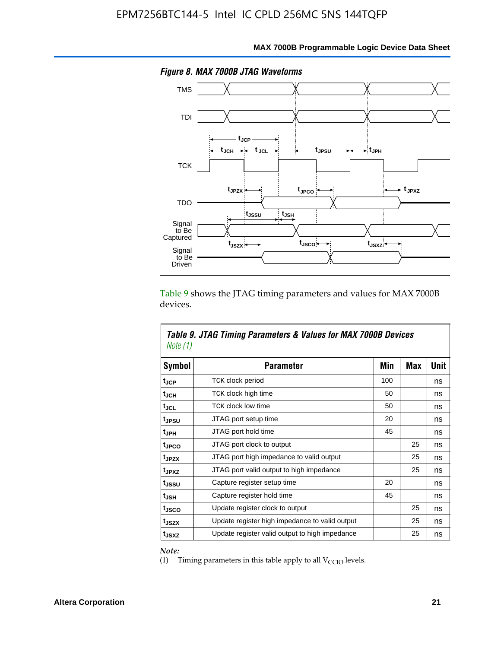

Table 9 shows the JTAG timing parameters and values for MAX 7000B devices.

| Note (1)           | Table 9. JTAG Timing Parameters & Values for MAX 7000B Devices |     |     |      |
|--------------------|----------------------------------------------------------------|-----|-----|------|
| <b>Symbol</b>      | <b>Parameter</b>                                               | Min | Max | Unit |
| t <sub>JCP</sub>   | TCK clock period                                               | 100 |     | ns   |
| t <sub>JCH</sub>   | TCK clock high time                                            | 50  |     | ns   |
| tjcl               | <b>TCK clock low time</b>                                      | 50  |     | ns   |
| tjpsu              | JTAG port setup time                                           | 20  |     | ns   |
| t <sub>JPH</sub>   | JTAG port hold time                                            | 45  |     | ns   |
| tjpco              | JTAG port clock to output                                      |     | 25  | ns   |
| t <sub>JPZX</sub>  | JTAG port high impedance to valid output                       |     | 25  | ns   |
| t <sub>JPXZ</sub>  | JTAG port valid output to high impedance                       |     | 25  | ns   |
| tjssu              | Capture register setup time                                    | 20  |     | ns   |
| $t_{\mathsf{JSH}}$ | Capture register hold time                                     | 45  |     | ns   |
| t <sub>JSCO</sub>  | Update register clock to output                                |     | 25  | ns   |
| t <sub>JSZX</sub>  | Update register high impedance to valid output                 |     | 25  | ns   |
| t <sub>JSXZ</sub>  | Update register valid output to high impedance                 |     | 25  | ns   |

*Note:*

Г

(1) Timing parameters in this table apply to all  $V_{\text{CCIO}}$  levels.

٦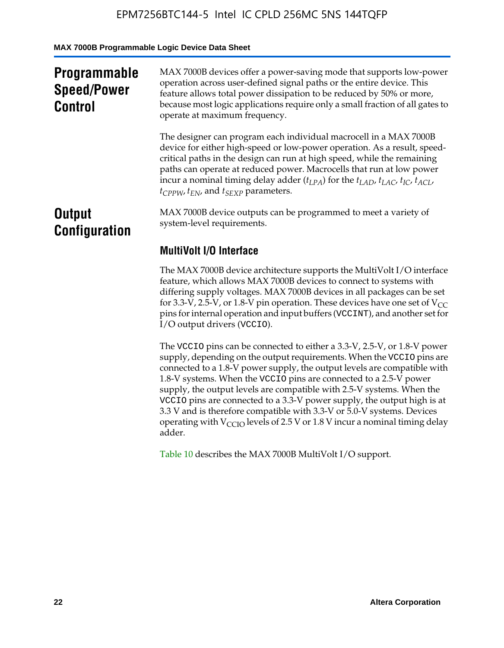**MAX 7000B Programmable Logic Device Data Sheet**

| <b>Programmable</b><br><b>Speed/Power</b><br><b>Control</b> | MAX 7000B devices offer a power-saving mode that supports low-power<br>operation across user-defined signal paths or the entire device. This<br>feature allows total power dissipation to be reduced by 50% or more,<br>because most logic applications require only a small fraction of all gates to<br>operate at maximum frequency.                                                                                                                          |  |  |
|-------------------------------------------------------------|-----------------------------------------------------------------------------------------------------------------------------------------------------------------------------------------------------------------------------------------------------------------------------------------------------------------------------------------------------------------------------------------------------------------------------------------------------------------|--|--|
|                                                             | The designer can program each individual macrocell in a MAX 7000B<br>device for either high-speed or low-power operation. As a result, speed-<br>critical paths in the design can run at high speed, while the remaining<br>paths can operate at reduced power. Macrocells that run at low power<br>incur a nominal timing delay adder $(t_{LPA})$ for the $t_{LAD}$ , $t_{LAC}$ , $t_{IC}$ , $t_{ACL}$ ,<br>$t_{CPPW}$ , $t_{EN}$ , and $t_{SEXP}$ parameters. |  |  |
| <b>Output</b><br><b>Configuration</b>                       | MAX 7000B device outputs can be programmed to meet a variety of<br>system-level requirements.                                                                                                                                                                                                                                                                                                                                                                   |  |  |
|                                                             | <b>MultiVolt I/O Interface</b>                                                                                                                                                                                                                                                                                                                                                                                                                                  |  |  |
|                                                             | The MAX 7000B device architecture supports the MultiVolt I/O interface<br>feature, which allows MAX 7000B devices to connect to systems with<br>differing supply voltages. MAX 7000B devices in all packages can be set<br>for 3.3-V, 2.5-V, or 1.8-V pin operation. These devices have one set of $V_{CC}$<br>pins for internal operation and input buffers (VCCINT), and another set for<br>I/O output drivers (VCCIO).                                       |  |  |

The VCCIO pins can be connected to either a 3.3-V, 2.5-V, or 1.8-V power supply, depending on the output requirements. When the VCCIO pins are connected to a 1.8-V power supply, the output levels are compatible with 1.8-V systems. When the VCCIO pins are connected to a 2.5- $\hat{V}$  power supply, the output levels are compatible with 2.5-V systems. When the VCCIO pins are connected to a 3.3-V power supply, the output high is at 3.3 V and is therefore compatible with 3.3-V or 5.0-V systems. Devices operating with  $V_{\text{CCIO}}$  levels of 2.5 V or 1.8 V incur a nominal timing delay adder.

Table 10 describes the MAX 7000B MultiVolt I/O support.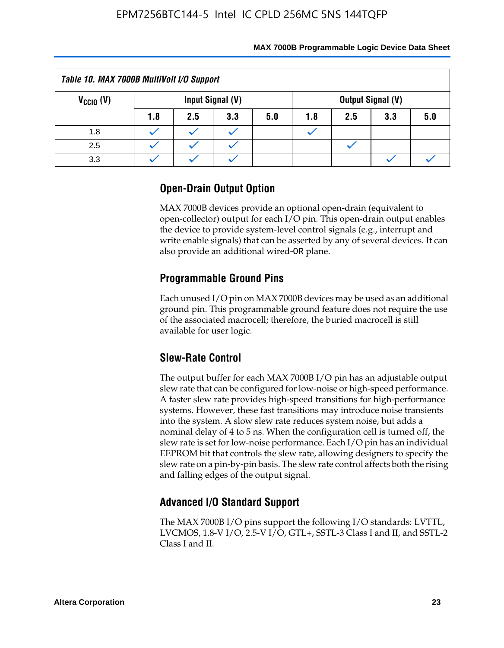| Table 10. MAX 7000B MultiVolt I/O Support                            |     |     |     |     |     |     |     |     |
|----------------------------------------------------------------------|-----|-----|-----|-----|-----|-----|-----|-----|
| Input Signal (V)<br>$V_{\text{CCIO}}(V)$<br><b>Output Signal (V)</b> |     |     |     |     |     |     |     |     |
|                                                                      | 1.8 | 2.5 | 3.3 | 5.0 | 1.8 | 2.5 | 3.3 | 5.0 |
| 1.8                                                                  |     |     |     |     |     |     |     |     |
| 2.5                                                                  |     |     |     |     |     |     |     |     |
| 3.3                                                                  |     |     |     |     |     |     |     |     |

# **Open-Drain Output Option**

MAX 7000B devices provide an optional open-drain (equivalent to open-collector) output for each I/O pin. This open-drain output enables the device to provide system-level control signals (e.g., interrupt and write enable signals) that can be asserted by any of several devices. It can also provide an additional wired-OR plane.

# **Programmable Ground Pins**

Each unused I/O pin on MAX 7000B devices may be used as an additional ground pin. This programmable ground feature does not require the use of the associated macrocell; therefore, the buried macrocell is still available for user logic.

# **Slew-Rate Control**

The output buffer for each MAX 7000B I/O pin has an adjustable output slew rate that can be configured for low-noise or high-speed performance. A faster slew rate provides high-speed transitions for high-performance systems. However, these fast transitions may introduce noise transients into the system. A slow slew rate reduces system noise, but adds a nominal delay of 4 to 5 ns. When the configuration cell is turned off, the slew rate is set for low-noise performance. Each I/O pin has an individual EEPROM bit that controls the slew rate, allowing designers to specify the slew rate on a pin-by-pin basis. The slew rate control affects both the rising and falling edges of the output signal.

# **Advanced I/O Standard Support**

The MAX 7000B I/O pins support the following I/O standards: LVTTL, LVCMOS, 1.8-V I/O, 2.5-V I/O, GTL+, SSTL-3 Class I and II, and SSTL-2 Class I and II.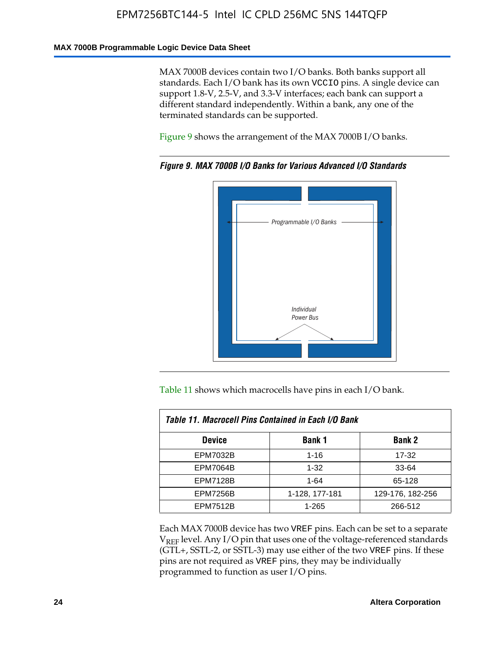#### **MAX 7000B Programmable Logic Device Data Sheet**

MAX 7000B devices contain two I/O banks. Both banks support all standards. Each I/O bank has its own VCCIO pins. A single device can support 1.8-V, 2.5-V, and 3.3-V interfaces; each bank can support a different standard independently. Within a bank, any one of the terminated standards can be supported.

Figure 9 shows the arrangement of the MAX 7000B I/O banks.



*Figure 9. MAX 7000B I/O Banks for Various Advanced I/O Standards*

Table 11 shows which macrocells have pins in each I/O bank.

| Table 11. Macrocell Pins Contained in Each I/O Bank |                |                  |  |  |  |  |  |
|-----------------------------------------------------|----------------|------------------|--|--|--|--|--|
| <b>Device</b>                                       | <b>Bank 1</b>  | <b>Bank 2</b>    |  |  |  |  |  |
| <b>EPM7032B</b>                                     | $1 - 16$       | 17-32            |  |  |  |  |  |
| <b>EPM7064B</b>                                     | $1 - 32$       | 33-64            |  |  |  |  |  |
| <b>EPM7128B</b>                                     | $1 - 64$       | 65-128           |  |  |  |  |  |
| <b>EPM7256B</b>                                     | 1-128, 177-181 | 129-176, 182-256 |  |  |  |  |  |
| <b>EPM7512B</b>                                     | 1-265          | 266-512          |  |  |  |  |  |

Each MAX 7000B device has two VREF pins. Each can be set to a separate  $V_{REF}$  level. Any I/O pin that uses one of the voltage-referenced standards (GTL+, SSTL-2, or SSTL-3) may use either of the two VREF pins. If these pins are not required as VREF pins, they may be individually programmed to function as user I/O pins.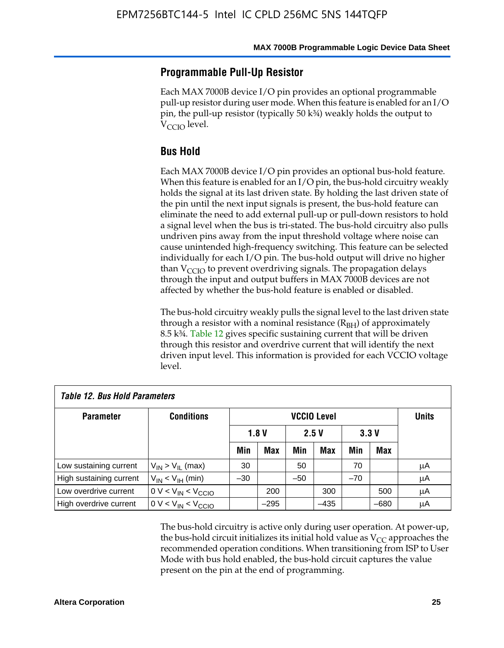### **Programmable Pull-Up Resistor**

Each MAX 7000B device I/O pin provides an optional programmable pull-up resistor during user mode. When this feature is enabled for an I/O pin, the pull-up resistor (typically 50 k¾) weakly holds the output to  $V_{CCI}$  level.

### **Bus Hold**

Each MAX 7000B device I/O pin provides an optional bus-hold feature. When this feature is enabled for an I/O pin, the bus-hold circuitry weakly holds the signal at its last driven state. By holding the last driven state of the pin until the next input signals is present, the bus-hold feature can eliminate the need to add external pull-up or pull-down resistors to hold a signal level when the bus is tri-stated. The bus-hold circuitry also pulls undriven pins away from the input threshold voltage where noise can cause unintended high-frequency switching. This feature can be selected individually for each I/O pin. The bus-hold output will drive no higher than  $V_{\text{C}CD}$  to prevent overdriving signals. The propagation delays through the input and output buffers in MAX 7000B devices are not affected by whether the bus-hold feature is enabled or disabled.

The bus-hold circuitry weakly pulls the signal level to the last driven state through a resistor with a nominal resistance  $(R<sub>BH</sub>)$  of approximately 8.5 k¾. Table 12 gives specific sustaining current that will be driven through this resistor and overdrive current that will identify the next driven input level. This information is provided for each VCCIO voltage level.

| <b>Table 12. Bus Hold Parameters</b> |                           |                    |            |       |        |       |              |    |
|--------------------------------------|---------------------------|--------------------|------------|-------|--------|-------|--------------|----|
| <b>Parameter</b>                     | <b>Conditions</b>         | <b>VCCIO Level</b> |            |       |        |       | <b>Units</b> |    |
|                                      |                           | 1.8V<br>2.5V       |            | 3.3V  |        |       |              |    |
|                                      |                           | Min                | <b>Max</b> | Min   | Max    | Min   | Max          |    |
| Low sustaining current               | $V_{IN}$ > $V_{II}$ (max) | 30                 |            | 50    |        | 70    |              | μA |
| High sustaining current              | $V_{IN}$ < $V_{IH}$ (min) | $-30$              |            | $-50$ |        | $-70$ |              | μA |
| Low overdrive current                | $0 V < V_{IN} < V_{CCIO}$ |                    | 200        |       | 300    |       | 500          | μA |
| High overdrive current               | $0 V < V_{IN} < V_{CCIO}$ |                    | $-295$     |       | $-435$ |       | $-680$       | μA |

The bus-hold circuitry is active only during user operation. At power-up, the bus-hold circuit initializes its initial hold value as  $V_{CC}$  approaches the recommended operation conditions. When transitioning from ISP to User Mode with bus hold enabled, the bus-hold circuit captures the value present on the pin at the end of programming.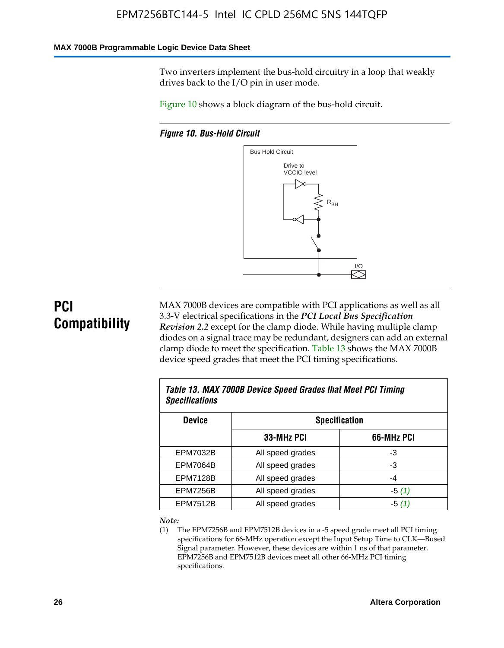#### **MAX 7000B Programmable Logic Device Data Sheet**

Two inverters implement the bus-hold circuitry in a loop that weakly drives back to the I/O pin in user mode.

Figure 10 shows a block diagram of the bus-hold circuit.

*Figure 10. Bus-Hold Circuit*



# **PCI Compatibility**

MAX 7000B devices are compatible with PCI applications as well as all 3.3-V electrical specifications in the *PCI Local Bus Specification Revision 2.2* except for the clamp diode. While having multiple clamp diodes on a signal trace may be redundant, designers can add an external clamp diode to meet the specification. Table 13 shows the MAX 7000B device speed grades that meet the PCI timing specifications.

| Table 13. MAX 7000B Device Speed Grades that Meet PCI Timing<br><b>Specifications</b> |                      |            |  |  |  |  |
|---------------------------------------------------------------------------------------|----------------------|------------|--|--|--|--|
| <b>Device</b>                                                                         | <b>Specification</b> |            |  |  |  |  |
|                                                                                       | 33-MHz PCI           | 66-MHz PCI |  |  |  |  |
| EPM7032B                                                                              | All speed grades     | -3         |  |  |  |  |
| <b>EPM7064B</b>                                                                       | All speed grades     | -3         |  |  |  |  |
| <b>EPM7128B</b>                                                                       | All speed grades     | $-4$       |  |  |  |  |
| <b>EPM7256B</b>                                                                       | All speed grades     | $-5(1)$    |  |  |  |  |
| <b>EPM7512B</b>                                                                       | All speed grades     | $-5(1)$    |  |  |  |  |

#### *Note:*

(1) The EPM7256B and EPM7512B devices in a -5 speed grade meet all PCI timing specifications for 66-MHz operation except the Input Setup Time to CLK—Bused Signal parameter. However, these devices are within 1 ns of that parameter. EPM7256B and EPM7512B devices meet all other 66-MHz PCI timing specifications.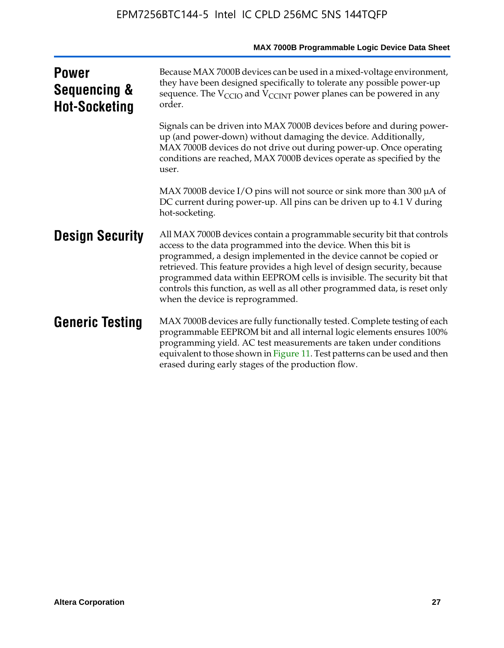| <b>Power</b><br><b>Sequencing &amp;</b><br><b>Hot-Socketing</b> | Because MAX 7000B devices can be used in a mixed-voltage environment,<br>they have been designed specifically to tolerate any possible power-up<br>sequence. The $V_{\text{CCIO}}$ and $V_{\text{CCINT}}$ power planes can be powered in any<br>order.                                                                                                                                                                                                                                      |
|-----------------------------------------------------------------|---------------------------------------------------------------------------------------------------------------------------------------------------------------------------------------------------------------------------------------------------------------------------------------------------------------------------------------------------------------------------------------------------------------------------------------------------------------------------------------------|
|                                                                 | Signals can be driven into MAX 7000B devices before and during power-<br>up (and power-down) without damaging the device. Additionally,<br>MAX 7000B devices do not drive out during power-up. Once operating<br>conditions are reached, MAX 7000B devices operate as specified by the<br>user.                                                                                                                                                                                             |
|                                                                 | MAX 7000B device I/O pins will not source or sink more than 300 µA of<br>DC current during power-up. All pins can be driven up to 4.1 V during<br>hot-socketing.                                                                                                                                                                                                                                                                                                                            |
| <b>Design Security</b>                                          | All MAX 7000B devices contain a programmable security bit that controls<br>access to the data programmed into the device. When this bit is<br>programmed, a design implemented in the device cannot be copied or<br>retrieved. This feature provides a high level of design security, because<br>programmed data within EEPROM cells is invisible. The security bit that<br>controls this function, as well as all other programmed data, is reset only<br>when the device is reprogrammed. |
| <b>Generic Testing</b>                                          | MAX 7000B devices are fully functionally tested. Complete testing of each<br>programmable EEPROM bit and all internal logic elements ensures 100%<br>programming yield. AC test measurements are taken under conditions<br>equivalent to those shown in Figure 11. Test patterns can be used and then<br>erased during early stages of the production flow.                                                                                                                                 |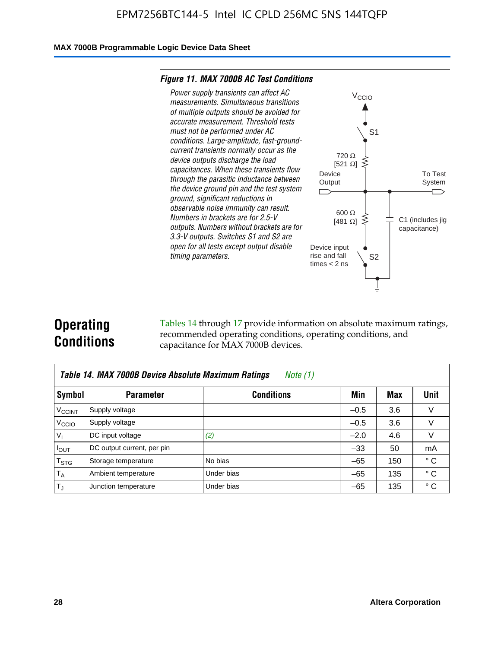#### **MAX 7000B Programmable Logic Device Data Sheet**

#### *Figure 11. MAX 7000B AC Test Conditions*



# **Operating Conditions**

Tables 14 through 17 provide information on absolute maximum ratings, recommended operating conditions, operating conditions, and capacitance for MAX 7000B devices.

| Table 14. MAX 7000B Device Absolute Maximum Ratings<br>Note $(1)$ |                            |                   |        |     |              |  |  |  |
|-------------------------------------------------------------------|----------------------------|-------------------|--------|-----|--------------|--|--|--|
| Symbol                                                            | <b>Parameter</b>           | <b>Conditions</b> | Min    | Max | Unit         |  |  |  |
| <b>V<sub>CCINT</sub></b>                                          | Supply voltage             |                   | $-0.5$ | 3.6 | v            |  |  |  |
| V <sub>CCIO</sub>                                                 | Supply voltage             |                   | $-0.5$ | 3.6 | $\vee$       |  |  |  |
| $V_1$                                                             | DC input voltage           | (2)               | $-2.0$ | 4.6 | V            |  |  |  |
| $I_{OUT}$                                                         | DC output current, per pin |                   | $-33$  | 50  | mA           |  |  |  |
| $T_{STG}$                                                         | Storage temperature        | No bias           | $-65$  | 150 | $^{\circ}$ C |  |  |  |
| $T_A$                                                             | Ambient temperature        | Under bias        | $-65$  | 135 | $^{\circ}$ C |  |  |  |
| $T_{\text{J}}$                                                    | Junction temperature       | Under bias        | $-65$  | 135 | ° C          |  |  |  |

To Test System

 $\overline{\phantom{a}}$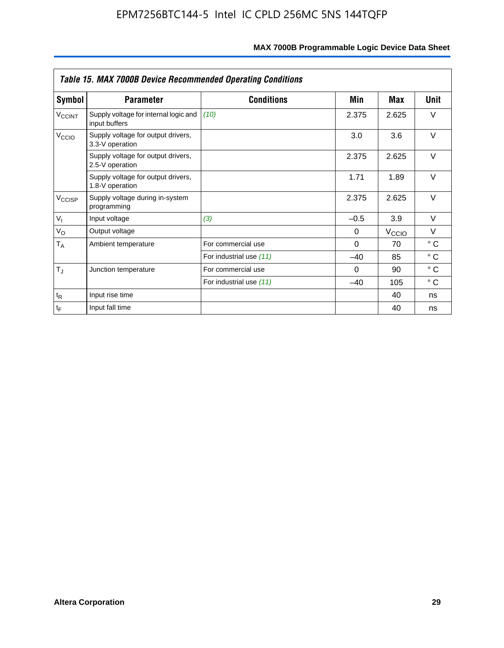| <b>Table 15. MAX 7000B Device Recommended Operating Conditions</b> |                                                        |                         |          |                   |              |  |  |
|--------------------------------------------------------------------|--------------------------------------------------------|-------------------------|----------|-------------------|--------------|--|--|
| Symbol                                                             | <b>Parameter</b>                                       | <b>Conditions</b>       | Min      | Max               | Unit         |  |  |
| $V_{\text{CCINT}}$                                                 | Supply voltage for internal logic and<br>input buffers | (10)                    | 2.375    | 2.625             | $\vee$       |  |  |
| V <sub>CCIO</sub>                                                  | Supply voltage for output drivers,<br>3.3-V operation  |                         | 3.0      | 3.6               | $\vee$       |  |  |
|                                                                    | Supply voltage for output drivers,<br>2.5-V operation  |                         | 2.375    | 2.625             | $\vee$       |  |  |
|                                                                    | Supply voltage for output drivers,<br>1.8-V operation  |                         | 1.71     | 1.89              | $\vee$       |  |  |
| $V_{\text{CCISP}}$                                                 | Supply voltage during in-system<br>programming         |                         | 2.375    | 2.625             | $\vee$       |  |  |
| $V_{1}$                                                            | Input voltage                                          | (3)                     | $-0.5$   | 3.9               | $\vee$       |  |  |
| $V_{\rm O}$                                                        | Output voltage                                         |                         | 0        | V <sub>CCIO</sub> | $\vee$       |  |  |
| T <sub>A</sub>                                                     | Ambient temperature                                    | For commercial use      | $\Omega$ | 70                | $^{\circ}$ C |  |  |
|                                                                    |                                                        | For industrial use (11) | $-40$    | 85                | $^{\circ}$ C |  |  |
| $T_{\rm J}$                                                        | Junction temperature                                   | For commercial use      | $\Omega$ | 90                | $^{\circ}$ C |  |  |
|                                                                    |                                                        | For industrial use (11) | $-40$    | 105               | $^{\circ}$ C |  |  |
| $t_{\mathsf{R}}$                                                   | Input rise time                                        |                         |          | 40                | ns           |  |  |
| $t_F$                                                              | Input fall time                                        |                         |          | 40                | ns           |  |  |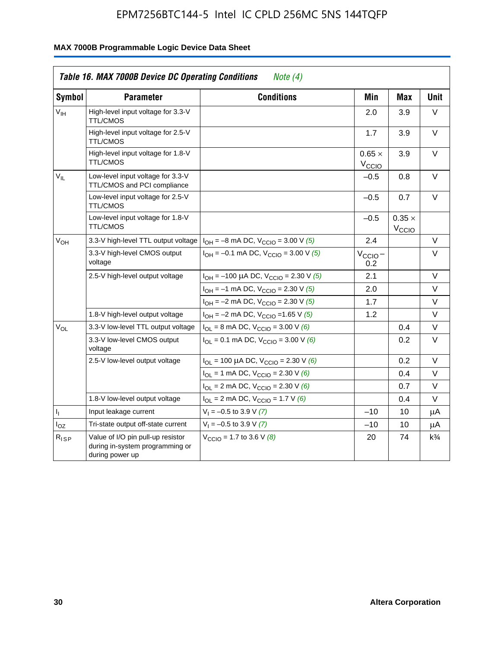|                 | <b>Table 16. MAX 7000B Device DC Operating Conditions</b>                               | Note $(4)$                                                                        |                                    |                                    |                |
|-----------------|-----------------------------------------------------------------------------------------|-----------------------------------------------------------------------------------|------------------------------------|------------------------------------|----------------|
| <b>Symbol</b>   | <b>Parameter</b>                                                                        | <b>Conditions</b>                                                                 | Min                                | <b>Max</b>                         | <b>Unit</b>    |
| $V_{\text{IH}}$ | High-level input voltage for 3.3-V<br><b>TTL/CMOS</b>                                   |                                                                                   | 2.0                                | 3.9                                | V              |
|                 | High-level input voltage for 2.5-V<br><b>TTL/CMOS</b>                                   |                                                                                   | 1.7                                | 3.9                                | V              |
|                 | High-level input voltage for 1.8-V<br><b>TTL/CMOS</b>                                   |                                                                                   | $0.65 \times$<br>$V_{\text{CCIQ}}$ | 3.9                                | $\vee$         |
| $V_{\rm H}$     | Low-level input voltage for 3.3-V<br>TTL/CMOS and PCI compliance                        |                                                                                   | $-0.5$                             | 0.8                                | V              |
|                 | Low-level input voltage for 2.5-V<br><b>TTL/CMOS</b>                                    |                                                                                   | $-0.5$                             | 0.7                                | V              |
|                 | Low-level input voltage for 1.8-V<br><b>TTL/CMOS</b>                                    |                                                                                   | $-0.5$                             | $0.35 \times$<br>V <sub>CCIO</sub> |                |
| $V_{OH}$        | 3.3-V high-level TTL output voltage                                                     | $I_{OH} = -8$ mA DC, $V_{CCIO} = 3.00$ V (5)                                      | 2.4                                |                                    | V              |
|                 | 3.3-V high-level CMOS output<br>voltage                                                 | $I_{OH} = -0.1$ mA DC, $V_{CCIO} = 3.00$ V (5)                                    | $V_{\text{CCIO}}-$<br>0.2          |                                    | $\vee$         |
|                 | 2.5-V high-level output voltage                                                         | $I_{OH}$ = -100 µA DC, $V_{CClO}$ = 2.30 V (5)                                    | 2.1                                |                                    | $\vee$         |
|                 |                                                                                         | $I_{OH} = -1$ mA DC, $V_{CClO} = 2.30$ V (5)                                      | 2.0                                |                                    | V              |
|                 |                                                                                         | $I_{OH} = -2$ mA DC, $V_{CCIO} = 2.30$ V (5)                                      | 1.7                                |                                    | V              |
|                 | 1.8-V high-level output voltage                                                         | $I_{OH} = -2$ mA DC, $V_{CCIO} = 1.65$ V (5)                                      | 1.2                                |                                    | V              |
| $V_{OL}$        | 3.3-V low-level TTL output voltage                                                      | $I_{OL}$ = 8 mA DC, $V_{CCIO}$ = 3.00 V (6)                                       |                                    | 0.4                                | V              |
|                 | 3.3-V low-level CMOS output<br>voltage                                                  | $I_{\text{OI}} = 0.1 \text{ mA DC}$ , $V_{\text{CCl}\Omega} = 3.00 \text{ V}$ (6) |                                    | 0.2                                | $\vee$         |
|                 | 2.5-V low-level output voltage                                                          | $I_{OL}$ = 100 µA DC, $V_{CClO}$ = 2.30 V (6)                                     |                                    | 0.2                                | V              |
|                 |                                                                                         | $I_{OL}$ = 1 mA DC, $V_{CCIO}$ = 2.30 V (6)                                       |                                    | 0.4                                | V              |
|                 |                                                                                         | $I_{OL}$ = 2 mA DC, $V_{CCIO}$ = 2.30 V (6)                                       |                                    | 0.7                                | V              |
|                 | 1.8-V low-level output voltage                                                          | $I_{OL}$ = 2 mA DC, $V_{CCIO}$ = 1.7 V (6)                                        |                                    | 0.4                                | $\vee$         |
| 4               | Input leakage current                                                                   | $V_1 = -0.5$ to 3.9 V (7)                                                         | $-10$                              | 10                                 | μA             |
| $I_{OZ}$        | Tri-state output off-state current                                                      | $V_1 = -0.5$ to 3.9 V (7)                                                         | $-10$                              | 10                                 | μA             |
| $R_{ISP}$       | Value of I/O pin pull-up resistor<br>during in-system programming or<br>during power up | $V_{\text{CCIO}} = 1.7$ to 3.6 V (8)                                              | 20                                 | 74                                 | $k\frac{3}{4}$ |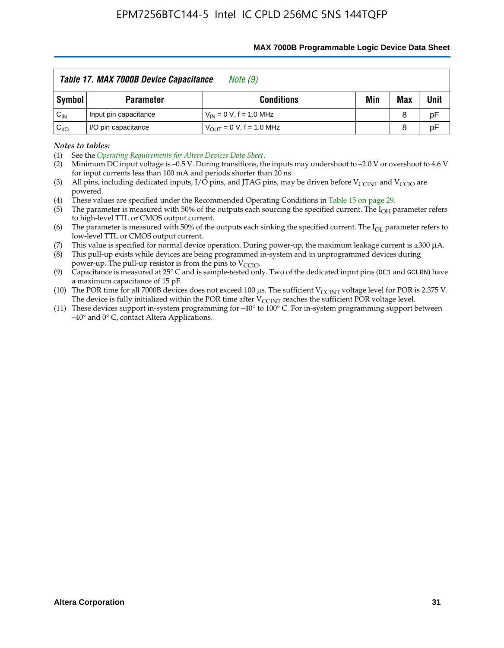|                 | Table 17. MAX 7000B Device Capacitance<br>Note (9) |                                     |     |     |             |  |  |  |  |  |  |
|-----------------|----------------------------------------------------|-------------------------------------|-----|-----|-------------|--|--|--|--|--|--|
| Symbol          | <b>Parameter</b>                                   | <b>Conditions</b>                   | Min | Max | <b>Unit</b> |  |  |  |  |  |  |
| $C_{\sf IN}$    | Input pin capacitance                              | $V_{IN} = 0 V$ , f = 1.0 MHz        |     | 8   | pF          |  |  |  |  |  |  |
| $C_{\text{IO}}$ | I/O pin capacitance                                | $V_{\text{OUT}} = 0 V, f = 1.0 MHz$ |     | 8   | pF          |  |  |  |  |  |  |

#### **MAX 7000B Programmable Logic Device Data Sheet**

*Notes to tables:*

(3) All pins, including dedicated inputs, I/O pins, and JTAG pins, may be driven before V<sub>CCINT</sub> and V<sub>CCIO</sub> are powered.

(4) These values are specified under the Recommended Operating Conditions in Table 15 on page 29.

(5) The parameter is measured with 50% of the outputs each sourcing the specified current. The  $I_{OH}$  parameter refers to high-level TTL or CMOS output current.

(6) The parameter is measured with 50% of the outputs each sinking the specified current. The  $I_{OL}$  parameter refers to low-level TTL or CMOS output current.

This value is specified for normal device operation. During power-up, the maximum leakage current is  $\pm 300$   $\mu$ A. (7) This value is specified for normal device operation. During power-up, the maximum leakage current is  $\pm 3$  (8) This pull-up exists while devices are being programmed in-system and in unprogrammed devices during

power-up. The pull-up resistor is from the pins to  $V_{\text{CCIO}}$ .

(9) Capacitance is measured at 25° C and is sample-tested only. Two of the dedicated input pins (OE1 and GCLRN) have a maximum capacitance of 15 pF.

(10) The POR time for all 7000B devices does not exceed 100 μs. The sufficient  $V_{\text{CCINT}}$  voltage level for POR is 2.375 V.

The device is fully initialized within the POR time after  $V_{\text{CCINT}}$  reaches the sufficient POR voltage level.<br>(11) These devices support in-system programming for  $-40^{\circ}$  to 100° C. For in-system programming support be –40° and 0° C, contact Altera Applications.

<sup>(1)</sup> See the *Operating Requirements for Altera Devices Data Sheet*.

<sup>(2)</sup> Minimum DC input voltage is –0.5 V. During transitions, the inputs may undershoot to –2.0 V or overshoot to 4.6 V for input currents less than 100 mA and periods shorter than 20 ns.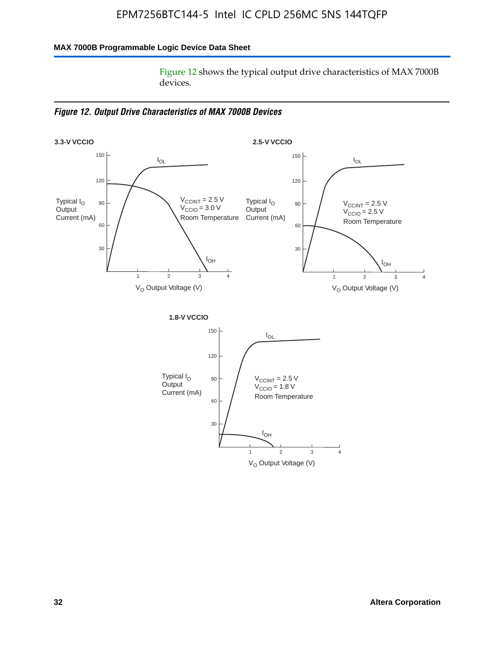### **MAX 7000B Programmable Logic Device Data Sheet**

Figure 12 shows the typical output drive characteristics of MAX 7000B devices.

*Figure 12. Output Drive Characteristics of MAX 7000B Devices*

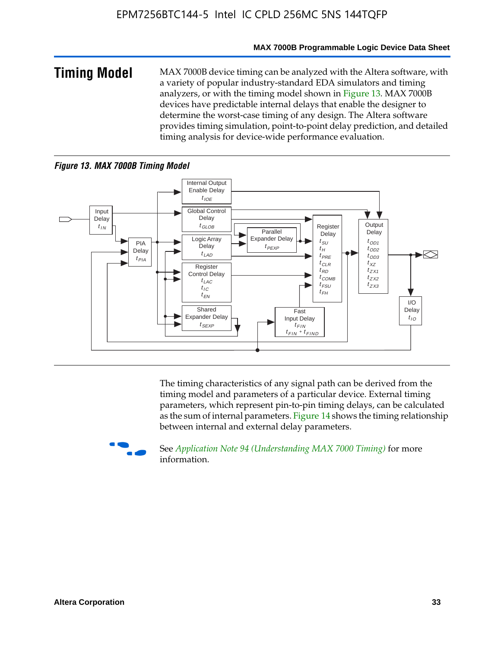#### **MAX 7000B Programmable Logic Device Data Sheet**

**Timing Model** MAX 7000B device timing can be analyzed with the Altera software, with a variety of popular industry-standard EDA simulators and timing analyzers, or with the timing model shown in Figure 13. MAX 7000B devices have predictable internal delays that enable the designer to determine the worst-case timing of any design. The Altera software provides timing simulation, point-to-point delay prediction, and detailed timing analysis for device-wide performance evaluation.

#### *Figure 13. MAX 7000B Timing Model*



The timing characteristics of any signal path can be derived from the timing model and parameters of a particular device. External timing parameters, which represent pin-to-pin timing delays, can be calculated as the sum of internal parameters. Figure 14 shows the timing relationship between internal and external delay parameters.



f See *Application Note 94 (Understanding MAX 7000 Timing)* for more information.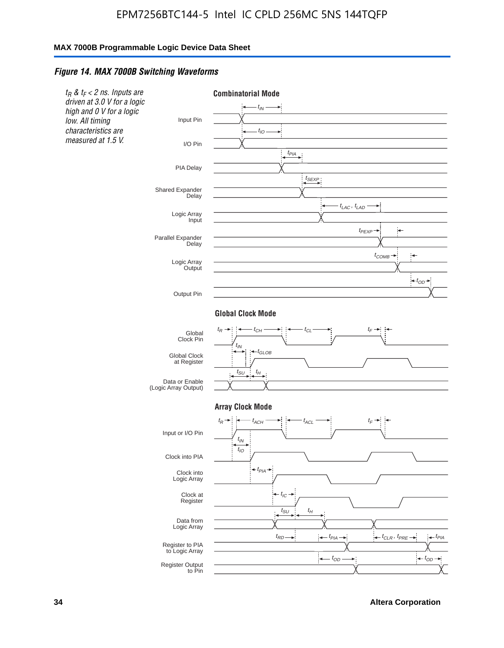#### *Figure 14. MAX 7000B Switching Waveforms*



**34 Altera Corporation**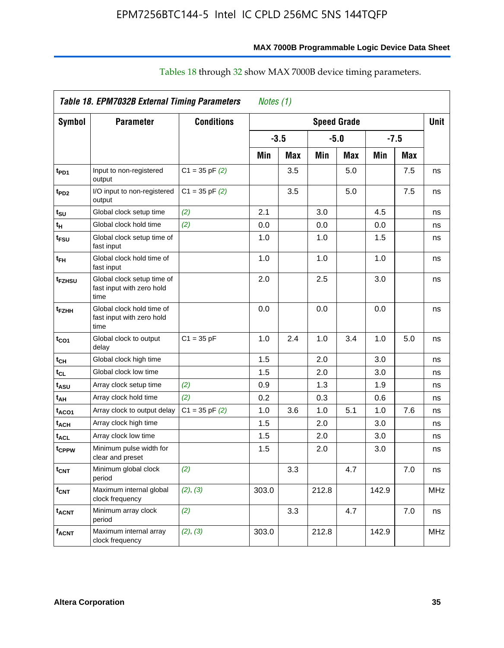# **MAX 7000B Programmable Logic Device Data Sheet**

|                         | Table 18. EPM7032B External Timing Parameters<br>Notes (1)      |                    |       |        |       |                    |       |        |             |  |
|-------------------------|-----------------------------------------------------------------|--------------------|-------|--------|-------|--------------------|-------|--------|-------------|--|
| Symbol                  | <b>Parameter</b>                                                | <b>Conditions</b>  |       |        |       | <b>Speed Grade</b> |       |        | <b>Unit</b> |  |
|                         |                                                                 |                    |       | $-3.5$ |       | $-5.0$             |       | $-7.5$ |             |  |
|                         |                                                                 |                    | Min   | Max    | Min   | Max                | Min   | Max    |             |  |
| t <sub>PD1</sub>        | Input to non-registered<br>output                               | $C1 = 35$ pF $(2)$ |       | 3.5    |       | 5.0                |       | 7.5    | ns          |  |
| t <sub>PD2</sub>        | I/O input to non-registered<br>output                           | $C1 = 35$ pF $(2)$ |       | 3.5    |       | 5.0                |       | 7.5    | ns          |  |
| $t_{\text{SU}}$         | Global clock setup time                                         | (2)                | 2.1   |        | 3.0   |                    | 4.5   |        | ns          |  |
| tμ                      | Global clock hold time                                          | (2)                | 0.0   |        | 0.0   |                    | 0.0   |        | ns          |  |
| t <sub>FSU</sub>        | Global clock setup time of<br>fast input                        |                    | 1.0   |        | 1.0   |                    | 1.5   |        | ns          |  |
| $t_{FH}$                | Global clock hold time of<br>fast input                         |                    | 1.0   |        | 1.0   |                    | 1.0   |        | ns          |  |
| t <sub>FZHSU</sub>      | Global clock setup time of<br>fast input with zero hold<br>time |                    | 2.0   |        | 2.5   |                    | 3.0   |        | ns          |  |
| t <sub>FZHH</sub>       | Global clock hold time of<br>fast input with zero hold<br>time  |                    | 0.0   |        | 0.0   |                    | 0.0   |        | ns          |  |
| $t_{CO1}$               | Global clock to output<br>delay                                 | $C1 = 35 pF$       | 1.0   | 2.4    | 1.0   | 3.4                | 1.0   | 5.0    | ns          |  |
| t <sub>СН</sub>         | Global clock high time                                          |                    | 1.5   |        | 2.0   |                    | 3.0   |        | ns          |  |
| $t_{CL}$                | Global clock low time                                           |                    | 1.5   |        | 2.0   |                    | 3.0   |        | ns          |  |
| t <sub>ASU</sub>        | Array clock setup time                                          | (2)                | 0.9   |        | 1.3   |                    | 1.9   |        | ns          |  |
| t <sub>АН</sub>         | Array clock hold time                                           | (2)                | 0.2   |        | 0.3   |                    | 0.6   |        | ns          |  |
| t <sub>ACO1</sub>       | Array clock to output delay                                     | $C1 = 35$ pF $(2)$ | 1.0   | 3.6    | 1.0   | 5.1                | 1.0   | 7.6    | ns          |  |
| t <sub>ACH</sub>        | Array clock high time                                           |                    | 1.5   |        | 2.0   |                    | 3.0   |        | ns          |  |
| $t_{\text{ACL}}$        | Array clock low time                                            |                    | 1.5   |        | 2.0   |                    | 3.0   |        | ns          |  |
| t <sub>CPPW</sub>       | Minimum pulse width for<br>clear and preset                     |                    | 1.5   |        | 2.0   |                    | 3.0   |        | ns          |  |
| $t_{\text{CNT}}$        | Minimum global clock<br>period                                  | (2)                |       | 3.3    |       | 4.7                |       | 7.0    | ns          |  |
| $f_{CNT}$               | Maximum internal global<br>clock frequency                      | (2), (3)           | 303.0 |        | 212.8 |                    | 142.9 |        | <b>MHz</b>  |  |
| <b>t<sub>ACNT</sub></b> | Minimum array clock<br>period                                   | (2)                |       | 3.3    |       | 4.7                |       | 7.0    | ns          |  |
| <b>f<sub>ACNT</sub></b> | Maximum internal array<br>clock frequency                       | (2), (3)           | 303.0 |        | 212.8 |                    | 142.9 |        | <b>MHz</b>  |  |

# Tables 18 through 32 show MAX 7000B device timing parameters.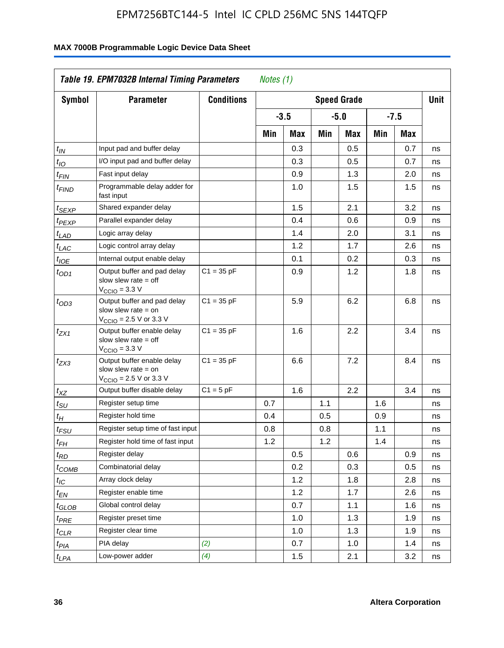| <b>Symbol</b>               | <b>Parameter</b>                                                                                           | <b>Conditions</b> |     |        |     | <b>Speed Grade</b> |     |            | <b>Unit</b> |
|-----------------------------|------------------------------------------------------------------------------------------------------------|-------------------|-----|--------|-----|--------------------|-----|------------|-------------|
|                             |                                                                                                            |                   |     | $-3.5$ |     | $-5.0$             |     | $-7.5$     |             |
|                             |                                                                                                            |                   | Min | Max    | Min | Max                | Min | <b>Max</b> |             |
| $t_{\mathsf{IN}}$           | Input pad and buffer delay                                                                                 |                   |     | 0.3    |     | 0.5                |     | 0.7        | ns          |
| $t_{IO}$                    | I/O input pad and buffer delay                                                                             |                   |     | 0.3    |     | 0.5                |     | 0.7        | ns          |
| $t_{\sf FIN}$               | Fast input delay                                                                                           |                   |     | 0.9    |     | 1.3                |     | 2.0        | ns          |
| <sup>t</sup> FIND           | Programmable delay adder for<br>fast input                                                                 |                   |     | 1.0    |     | 1.5                |     | 1.5        | ns          |
| t <sub>SEXP</sub>           | Shared expander delay                                                                                      |                   |     | 1.5    |     | 2.1                |     | 3.2        | ns          |
| t <sub>PEXP</sub>           | Parallel expander delay                                                                                    |                   |     | 0.4    |     | 0.6                |     | 0.9        | ns          |
| t <sub>LAD</sub>            | Logic array delay                                                                                          |                   |     | 1.4    |     | 2.0                |     | 3.1        | ns          |
| $t_{LAC}$                   | Logic control array delay                                                                                  |                   |     | 1.2    |     | 1.7                |     | 2.6        | ns          |
| $t_{\mathit{IOE}}$          | Internal output enable delay                                                                               |                   |     | 0.1    |     | 0.2                |     | 0.3        | ns          |
| $t_{OD1}$                   | Output buffer and pad delay<br>slow slew rate $=$ off<br>$VCCIO = 3.3 V$                                   | $C1 = 35 pF$      |     | 0.9    |     | 1.2                |     | 1.8        | ns          |
| $t_{OD3}$                   | Output buffer and pad delay<br>slow slew rate $=$ on<br>V <sub>CCIO</sub> = 2.5 V or 3.3 V                 | $C1 = 35 pF$      |     | 5.9    |     | 6.2                |     | 6.8        | ns          |
| $t_{ZX1}$                   | Output buffer enable delay<br>slow slew rate $=$ off<br>$V_{\text{CCIO}} = 3.3 \text{ V}$                  | $C1 = 35 pF$      |     | 1.6    |     | 2.2                |     | 3.4        | ns          |
| $t_{ZX3}$                   | Output buffer enable delay<br>slow slew rate $=$ on<br>$V_{\text{CCIO}} = 2.5 \text{ V or } 3.3 \text{ V}$ | $C1 = 35 pF$      |     | 6.6    |     | 7.2                |     | 8.4        | ns          |
| $t_{XZ}$                    | Output buffer disable delay                                                                                | $C1 = 5pF$        |     | 1.6    |     | 2.2                |     | 3.4        | ns          |
| $t_{\scriptstyle\text{SU}}$ | Register setup time                                                                                        |                   | 0.7 |        | 1.1 |                    | 1.6 |            | ns          |
| t <sub>Η</sub>              | Register hold time                                                                                         |                   | 0.4 |        | 0.5 |                    | 0.9 |            | ns          |
| $t_{\mathit{FSU}}$          | Register setup time of fast input                                                                          |                   | 0.8 |        | 0.8 |                    | 1.1 |            | ns          |
| t <sub>FH</sub>             | Register hold time of fast input                                                                           |                   | 1.2 |        | 1.2 |                    | 1.4 |            | ns          |
| $t_{RD}$                    | Register delay                                                                                             |                   |     | 0.5    |     | 0.6                |     | 0.9        | ns          |
| $t_{COMB}$                  | Combinatorial delay                                                                                        |                   |     | 0.2    |     | 0.3                |     | 0.5        | ns          |
| $t_{\mathcal{IC}}$          | Array clock delay                                                                                          |                   |     | 1.2    |     | 1.8                |     | 2.8        | ns          |
| $t_{EN}$                    | Register enable time                                                                                       |                   |     | 1.2    |     | 1.7                |     | 2.6        | ns          |
| t <sub>GLOB</sub>           | Global control delay                                                                                       |                   |     | 0.7    |     | 1.1                |     | 1.6        | ns          |
| $t_{PRE}$                   | Register preset time                                                                                       |                   |     | 1.0    |     | 1.3                |     | 1.9        | ns          |
| $t_{\text{CLR}}$            | Register clear time                                                                                        |                   |     | 1.0    |     | 1.3                |     | 1.9        | ns          |
| t <sub>PIA</sub>            | PIA delay                                                                                                  | (2)               |     | 0.7    |     | 1.0                |     | 1.4        | ns          |
| t <sub>LPA</sub>            | Low-power adder                                                                                            | (4)               |     | 1.5    |     | 2.1                |     | 3.2        | ns          |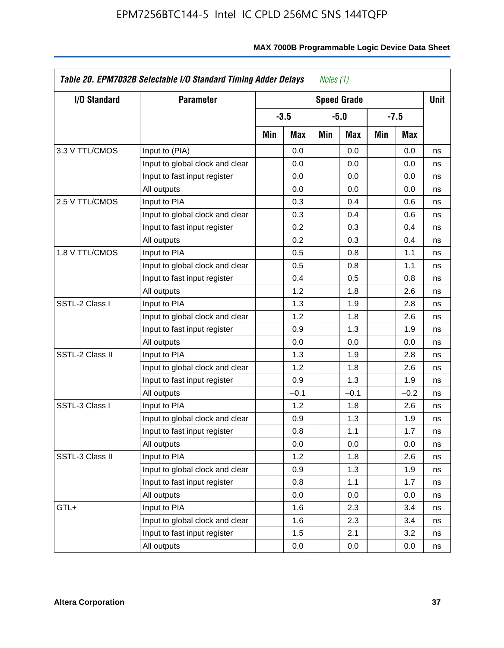| <b>I/O Standard</b> | <b>Parameter</b>                |     |        |     | <b>Speed Grade</b> |     |        | <b>Unit</b> |
|---------------------|---------------------------------|-----|--------|-----|--------------------|-----|--------|-------------|
|                     |                                 |     | $-3.5$ |     | $-5.0$             |     | $-7.5$ |             |
|                     |                                 | Min | Max    | Min | Max                | Min | Max    |             |
| 3.3 V TTL/CMOS      | Input to (PIA)                  |     | 0.0    |     | 0.0                |     | 0.0    | ns          |
|                     | Input to global clock and clear |     | 0.0    |     | 0.0                |     | 0.0    | ns          |
|                     | Input to fast input register    |     | 0.0    |     | 0.0                |     | 0.0    | ns          |
|                     | All outputs                     |     | 0.0    |     | 0.0                |     | 0.0    | ns          |
| 2.5 V TTL/CMOS      | Input to PIA                    |     | 0.3    |     | 0.4                |     | 0.6    | ns          |
|                     | Input to global clock and clear |     | 0.3    |     | 0.4                |     | 0.6    | ns          |
|                     | Input to fast input register    |     | 0.2    |     | 0.3                |     | 0.4    | ns          |
|                     | All outputs                     |     | 0.2    |     | 0.3                |     | 0.4    | ns          |
| 1.8 V TTL/CMOS      | Input to PIA                    |     | 0.5    |     | 0.8                |     | 1.1    | ns          |
|                     | Input to global clock and clear |     | 0.5    |     | 0.8                |     | 1.1    | ns          |
|                     | Input to fast input register    |     | 0.4    |     | 0.5                |     | 0.8    | ns          |
|                     | All outputs                     |     | 1.2    |     | 1.8                |     | 2.6    | ns          |
| SSTL-2 Class I      | Input to PIA                    |     | 1.3    |     | 1.9                |     | 2.8    | ns          |
|                     | Input to global clock and clear |     | 1.2    |     | 1.8                |     | 2.6    | ns          |
|                     | Input to fast input register    |     | 0.9    |     | 1.3                |     | 1.9    | ns          |
|                     | All outputs                     |     | 0.0    |     | 0.0                |     | 0.0    | ns          |
| SSTL-2 Class II     | Input to PIA                    |     | 1.3    |     | 1.9                |     | 2.8    | ns          |
|                     | Input to global clock and clear |     | 1.2    |     | 1.8                |     | 2.6    | ns          |
|                     | Input to fast input register    |     | 0.9    |     | 1.3                |     | 1.9    | ns          |
|                     | All outputs                     |     | $-0.1$ |     | $-0.1$             |     | $-0.2$ | ns          |
| SSTL-3 Class I      | Input to PIA                    |     | 1.2    |     | 1.8                |     | 2.6    | ns          |
|                     | Input to global clock and clear |     | 0.9    |     | 1.3                |     | 1.9    | ns          |
|                     | Input to fast input register    |     | 0.8    |     | 1.1                |     | 1.7    | ns          |
|                     | All outputs                     |     | 0.0    |     | 0.0                |     | 0.0    | ns          |
| SSTL-3 Class II     | Input to PIA                    |     | 1.2    |     | 1.8                |     | 2.6    | ns          |
|                     | Input to global clock and clear |     | 0.9    |     | 1.3                |     | 1.9    | ns          |
|                     | Input to fast input register    |     | 0.8    |     | 1.1                |     | 1.7    | ns          |
|                     | All outputs                     |     | 0.0    |     | 0.0                |     | 0.0    | ns          |
| GTL+                | Input to PIA                    |     | 1.6    |     | 2.3                |     | 3.4    | ns          |
|                     | Input to global clock and clear |     | 1.6    |     | 2.3                |     | 3.4    | ns          |
|                     | Input to fast input register    |     | 1.5    |     | 2.1                |     | 3.2    | ns          |
|                     | All outputs                     |     | 0.0    |     | 0.0                |     | 0.0    | ns          |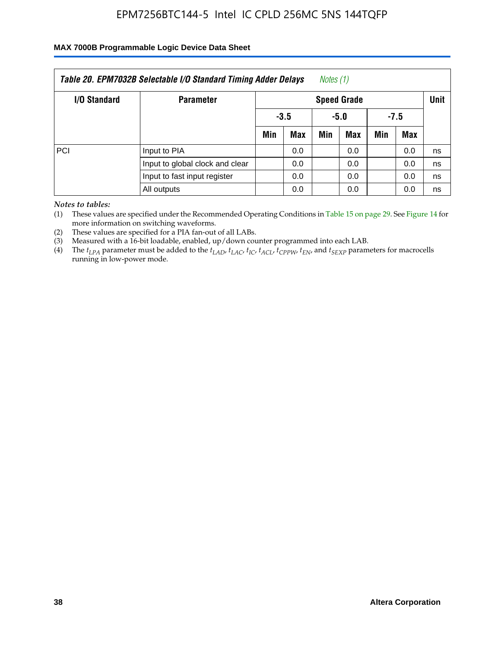### **MAX 7000B Programmable Logic Device Data Sheet**

| Table 20. EPM7032B Selectable I/O Standard Timing Adder Delays<br>Notes (1) |                              |     |                    |     |     |        |     |    |  |
|-----------------------------------------------------------------------------|------------------------------|-----|--------------------|-----|-----|--------|-----|----|--|
| I/O Standard                                                                | <b>Parameter</b>             |     | <b>Speed Grade</b> |     |     |        |     |    |  |
|                                                                             |                              |     | $-3.5$<br>-5.0     |     |     | $-7.5$ |     |    |  |
|                                                                             |                              | Min | Max                | Min | Max | Min    | Max |    |  |
| PCI                                                                         | Input to PIA                 |     | 0.0                |     | 0.0 |        | 0.0 | ns |  |
| Input to global clock and clear                                             |                              |     | 0.0                |     | 0.0 |        | 0.0 | ns |  |
|                                                                             | Input to fast input register | 0.0 |                    |     | 0.0 |        | 0.0 | ns |  |
|                                                                             | All outputs                  |     | 0.0                |     | 0.0 |        | 0.0 | ns |  |

*Notes to tables:*

(1) These values are specified under the Recommended Operating Conditions in Table 15 on page 29. See Figure 14 for more information on switching waveforms.

(2) These values are specified for a PIA fan-out of all LABs.

(3) Measured with a 16-bit loadable, enabled, up/down counter programmed into each LAB.

(4) The *tLPA* parameter must be added to the *tLAD*, *tLAC*, *tIC*, *tACL*, *tCPPW*, *tEN*, and *tSEXP* parameters for macrocells running in low-power mode.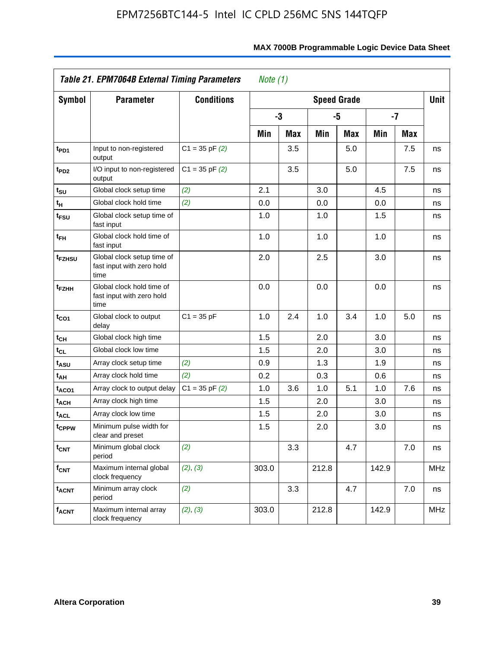|                               | Table 21. EPM7064B External Timing Parameters<br>Note $(1)$     |                    |       |            |                    |            |       |            |             |
|-------------------------------|-----------------------------------------------------------------|--------------------|-------|------------|--------------------|------------|-------|------------|-------------|
| Symbol                        | <b>Parameter</b>                                                | <b>Conditions</b>  |       |            | <b>Speed Grade</b> |            |       |            | <b>Unit</b> |
|                               |                                                                 |                    |       | -3         |                    | -5         | $-7$  |            |             |
|                               |                                                                 |                    | Min   | <b>Max</b> | Min                | <b>Max</b> | Min   | <b>Max</b> |             |
| t <sub>PD1</sub>              | Input to non-registered<br>output                               | $C1 = 35$ pF $(2)$ |       | 3.5        |                    | 5.0        |       | 7.5        | ns          |
| t <sub>PD2</sub>              | I/O input to non-registered<br>output                           | $C1 = 35$ pF $(2)$ |       | 3.5        |                    | 5.0        |       | 7.5        | ns          |
| $t_{\scriptstyle\textrm{SU}}$ | Global clock setup time                                         | (2)                | 2.1   |            | 3.0                |            | 4.5   |            | ns          |
| $t_H$                         | Global clock hold time                                          | (2)                | 0.0   |            | 0.0                |            | 0.0   |            | ns          |
| t <sub>FSU</sub>              | Global clock setup time of<br>fast input                        |                    | 1.0   |            | 1.0                |            | 1.5   |            | ns          |
| t <sub>FH</sub>               | Global clock hold time of<br>fast input                         |                    | 1.0   |            | 1.0                |            | 1.0   |            | ns          |
| t <sub>FZHSU</sub>            | Global clock setup time of<br>fast input with zero hold<br>time |                    | 2.0   |            | 2.5                |            | 3.0   |            | ns          |
| t <sub>FZНН</sub>             | Global clock hold time of<br>fast input with zero hold<br>time  |                    | 0.0   |            | 0.0                |            | 0.0   |            | ns          |
| t <sub>CO1</sub>              | Global clock to output<br>delay                                 | $C1 = 35 pF$       | 1.0   | 2.4        | 1.0                | 3.4        | 1.0   | 5.0        | ns          |
| tсн                           | Global clock high time                                          |                    | 1.5   |            | 2.0                |            | 3.0   |            | ns          |
| tcL                           | Global clock low time                                           |                    | 1.5   |            | 2.0                |            | 3.0   |            | ns          |
| t <sub>ASU</sub>              | Array clock setup time                                          | (2)                | 0.9   |            | 1.3                |            | 1.9   |            | ns          |
| t <sub>АН</sub>               | Array clock hold time                                           | (2)                | 0.2   |            | 0.3                |            | 0.6   |            | ns          |
| t <sub>ACO1</sub>             | Array clock to output delay                                     | $C1 = 35$ pF $(2)$ | 1.0   | 3.6        | 1.0                | 5.1        | 1.0   | 7.6        | ns          |
| t <sub>АСН</sub>              | Array clock high time                                           |                    | 1.5   |            | 2.0                |            | 3.0   |            | ns          |
| t <sub>ACL</sub>              | Array clock low time                                            |                    | 1.5   |            | 2.0                |            | 3.0   |            | ns          |
| t <sub>CPPW</sub>             | Minimum pulse width for<br>clear and preset                     |                    | 1.5   |            | 2.0                |            | 3.0   |            | ns          |
| $t_{\mathsf{CNT}}$            | Minimum global clock<br>period                                  | (2)                |       | 3.3        |                    | 4.7        |       | 7.0        | ns          |
| $f_{\mathsf{CNT}}$            | Maximum internal global<br>clock frequency                      | (2), (3)           | 303.0 |            | 212.8              |            | 142.9 |            | <b>MHz</b>  |
| <b>t<sub>ACNT</sub></b>       | Minimum array clock<br>period                                   | (2)                |       | 3.3        |                    | 4.7        |       | 7.0        | ns          |
| $f_{ACNT}$                    | Maximum internal array<br>clock frequency                       | (2), (3)           | 303.0 |            | 212.8              |            | 142.9 |            | <b>MHz</b>  |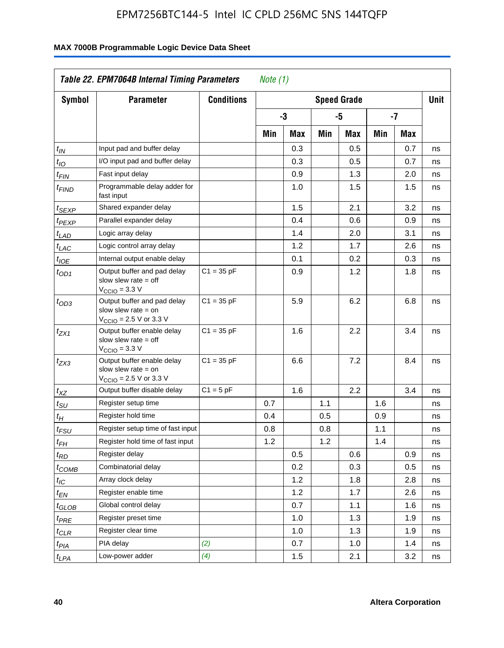| <b>Symbol</b>               | <b>Parameter</b>                                                                                           | <b>Conditions</b> |     |     |     | <b>Speed Grade</b> |     |            | <b>Unit</b> |
|-----------------------------|------------------------------------------------------------------------------------------------------------|-------------------|-----|-----|-----|--------------------|-----|------------|-------------|
|                             |                                                                                                            |                   |     | -3  |     | -5                 |     | -7         |             |
|                             |                                                                                                            |                   | Min | Max | Min | Max                | Min | <b>Max</b> |             |
| $t_{\mathit{IN}}$           | Input pad and buffer delay                                                                                 |                   |     | 0.3 |     | 0.5                |     | 0.7        | ns          |
| $t_{IO}$                    | I/O input pad and buffer delay                                                                             |                   |     | 0.3 |     | 0.5                |     | 0.7        | ns          |
| $t_{\sf FIN}$               | Fast input delay                                                                                           |                   |     | 0.9 |     | 1.3                |     | 2.0        | ns          |
| <sup>t</sup> FIND           | Programmable delay adder for<br>fast input                                                                 |                   |     | 1.0 |     | 1.5                |     | 1.5        | ns          |
| t <sub>SEXP</sub>           | Shared expander delay                                                                                      |                   |     | 1.5 |     | 2.1                |     | 3.2        | ns          |
| t <sub>PEXP</sub>           | Parallel expander delay                                                                                    |                   |     | 0.4 |     | 0.6                |     | 0.9        | ns          |
| t <sub>LAD</sub>            | Logic array delay                                                                                          |                   |     | 1.4 |     | 2.0                |     | 3.1        | ns          |
| $t_{LAC}$                   | Logic control array delay                                                                                  |                   |     | 1.2 |     | 1.7                |     | 2.6        | ns          |
| $t_{\mathit{IOE}}$          | Internal output enable delay                                                                               |                   |     | 0.1 |     | 0.2                |     | 0.3        | ns          |
| $t_{OD1}$                   | Output buffer and pad delay<br>slow slew rate $=$ off<br>$VCCIO = 3.3 V$                                   | $C1 = 35 pF$      |     | 0.9 |     | 1.2                |     | 1.8        | ns          |
| $t_{OD3}$                   | Output buffer and pad delay<br>slow slew rate $=$ on<br>V <sub>CCIO</sub> = 2.5 V or 3.3 V                 | $C1 = 35 pF$      |     | 5.9 |     | 6.2                |     | 6.8        | ns          |
| $t_{ZX1}$                   | Output buffer enable delay<br>slow slew rate $=$ off<br>$V_{\text{CCIO}} = 3.3 \text{ V}$                  | $C1 = 35 pF$      |     | 1.6 |     | 2.2                |     | 3.4        | ns          |
| $t_{ZX3}$                   | Output buffer enable delay<br>slow slew rate $=$ on<br>$V_{\text{CCIO}} = 2.5 \text{ V or } 3.3 \text{ V}$ | $C1 = 35 pF$      |     | 6.6 |     | 7.2                |     | 8.4        | ns          |
| $t_{XZ}$                    | Output buffer disable delay                                                                                | $C1 = 5pF$        |     | 1.6 |     | 2.2                |     | 3.4        | ns          |
| $t_{\scriptstyle\text{SU}}$ | Register setup time                                                                                        |                   | 0.7 |     | 1.1 |                    | 1.6 |            | ns          |
| t <sub>Η</sub>              | Register hold time                                                                                         |                   | 0.4 |     | 0.5 |                    | 0.9 |            | ns          |
| $t_{\mathit{FSU}}$          | Register setup time of fast input                                                                          |                   | 0.8 |     | 0.8 |                    | 1.1 |            | ns          |
| t <sub>FH</sub>             | Register hold time of fast input                                                                           |                   | 1.2 |     | 1.2 |                    | 1.4 |            | ns          |
| $t_{RD}$                    | Register delay                                                                                             |                   |     | 0.5 |     | 0.6                |     | 0.9        | ns          |
| $t_{COMB}$                  | Combinatorial delay                                                                                        |                   |     | 0.2 |     | 0.3                |     | 0.5        | ns          |
| $t_{\mathcal{IC}}$          | Array clock delay                                                                                          |                   |     | 1.2 |     | 1.8                |     | 2.8        | ns          |
| $t_{EN}$                    | Register enable time                                                                                       |                   |     | 1.2 |     | 1.7                |     | 2.6        | ns          |
| t <sub>GLOB</sub>           | Global control delay                                                                                       |                   |     | 0.7 |     | 1.1                |     | 1.6        | ns          |
| $t_{PRE}$                   | Register preset time                                                                                       |                   |     | 1.0 |     | 1.3                |     | 1.9        | ns          |
| $t_{\sf CLR}$               | Register clear time                                                                                        |                   |     | 1.0 |     | 1.3                |     | 1.9        | ns          |
| t <sub>PIA</sub>            | PIA delay                                                                                                  | (2)               |     | 0.7 |     | 1.0                |     | 1.4        | ns          |
| t <sub>LPA</sub>            | Low-power adder                                                                                            | (4)               |     | 1.5 |     | 2.1                |     | 3.2        | ns          |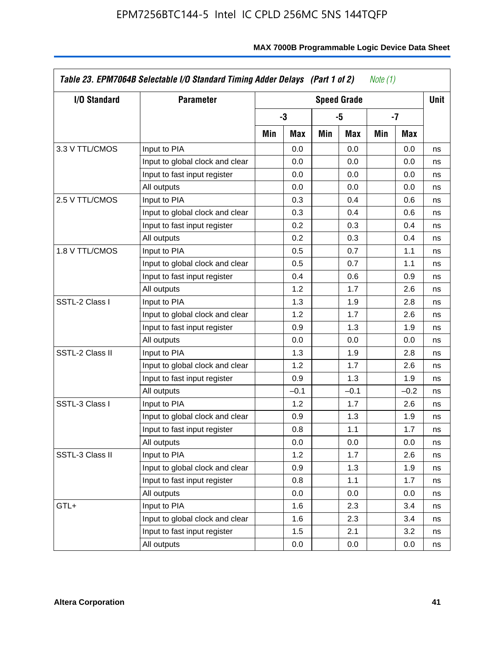| I/O Standard    | <b>Parameter</b>                |     |        |     | <b>Speed Grade</b> |     |        | <b>Unit</b> |
|-----------------|---------------------------------|-----|--------|-----|--------------------|-----|--------|-------------|
|                 |                                 |     | -3     |     | -5                 |     | $-7$   |             |
|                 |                                 | Min | Max    | Min | Max                | Min | Max    |             |
| 3.3 V TTL/CMOS  | Input to PIA                    |     | 0.0    |     | 0.0                |     | 0.0    | ns          |
|                 | Input to global clock and clear |     | 0.0    |     | 0.0                |     | 0.0    | ns          |
|                 | Input to fast input register    |     | 0.0    |     | 0.0                |     | 0.0    | ns          |
|                 | All outputs                     |     | 0.0    |     | 0.0                |     | 0.0    | ns          |
| 2.5 V TTL/CMOS  | Input to PIA                    |     | 0.3    |     | 0.4                |     | 0.6    | ns          |
|                 | Input to global clock and clear |     | 0.3    |     | 0.4                |     | 0.6    | ns          |
|                 | Input to fast input register    |     | 0.2    |     | 0.3                |     | 0.4    | ns          |
|                 | All outputs                     |     | 0.2    |     | 0.3                |     | 0.4    | ns          |
| 1.8 V TTL/CMOS  | Input to PIA                    |     | 0.5    |     | 0.7                |     | 1.1    | ns          |
|                 | Input to global clock and clear |     | 0.5    |     | 0.7                |     | 1.1    | ns          |
|                 | Input to fast input register    |     | 0.4    |     | 0.6                |     | 0.9    | ns          |
|                 | All outputs                     |     | 1.2    |     | 1.7                |     | 2.6    | ns          |
| SSTL-2 Class I  | Input to PIA                    |     | 1.3    |     | 1.9                |     | 2.8    | ns          |
|                 | Input to global clock and clear |     | 1.2    |     | 1.7                |     | 2.6    | ns          |
|                 | Input to fast input register    |     | 0.9    |     | 1.3                |     | 1.9    | ns          |
|                 | All outputs                     |     | 0.0    |     | 0.0                |     | 0.0    | ns          |
| SSTL-2 Class II | Input to PIA                    |     | 1.3    |     | 1.9                |     | 2.8    | ns          |
|                 | Input to global clock and clear |     | 1.2    |     | 1.7                |     | 2.6    | ns          |
|                 | Input to fast input register    |     | 0.9    |     | 1.3                |     | 1.9    | ns          |
|                 | All outputs                     |     | $-0.1$ |     | $-0.1$             |     | $-0.2$ | ns          |
| SSTL-3 Class I  | Input to PIA                    |     | 1.2    |     | 1.7                |     | 2.6    | ns          |
|                 | Input to global clock and clear |     | 0.9    |     | 1.3                |     | 1.9    | ns          |
|                 | Input to fast input register    |     | 0.8    |     | 1.1                |     | 1.7    | ns          |
|                 | All outputs                     |     | 0.0    |     | 0.0                |     | 0.0    | ns          |
| SSTL-3 Class II | Input to PIA                    |     | 1.2    |     | 1.7                |     | 2.6    | ns          |
|                 | Input to global clock and clear |     | 0.9    |     | 1.3                |     | 1.9    | ns          |
|                 | Input to fast input register    |     | 0.8    |     | 1.1                |     | 1.7    | ns          |
|                 | All outputs                     |     | 0.0    |     | 0.0                |     | 0.0    | ns          |
| GTL+            | Input to PIA                    |     | 1.6    |     | 2.3                |     | 3.4    | ns          |
|                 | Input to global clock and clear |     | 1.6    |     | 2.3                |     | 3.4    | ns          |
|                 | Input to fast input register    |     | 1.5    |     | 2.1                |     | 3.2    | ns          |
|                 | All outputs                     |     | 0.0    |     | 0.0                |     | 0.0    | ns          |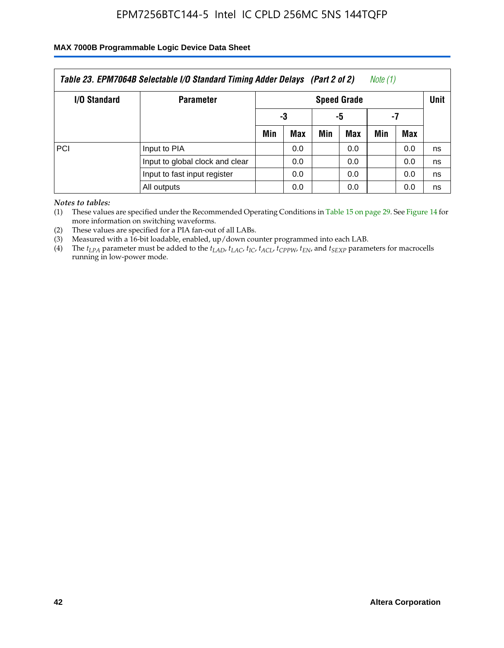#### **MAX 7000B Programmable Logic Device Data Sheet**

| Note (1)<br>Table 23. EPM7064B Selectable I/O Standard Timing Adder Delays (Part 2 of 2) |                                 |     |                    |     |     |     |     |    |  |
|------------------------------------------------------------------------------------------|---------------------------------|-----|--------------------|-----|-----|-----|-----|----|--|
| <b>I/O Standard</b>                                                                      | <b>Parameter</b>                |     | <b>Speed Grade</b> |     |     |     |     |    |  |
|                                                                                          |                                 |     | -3                 | -5  |     | -7  |     |    |  |
|                                                                                          |                                 | Min | Max                | Min | Max | Min | Max |    |  |
| PCI                                                                                      | Input to PIA                    |     | 0.0                |     | 0.0 |     | 0.0 | ns |  |
|                                                                                          | Input to global clock and clear |     | 0.0                |     | 0.0 |     | 0.0 | ns |  |
|                                                                                          | Input to fast input register    |     | 0.0                |     | 0.0 |     | 0.0 | ns |  |
|                                                                                          | All outputs                     |     | 0.0                |     | 0.0 |     | 0.0 | ns |  |

*Notes to tables:*

(1) These values are specified under the Recommended Operating Conditions in Table 15 on page 29. See Figure 14 for more information on switching waveforms.

(2) These values are specified for a PIA fan-out of all LABs.

(3) Measured with a 16-bit loadable, enabled, up/down counter programmed into each LAB.

(4) The  $t_{LPA}$  parameter must be added to the  $t_{LAD}$ ,  $t_{LAC}$ ,  $t_{IC}$ ,  $t_{ACL}$ ,  $t_{CPPW}$ ,  $t_{EN}$ , and  $t_{SEXP}$  parameters for macrocells running in low-power mode.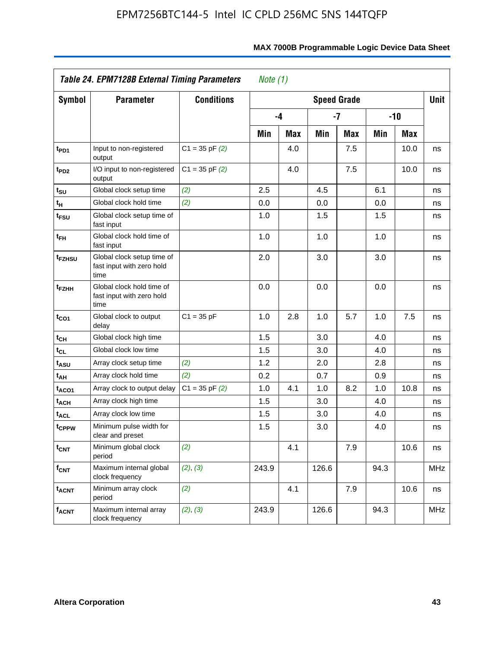|                               | Table 24. EPM7128B External Timing Parameters<br>Note $(1)$     |                    |       |            |       |                    |       |            |            |  |
|-------------------------------|-----------------------------------------------------------------|--------------------|-------|------------|-------|--------------------|-------|------------|------------|--|
| Symbol                        | <b>Parameter</b>                                                | <b>Conditions</b>  |       |            |       | <b>Speed Grade</b> |       |            | Unit       |  |
|                               |                                                                 |                    |       | -4         | $-7$  |                    | $-10$ |            |            |  |
|                               |                                                                 |                    | Min   | <b>Max</b> | Min   | <b>Max</b>         | Min   | <b>Max</b> |            |  |
| t <sub>PD1</sub>              | Input to non-registered<br>output                               | $C1 = 35$ pF $(2)$ |       | 4.0        |       | 7.5                |       | 10.0       | ns         |  |
| t <sub>PD2</sub>              | I/O input to non-registered<br>output                           | $C1 = 35$ pF $(2)$ |       | 4.0        |       | 7.5                |       | 10.0       | ns         |  |
| $t_{\scriptstyle\textrm{SU}}$ | Global clock setup time                                         | (2)                | 2.5   |            | 4.5   |                    | 6.1   |            | ns         |  |
| t <sub>Η</sub>                | Global clock hold time                                          | (2)                | 0.0   |            | 0.0   |                    | 0.0   |            | ns         |  |
| t <sub>FSU</sub>              | Global clock setup time of<br>fast input                        |                    | 1.0   |            | 1.5   |                    | 1.5   |            | ns         |  |
| t <sub>FH</sub>               | Global clock hold time of<br>fast input                         |                    | 1.0   |            | 1.0   |                    | 1.0   |            | ns         |  |
| t <sub>FZHSU</sub>            | Global clock setup time of<br>fast input with zero hold<br>time |                    | 2.0   |            | 3.0   |                    | 3.0   |            | ns         |  |
| t <sub>FZНН</sub>             | Global clock hold time of<br>fast input with zero hold<br>time  |                    | 0.0   |            | 0.0   |                    | 0.0   |            | ns         |  |
| t <sub>CO1</sub>              | Global clock to output<br>delay                                 | $C1 = 35 pF$       | 1.0   | 2.8        | 1.0   | 5.7                | 1.0   | 7.5        | ns         |  |
| tсн                           | Global clock high time                                          |                    | 1.5   |            | 3.0   |                    | 4.0   |            | ns         |  |
| tcL                           | Global clock low time                                           |                    | 1.5   |            | 3.0   |                    | 4.0   |            | ns         |  |
| tasu                          | Array clock setup time                                          | (2)                | 1.2   |            | 2.0   |                    | 2.8   |            | ns         |  |
| t <sub>АН</sub>               | Array clock hold time                                           | (2)                | 0.2   |            | 0.7   |                    | 0.9   |            | ns         |  |
| t <sub>ACO1</sub>             | Array clock to output delay                                     | $C1 = 35$ pF $(2)$ | 1.0   | 4.1        | 1.0   | 8.2                | 1.0   | 10.8       | ns         |  |
| t <sub>ACH</sub>              | Array clock high time                                           |                    | 1.5   |            | 3.0   |                    | 4.0   |            | ns         |  |
| t <sub>ACL</sub>              | Array clock low time                                            |                    | 1.5   |            | 3.0   |                    | 4.0   |            | ns         |  |
| t <sub>CPPW</sub>             | Minimum pulse width for<br>clear and preset                     |                    | 1.5   |            | 3.0   |                    | 4.0   |            | ns         |  |
| $t_{\text{CNT}}$              | Minimum global clock<br>period                                  | (2)                |       | 4.1        |       | 7.9                |       | 10.6       | ns         |  |
| $f_{\mathsf{CNT}}$            | Maximum internal global<br>clock frequency                      | (2), (3)           | 243.9 |            | 126.6 |                    | 94.3  |            | <b>MHz</b> |  |
| <b>t<sub>ACNT</sub></b>       | Minimum array clock<br>period                                   | (2)                |       | 4.1        |       | 7.9                |       | 10.6       | ns         |  |
| $f_{ACNT}$                    | Maximum internal array<br>clock frequency                       | (2), (3)           | 243.9 |            | 126.6 |                    | 94.3  |            | <b>MHz</b> |  |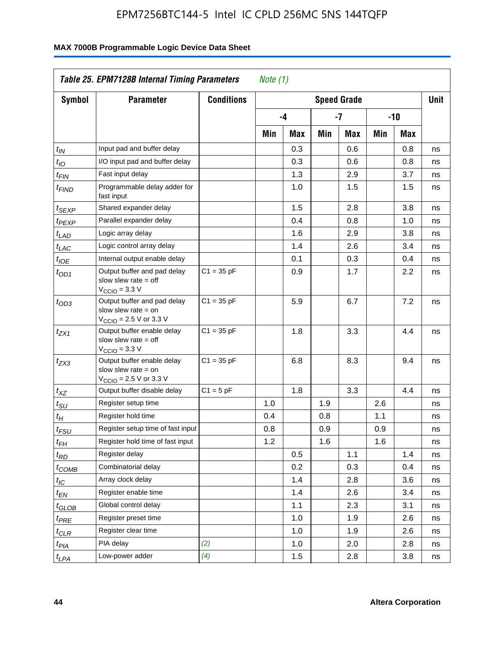|                               | Table 25. EPM7128B Internal Timing Parameters<br>Note $(1)$                                                |                   |     |     |     |                    |     |     |             |  |  |
|-------------------------------|------------------------------------------------------------------------------------------------------------|-------------------|-----|-----|-----|--------------------|-----|-----|-------------|--|--|
| <b>Symbol</b>                 | <b>Parameter</b>                                                                                           | <b>Conditions</b> |     |     |     | <b>Speed Grade</b> |     |     | <b>Unit</b> |  |  |
|                               |                                                                                                            |                   |     | -4  |     | $-7$               |     | -10 |             |  |  |
|                               |                                                                                                            |                   | Min | Max | Min | Max                | Min | Max |             |  |  |
| $t_{\mathit{IN}}$             | Input pad and buffer delay                                                                                 |                   |     | 0.3 |     | 0.6                |     | 0.8 | ns          |  |  |
| $t_{IO}$                      | I/O input pad and buffer delay                                                                             |                   |     | 0.3 |     | 0.6                |     | 0.8 | ns          |  |  |
| $t_{\sf FIN}$                 | Fast input delay                                                                                           |                   |     | 1.3 |     | 2.9                |     | 3.7 | ns          |  |  |
| <sup>t</sup> FIND             | Programmable delay adder for<br>fast input                                                                 |                   |     | 1.0 |     | 1.5                |     | 1.5 | ns          |  |  |
| t <sub>SEXP</sub>             | Shared expander delay                                                                                      |                   |     | 1.5 |     | 2.8                |     | 3.8 | ns          |  |  |
| t <sub>PEXP</sub>             | Parallel expander delay                                                                                    |                   |     | 0.4 |     | 0.8                |     | 1.0 | ns          |  |  |
| $t_{LAD}$                     | Logic array delay                                                                                          |                   |     | 1.6 |     | 2.9                |     | 3.8 | ns          |  |  |
| t <sub>LAC</sub>              | Logic control array delay                                                                                  |                   |     | 1.4 |     | 2.6                |     | 3.4 | ns          |  |  |
| $t_{\mathit{IOE}}$            | Internal output enable delay                                                                               |                   |     | 0.1 |     | 0.3                |     | 0.4 | ns          |  |  |
| $t_{OD1}$                     | Output buffer and pad delay<br>slow slew rate $=$ off<br>V <sub>CCIO</sub> = 3.3 V                         | $C1 = 35 pF$      |     | 0.9 |     | 1.7                |     | 2.2 | ns          |  |  |
| $t_{OD3}$                     | Output buffer and pad delay<br>slow slew rate $=$ on<br>$V_{\text{CCIO}}$ = 2.5 V or 3.3 V                 | $C1 = 35 pF$      |     | 5.9 |     | 6.7                |     | 7.2 | ns          |  |  |
| $t_{ZX1}$                     | Output buffer enable delay<br>slow slew rate $=$ off<br>$V_{\text{CCIO}} = 3.3 \text{ V}$                  | $C1 = 35 pF$      |     | 1.8 |     | 3.3                |     | 4.4 | ns          |  |  |
| $t_{ZX3}$                     | Output buffer enable delay<br>slow slew rate $=$ on<br>$V_{\text{CCIO}} = 2.5 \text{ V or } 3.3 \text{ V}$ | $C1 = 35 pF$      |     | 6.8 |     | 8.3                |     | 9.4 | ns          |  |  |
| $t_{\mathsf{XZ}}$             | Output buffer disable delay                                                                                | $C1 = 5pF$        |     | 1.8 |     | 3.3                |     | 4.4 | ns          |  |  |
| $t_{\scriptstyle SU}$         | Register setup time                                                                                        |                   | 1.0 |     | 1.9 |                    | 2.6 |     | ns          |  |  |
| $t_H$                         | Register hold time                                                                                         |                   | 0.4 |     | 0.8 |                    | 1.1 |     | ns          |  |  |
| $t_{\it FSU}$                 | Register setup time of fast input                                                                          |                   | 0.8 |     | 0.9 |                    | 0.9 |     | ns          |  |  |
| t <sub>FH</sub>               | Register hold time of fast input                                                                           |                   | 1.2 |     | 1.6 |                    | 1.6 |     | ns          |  |  |
| $t_{RD}$                      | Register delay                                                                                             |                   |     | 0.5 |     | 1.1                |     | 1.4 | ns          |  |  |
| $t_{\text{COMB}}$             | Combinatorial delay                                                                                        |                   |     | 0.2 |     | 0.3                |     | 0.4 | ns          |  |  |
| $t_{\mathcal{IC}}$            | Array clock delay                                                                                          |                   |     | 1.4 |     | 2.8                |     | 3.6 | ns          |  |  |
| $t_{EN}$                      | Register enable time                                                                                       |                   |     | 1.4 |     | 2.6                |     | 3.4 | ns          |  |  |
| $t_{\scriptstyle\text{GLOB}}$ | Global control delay                                                                                       |                   |     | 1.1 |     | 2.3                |     | 3.1 | ns          |  |  |
| $t_{PRE}$                     | Register preset time                                                                                       |                   |     | 1.0 |     | 1.9                |     | 2.6 | ns          |  |  |
| $t_{\sf CLR}$                 | Register clear time                                                                                        |                   |     | 1.0 |     | 1.9                |     | 2.6 | ns          |  |  |
| $t_{PIA}$                     | PIA delay                                                                                                  | (2)               |     | 1.0 |     | 2.0                |     | 2.8 | ns          |  |  |
| $t_{LPA}$                     | Low-power adder                                                                                            | (4)               |     | 1.5 |     | 2.8                |     | 3.8 | ns          |  |  |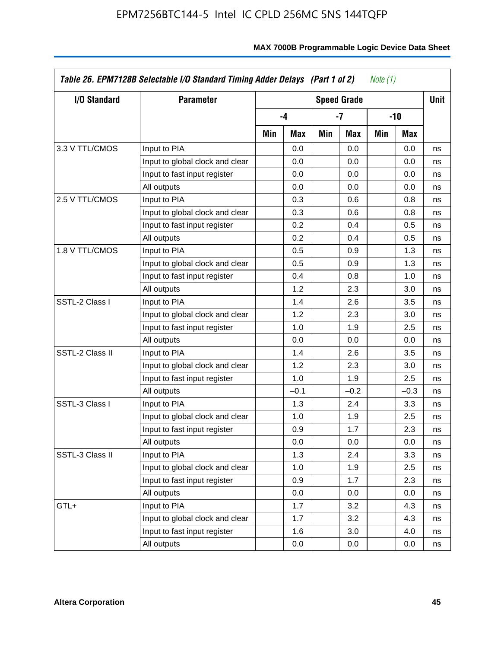| I/O Standard    | <b>Parameter</b>                | <b>Speed Grade</b> |        |     |        |     |        | <b>Unit</b> |
|-----------------|---------------------------------|--------------------|--------|-----|--------|-----|--------|-------------|
|                 |                                 |                    | $-4$   |     | -7     |     | -10    |             |
|                 |                                 | Min                | Max    | Min | Max    | Min | Max    |             |
| 3.3 V TTL/CMOS  | Input to PIA                    |                    | 0.0    |     | 0.0    |     | 0.0    | ns          |
|                 | Input to global clock and clear |                    | 0.0    |     | 0.0    |     | 0.0    | ns          |
|                 | Input to fast input register    |                    | 0.0    |     | 0.0    |     | 0.0    | ns          |
|                 | All outputs                     |                    | 0.0    |     | 0.0    |     | 0.0    | ns          |
| 2.5 V TTL/CMOS  | Input to PIA                    |                    | 0.3    |     | 0.6    |     | 0.8    | ns          |
|                 | Input to global clock and clear |                    | 0.3    |     | 0.6    |     | 0.8    | ns          |
|                 | Input to fast input register    |                    | 0.2    |     | 0.4    |     | 0.5    | ns          |
|                 | All outputs                     |                    | 0.2    |     | 0.4    |     | 0.5    | ns          |
| 1.8 V TTL/CMOS  | Input to PIA                    |                    | 0.5    |     | 0.9    |     | 1.3    | ns          |
|                 | Input to global clock and clear |                    | 0.5    |     | 0.9    |     | 1.3    | ns          |
|                 | Input to fast input register    |                    | 0.4    |     | 0.8    |     | 1.0    | ns          |
|                 | All outputs                     |                    | 1.2    |     | 2.3    |     | 3.0    | ns          |
| SSTL-2 Class I  | Input to PIA                    |                    | 1.4    |     | 2.6    |     | 3.5    | ns          |
|                 | Input to global clock and clear |                    | 1.2    |     | 2.3    |     | 3.0    | ns          |
|                 | Input to fast input register    |                    | 1.0    |     | 1.9    |     | 2.5    | ns          |
|                 | All outputs                     |                    | 0.0    |     | 0.0    |     | 0.0    | ns          |
| SSTL-2 Class II | Input to PIA                    |                    | 1.4    |     | 2.6    |     | 3.5    | ns          |
|                 | Input to global clock and clear |                    | 1.2    |     | 2.3    |     | 3.0    | ns          |
|                 | Input to fast input register    |                    | 1.0    |     | 1.9    |     | 2.5    | ns          |
|                 | All outputs                     |                    | $-0.1$ |     | $-0.2$ |     | $-0.3$ | ns          |
| SSTL-3 Class I  | Input to PIA                    |                    | 1.3    |     | 2.4    |     | 3.3    | ns          |
|                 | Input to global clock and clear |                    | 1.0    |     | 1.9    |     | 2.5    | ns          |
|                 | Input to fast input register    |                    | 0.9    |     | 1.7    |     | 2.3    | ns          |
|                 | All outputs                     |                    | 0.0    |     | 0.0    |     | 0.0    | ns          |
| SSTL-3 Class II | Input to PIA                    |                    | 1.3    |     | 2.4    |     | 3.3    | ns          |
|                 | Input to global clock and clear |                    | 1.0    |     | 1.9    |     | 2.5    | ns          |
|                 | Input to fast input register    |                    | 0.9    |     | 1.7    |     | 2.3    | ns          |
|                 | All outputs                     |                    | 0.0    |     | 0.0    |     | 0.0    | ns          |
| GTL+            | Input to PIA                    |                    | 1.7    |     | 3.2    |     | 4.3    | ns          |
|                 | Input to global clock and clear |                    | 1.7    |     | 3.2    |     | 4.3    | ns          |
|                 | Input to fast input register    |                    | 1.6    |     | 3.0    |     | 4.0    | ns          |
|                 | All outputs                     |                    | 0.0    |     | 0.0    |     | 0.0    | ns          |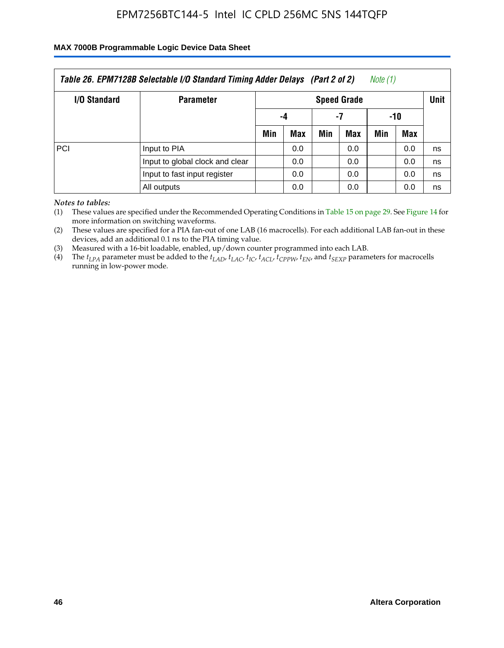#### **MAX 7000B Programmable Logic Device Data Sheet**

| Table 26. EPM7128B Selectable I/O Standard Timing Adder Delays (Part 2 of 2)<br>Note (1) |                                 |                    |     |     |     |     |     |             |  |
|------------------------------------------------------------------------------------------|---------------------------------|--------------------|-----|-----|-----|-----|-----|-------------|--|
| <b>I/O Standard</b>                                                                      | <b>Parameter</b>                | <b>Speed Grade</b> |     |     |     |     |     | <b>Unit</b> |  |
|                                                                                          |                                 | -4                 |     | -7  |     | -10 |     |             |  |
|                                                                                          |                                 | Min                | Max | Min | Max | Min | Max |             |  |
| PCI                                                                                      | Input to PIA                    |                    | 0.0 |     | 0.0 |     | 0.0 | ns          |  |
|                                                                                          | Input to global clock and clear |                    | 0.0 |     | 0.0 |     | 0.0 | ns          |  |
|                                                                                          | Input to fast input register    |                    | 0.0 |     | 0.0 |     | 0.0 | ns          |  |
|                                                                                          | All outputs                     |                    | 0.0 |     | 0.0 |     | 0.0 | ns          |  |

*Notes to tables:*

(1) These values are specified under the Recommended Operating Conditions in Table 15 on page 29. See Figure 14 for more information on switching waveforms.

(2) These values are specified for a PIA fan-out of one LAB (16 macrocells). For each additional LAB fan-out in these devices, add an additional 0.1 ns to the PIA timing value.

(3) Measured with a 16-bit loadable, enabled, up/down counter programmed into each LAB.

(4) The  $t_{LPA}$  parameter must be added to the  $t_{LAP}$ ,  $t_{LAC}$ ,  $t_{IC}$ ,  $t_{ACL}$ ,  $t_{CPPW}$ ,  $t_{EN}$ , and  $t_{SEXP}$  parameters for macrocells running in low-power mode.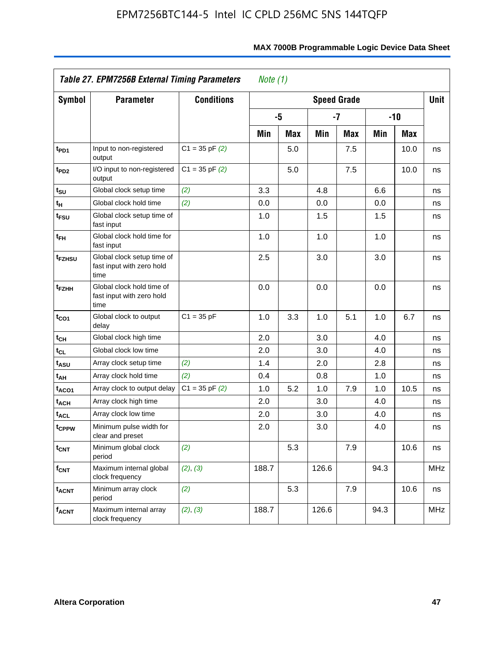|                              | Table 27. EPM7256B External Timing Parameters                   |                    |       | Note $(1)$ |                    |            |      |            |             |  |
|------------------------------|-----------------------------------------------------------------|--------------------|-------|------------|--------------------|------------|------|------------|-------------|--|
| <b>Symbol</b>                | <b>Parameter</b>                                                | <b>Conditions</b>  |       |            | <b>Speed Grade</b> |            |      |            | <b>Unit</b> |  |
|                              |                                                                 |                    |       | -5         |                    | -7         |      | $-10$      |             |  |
|                              |                                                                 |                    | Min   | <b>Max</b> | Min                | <b>Max</b> | Min  | <b>Max</b> |             |  |
| t <sub>PD1</sub>             | Input to non-registered<br>output                               | $C1 = 35$ pF $(2)$ |       | 5.0        |                    | 7.5        |      | 10.0       | ns          |  |
| t <sub>PD2</sub>             | I/O input to non-registered<br>output                           | $C1 = 35$ pF $(2)$ |       | 5.0        |                    | 7.5        |      | 10.0       | ns          |  |
| $t_{\scriptstyle\text{SU}}$  | Global clock setup time                                         | (2)                | 3.3   |            | 4.8                |            | 6.6  |            | ns          |  |
| $t_H$                        | Global clock hold time                                          | (2)                | 0.0   |            | 0.0                |            | 0.0  |            | ns          |  |
| $t_{FSU}$                    | Global clock setup time of<br>fast input                        |                    | 1.0   |            | 1.5                |            | 1.5  |            | ns          |  |
| t <sub>FH</sub>              | Global clock hold time for<br>fast input                        |                    | 1.0   |            | 1.0                |            | 1.0  |            | ns          |  |
| t <sub>FZHSU</sub>           | Global clock setup time of<br>fast input with zero hold<br>time |                    | 2.5   |            | 3.0                |            | 3.0  |            | ns          |  |
| t <sub>FZHH</sub>            | Global clock hold time of<br>fast input with zero hold<br>time  |                    | 0.0   |            | 0.0                |            | 0.0  |            | ns          |  |
| $t_{CO1}$                    | Global clock to output<br>delay                                 | $C1 = 35 pF$       | 1.0   | 3.3        | 1.0                | 5.1        | 1.0  | 6.7        | ns          |  |
| $\mathfrak{t}_{\textsf{CH}}$ | Global clock high time                                          |                    | 2.0   |            | 3.0                |            | 4.0  |            | ns          |  |
| $t_{CL}$                     | Global clock low time                                           |                    | 2.0   |            | 3.0                |            | 4.0  |            | ns          |  |
| t <sub>ASU</sub>             | Array clock setup time                                          | (2)                | 1.4   |            | 2.0                |            | 2.8  |            | ns          |  |
| t <sub>АН</sub>              | Array clock hold time                                           | (2)                | 0.4   |            | 0.8                |            | 1.0  |            | ns          |  |
| t <sub>ACO1</sub>            | Array clock to output delay                                     | $C1 = 35 pF(2)$    | 1.0   | 5.2        | 1.0                | 7.9        | 1.0  | 10.5       | ns          |  |
| t <sub>ACH</sub>             | Array clock high time                                           |                    | 2.0   |            | 3.0                |            | 4.0  |            | ns          |  |
| <b>t<sub>ACL</sub></b>       | Array clock low time                                            |                    | 2.0   |            | 3.0                |            | 4.0  |            | ns          |  |
| t <sub>CPPW</sub>            | Minimum pulse width for<br>clear and preset                     |                    | 2.0   |            | 3.0                |            | 4.0  |            | ns          |  |
| <b>t<sub>CNT</sub></b>       | Minimum global clock<br>period                                  | (2)                |       | 5.3        |                    | 7.9        |      | 10.6       | ns          |  |
| $f_{CNT}$                    | Maximum internal global<br>clock frequency                      | (2), (3)           | 188.7 |            | 126.6              |            | 94.3 |            | <b>MHz</b>  |  |
| $t_{ACNT}$                   | Minimum array clock<br>period                                   | (2)                |       | 5.3        |                    | 7.9        |      | 10.6       | ns          |  |
| $f_{ACNT}$                   | Maximum internal array<br>clock frequency                       | (2), (3)           | 188.7 |            | 126.6              |            | 94.3 |            | <b>MHz</b>  |  |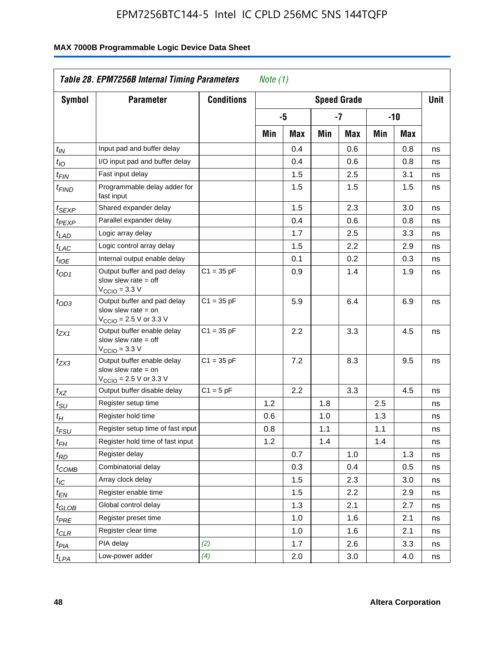| <b>Symbol</b>         | <b>Parameter</b>                                                                                            | <b>Conditions</b> |     |     |     | <b>Speed Grade</b> |     |     | <b>Unit</b> |
|-----------------------|-------------------------------------------------------------------------------------------------------------|-------------------|-----|-----|-----|--------------------|-----|-----|-------------|
|                       |                                                                                                             |                   |     | -5  |     | $-7$               |     | -10 |             |
|                       |                                                                                                             |                   | Min | Max | Min | Max                | Min | Max |             |
| $t_{\mathsf{IN}}$     | Input pad and buffer delay                                                                                  |                   |     | 0.4 |     | 0.6                |     | 0.8 | ns          |
| $t_{IO}$              | I/O input pad and buffer delay                                                                              |                   |     | 0.4 |     | 0.6                |     | 0.8 | ns          |
| $t_{\sf FIN}$         | Fast input delay                                                                                            |                   |     | 1.5 |     | 2.5                |     | 3.1 | ns          |
| t <sub>FIND</sub>     | Programmable delay adder for<br>fast input                                                                  |                   |     | 1.5 |     | 1.5                |     | 1.5 | ns          |
| t <sub>SEXP</sub>     | Shared expander delay                                                                                       |                   |     | 1.5 |     | 2.3                |     | 3.0 | ns          |
| t <sub>PEXP</sub>     | Parallel expander delay                                                                                     |                   |     | 0.4 |     | 0.6                |     | 0.8 | ns          |
| t <sub>LAD</sub>      | Logic array delay                                                                                           |                   |     | 1.7 |     | 2.5                |     | 3.3 | ns          |
| t <sub>LAC</sub>      | Logic control array delay                                                                                   |                   |     | 1.5 |     | 2.2                |     | 2.9 | ns          |
| $t_{\mathit{IOE}}$    | Internal output enable delay                                                                                |                   |     | 0.1 |     | 0.2                |     | 0.3 | ns          |
| $t_{OD1}$             | Output buffer and pad delay<br>slow slew rate $=$ off<br>$V_{\text{CCIO}} = 3.3 \text{ V}$                  | $C1 = 35 pF$      |     | 0.9 |     | 1.4                |     | 1.9 | ns          |
| $t_{OD3}$             | Output buffer and pad delay<br>slow slew rate $=$ on<br>$V_{\text{CCIO}} = 2.5 \text{ V or } 3.3 \text{ V}$ | $C1 = 35 pF$      |     | 5.9 |     | 6.4                |     | 6.9 | ns          |
| t <sub>ZX1</sub>      | Output buffer enable delay<br>slow slew rate $=$ off<br>$V_{\text{CCIO}} = 3.3 \text{ V}$                   | $C1 = 35 pF$      |     | 2.2 |     | 3.3                |     | 4.5 | ns          |
| $t_{ZX3}$             | Output buffer enable delay<br>slow slew rate $=$ on<br>$V_{\text{CCIO}} = 2.5 \text{ V or } 3.3 \text{ V}$  | $C1 = 35 pF$      |     | 7.2 |     | 8.3                |     | 9.5 | ns          |
| $t_{XZ}$              | Output buffer disable delay                                                                                 | $C1 = 5pF$        |     | 2.2 |     | 3.3                |     | 4.5 | ns          |
| $t_{\text{SU}}$       | Register setup time                                                                                         |                   | 1.2 |     | 1.8 |                    | 2.5 |     | ns          |
| $t_H$                 | Register hold time                                                                                          |                   | 0.6 |     | 1.0 |                    | 1.3 |     | ns          |
| $t_{FSU}$             | Register setup time of fast input                                                                           |                   | 0.8 |     | 1.1 |                    | 1.1 |     | ns          |
| $t_{FH}$              | Register hold time of fast input                                                                            |                   | 1.2 |     | 1.4 |                    | 1.4 |     | ns          |
| $t_{RD}$              | Register delay                                                                                              |                   |     | 0.7 |     | 1.0                |     | 1.3 | ns          |
| $t_{COMB}$            | Combinatorial delay                                                                                         |                   |     | 0.3 |     | 0.4                |     | 0.5 | ns          |
| $t_{\mathcal{IC}}$    | Array clock delay                                                                                           |                   |     | 1.5 |     | 2.3                |     | 3.0 | ns          |
| $t_{EN}$              | Register enable time                                                                                        |                   |     | 1.5 |     | 2.2                |     | 2.9 | ns          |
| t <sub>GLOB</sub>     | Global control delay                                                                                        |                   |     | 1.3 |     | 2.1                |     | 2.7 | ns          |
| $t_{PRE}$             | Register preset time                                                                                        |                   |     | 1.0 |     | 1.6                |     | 2.1 | ns          |
| ${}^t\rm{CLR}$        | Register clear time                                                                                         |                   |     | 1.0 |     | 1.6                |     | 2.1 | ns          |
| $t_{PI\underline{A}}$ | PIA delay                                                                                                   | (2)               |     | 1.7 |     | 2.6                |     | 3.3 | ns          |
| $t_{LPA}$             | Low-power adder                                                                                             | (4)               |     | 2.0 |     | 3.0                |     | 4.0 | ns          |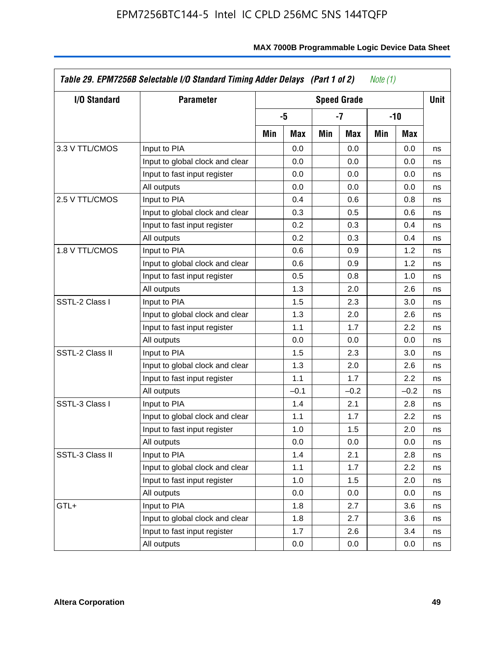| I/O Standard    | <b>Parameter</b>                |     |        |     | <b>Speed Grade</b> |     |        | <b>Unit</b> |
|-----------------|---------------------------------|-----|--------|-----|--------------------|-----|--------|-------------|
|                 |                                 |     | -5     |     | -7                 |     | -10    |             |
|                 |                                 | Min | Max    | Min | Max                | Min | Max    |             |
| 3.3 V TTL/CMOS  | Input to PIA                    |     | 0.0    |     | 0.0                |     | 0.0    | ns          |
|                 | Input to global clock and clear |     | 0.0    |     | 0.0                |     | 0.0    | ns          |
|                 | Input to fast input register    |     | 0.0    |     | 0.0                |     | 0.0    | ns          |
|                 | All outputs                     |     | 0.0    |     | 0.0                |     | 0.0    | ns          |
| 2.5 V TTL/CMOS  | Input to PIA                    |     | 0.4    |     | 0.6                |     | 0.8    | ns          |
|                 | Input to global clock and clear |     | 0.3    |     | 0.5                |     | 0.6    | ns          |
|                 | Input to fast input register    |     | 0.2    |     | 0.3                |     | 0.4    | ns          |
|                 | All outputs                     |     | 0.2    |     | 0.3                |     | 0.4    | ns          |
| 1.8 V TTL/CMOS  | Input to PIA                    |     | 0.6    |     | 0.9                |     | 1.2    | ns          |
|                 | Input to global clock and clear |     | 0.6    |     | 0.9                |     | 1.2    | ns          |
|                 | Input to fast input register    |     | 0.5    |     | 0.8                |     | 1.0    | ns          |
|                 | All outputs                     |     | 1.3    |     | 2.0                |     | 2.6    | ns          |
| SSTL-2 Class I  | Input to PIA                    |     | 1.5    |     | 2.3                |     | 3.0    | ns          |
|                 | Input to global clock and clear |     | 1.3    |     | 2.0                |     | 2.6    | ns          |
|                 | Input to fast input register    |     | 1.1    |     | 1.7                |     | 2.2    | ns          |
|                 | All outputs                     |     | 0.0    |     | 0.0                |     | 0.0    | ns          |
| SSTL-2 Class II | Input to PIA                    |     | 1.5    |     | 2.3                |     | 3.0    | ns          |
|                 | Input to global clock and clear |     | 1.3    |     | 2.0                |     | 2.6    | ns          |
|                 | Input to fast input register    |     | 1.1    |     | 1.7                |     | 2.2    | ns          |
|                 | All outputs                     |     | $-0.1$ |     | $-0.2$             |     | $-0.2$ | ns          |
| SSTL-3 Class I  | Input to PIA                    |     | 1.4    |     | 2.1                |     | 2.8    | ns          |
|                 | Input to global clock and clear |     | 1.1    |     | 1.7                |     | 2.2    | ns          |
|                 | Input to fast input register    |     | 1.0    |     | 1.5                |     | 2.0    | ns          |
|                 | All outputs                     |     | 0.0    |     | 0.0                |     | 0.0    | ns          |
| SSTL-3 Class II | Input to PIA                    |     | 1.4    |     | 2.1                |     | 2.8    | ns          |
|                 | Input to global clock and clear |     | 1.1    |     | 1.7                |     | 2.2    | ns          |
|                 | Input to fast input register    |     | 1.0    |     | 1.5                |     | 2.0    | ns          |
|                 | All outputs                     |     | 0.0    |     | 0.0                |     | 0.0    | ns          |
| GTL+            | Input to PIA                    |     | 1.8    |     | 2.7                |     | 3.6    | ns          |
|                 | Input to global clock and clear |     | 1.8    |     | 2.7                |     | 3.6    | ns          |
|                 | Input to fast input register    |     | 1.7    |     | 2.6                |     | 3.4    | ns          |
|                 | All outputs                     |     | 0.0    |     | 0.0                |     | 0.0    | ns          |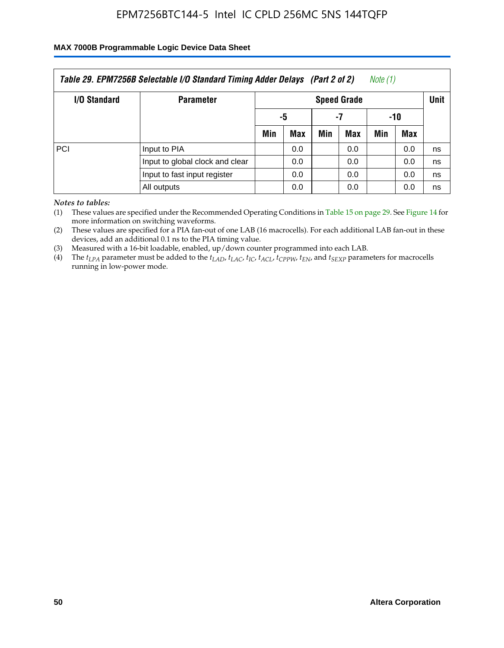#### **MAX 7000B Programmable Logic Device Data Sheet**

| Table 29. EPM7256B Selectable I/O Standard Timing Adder Delays (Part 2 of 2)<br>Note (1) |                                 |                    |     |     |     |     |     |             |  |
|------------------------------------------------------------------------------------------|---------------------------------|--------------------|-----|-----|-----|-----|-----|-------------|--|
| <b>I/O Standard</b>                                                                      | <b>Parameter</b>                | <b>Speed Grade</b> |     |     |     |     |     | <b>Unit</b> |  |
|                                                                                          |                                 | -7<br>-5           |     | -10 |     |     |     |             |  |
|                                                                                          |                                 | Min                | Max | Min | Max | Min | Max |             |  |
| PCI                                                                                      | Input to PIA                    |                    | 0.0 |     | 0.0 |     | 0.0 | ns          |  |
|                                                                                          | Input to global clock and clear |                    | 0.0 |     | 0.0 |     | 0.0 | ns          |  |
|                                                                                          | Input to fast input register    |                    | 0.0 |     | 0.0 |     | 0.0 | ns          |  |
|                                                                                          | All outputs                     |                    | 0.0 |     | 0.0 |     | 0.0 | ns          |  |

*Notes to tables:*

(1) These values are specified under the Recommended Operating Conditions in Table 15 on page 29. See Figure 14 for more information on switching waveforms.

(2) These values are specified for a PIA fan-out of one LAB (16 macrocells). For each additional LAB fan-out in these devices, add an additional 0.1 ns to the PIA timing value.

(3) Measured with a 16-bit loadable, enabled, up/down counter programmed into each LAB.

(4) The  $t_{LPA}$  parameter must be added to the  $t_{LAP}$ ,  $t_{LAP}$ ,  $t_{LCP}$ ,  $t_{ACL}$ ,  $t_{CPPW}$ ,  $t_{EN}$ , and  $t_{SEXP}$  parameters for macrocells running in low-power mode.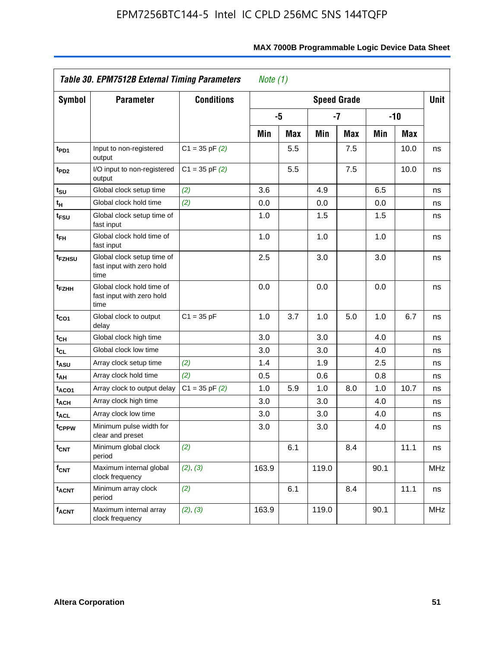|                               | Table 30. EPM7512B External Timing Parameters                   | Note $(1)$         |                    |            |       |            |      |            |            |
|-------------------------------|-----------------------------------------------------------------|--------------------|--------------------|------------|-------|------------|------|------------|------------|
| Symbol                        | <b>Parameter</b>                                                | <b>Conditions</b>  | <b>Speed Grade</b> |            |       |            |      |            |            |
|                               |                                                                 |                    |                    | -5         |       | $-7$       |      | $-10$      |            |
|                               |                                                                 |                    | Min                | <b>Max</b> | Min   | <b>Max</b> | Min  | <b>Max</b> |            |
| t <sub>PD1</sub>              | Input to non-registered<br>output                               | $C1 = 35$ pF $(2)$ |                    | 5.5        |       | 7.5        |      | 10.0       | ns         |
| t <sub>PD2</sub>              | I/O input to non-registered<br>output                           | $C1 = 35$ pF $(2)$ |                    | 5.5        |       | 7.5        |      | 10.0       | ns         |
| $t_{\scriptstyle\textrm{SU}}$ | Global clock setup time                                         | (2)                | 3.6                |            | 4.9   |            | 6.5  |            | ns         |
| tн                            | Global clock hold time                                          | (2)                | 0.0                |            | 0.0   |            | 0.0  |            | ns         |
| t <sub>FSU</sub>              | Global clock setup time of<br>fast input                        |                    | 1.0                |            | 1.5   |            | 1.5  |            | ns         |
| t <sub>FH</sub>               | Global clock hold time of<br>fast input                         |                    | 1.0                |            | 1.0   |            | 1.0  |            | ns         |
| t <sub>FZHSU</sub>            | Global clock setup time of<br>fast input with zero hold<br>time |                    | 2.5                |            | 3.0   |            | 3.0  |            | ns         |
| t <sub>FZНН</sub>             | Global clock hold time of<br>fast input with zero hold<br>time  |                    | 0.0                |            | 0.0   |            | 0.0  |            | ns         |
| t <sub>CO1</sub>              | Global clock to output<br>delay                                 | $C1 = 35 pF$       | 1.0                | 3.7        | 1.0   | 5.0        | 1.0  | 6.7        | ns         |
| tсн                           | Global clock high time                                          |                    | 3.0                |            | 3.0   |            | 4.0  |            | ns         |
| tcL                           | Global clock low time                                           |                    | 3.0                |            | 3.0   |            | 4.0  |            | ns         |
| tasu                          | Array clock setup time                                          | (2)                | 1.4                |            | 1.9   |            | 2.5  |            | ns         |
| t <sub>АН</sub>               | Array clock hold time                                           | (2)                | 0.5                |            | 0.6   |            | 0.8  |            | ns         |
| taco1                         | Array clock to output delay                                     | $C1 = 35$ pF $(2)$ | 1.0                | 5.9        | 1.0   | 8.0        | 1.0  | 10.7       | ns         |
| t <sub>ACH</sub>              | Array clock high time                                           |                    | 3.0                |            | 3.0   |            | 4.0  |            | ns         |
| t <sub>ACL</sub>              | Array clock low time                                            |                    | 3.0                |            | 3.0   |            | 4.0  |            | ns         |
| t <sub>CPPW</sub>             | Minimum pulse width for<br>clear and preset                     |                    | 3.0                |            | 3.0   |            | 4.0  |            | ns         |
| $t_{\mathsf{CNT}}$            | Minimum global clock<br>period                                  | (2)                |                    | 6.1        |       | 8.4        |      | 11.1       | ns         |
| $f_{\mathsf{CNT}}$            | Maximum internal global<br>clock frequency                      | (2), (3)           | 163.9              |            | 119.0 |            | 90.1 |            | <b>MHz</b> |
| <b>t<sub>ACNT</sub></b>       | Minimum array clock<br>period                                   | (2)                |                    | 6.1        |       | 8.4        |      | 11.1       | ns         |
| $f_{ACNT}$                    | Maximum internal array<br>clock frequency                       | (2), (3)           | 163.9              |            | 119.0 |            | 90.1 |            | MHz        |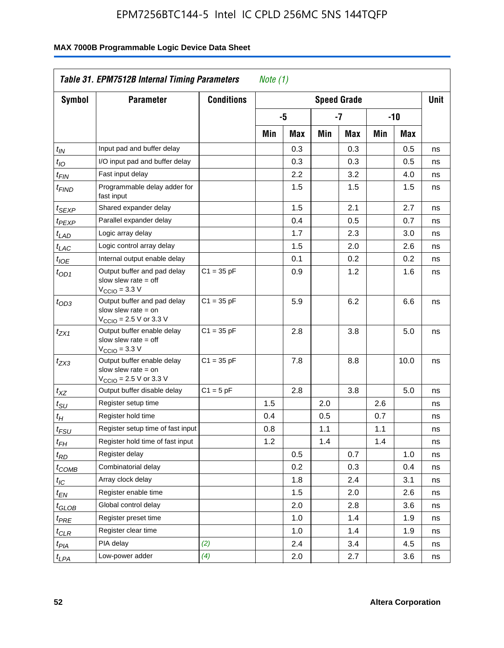| <b>Symbol</b>                 | <b>Parameter</b>                                                                                            | <b>Conditions</b> |     |     |     | <b>Speed Grade</b> |     |       | <b>Unit</b> |
|-------------------------------|-------------------------------------------------------------------------------------------------------------|-------------------|-----|-----|-----|--------------------|-----|-------|-------------|
|                               |                                                                                                             |                   |     | -5  |     | -7                 |     | $-10$ |             |
|                               |                                                                                                             |                   | Min | Max | Min | Max                | Min | Max   |             |
| $t_{IN}$                      | Input pad and buffer delay                                                                                  |                   |     | 0.3 |     | 0.3                |     | 0.5   | ns          |
| $t_{IO}$                      | I/O input pad and buffer delay                                                                              |                   |     | 0.3 |     | 0.3                |     | 0.5   | ns          |
| $t_{\mathsf{FIN}}$            | Fast input delay                                                                                            |                   |     | 2.2 |     | 3.2                |     | 4.0   | ns          |
| t <sub>FIND</sub>             | Programmable delay adder for<br>fast input                                                                  |                   |     | 1.5 |     | 1.5                |     | 1.5   | ns          |
| t <sub>SEXP</sub>             | Shared expander delay                                                                                       |                   |     | 1.5 |     | 2.1                |     | 2.7   | ns          |
| t <sub>PEXP</sub>             | Parallel expander delay                                                                                     |                   |     | 0.4 |     | 0.5                |     | 0.7   | ns          |
| t <sub>LAD</sub>              | Logic array delay                                                                                           |                   |     | 1.7 |     | 2.3                |     | 3.0   | ns          |
| $t_{LAC}$                     | Logic control array delay                                                                                   |                   |     | 1.5 |     | 2.0                |     | 2.6   | ns          |
| $t_{IOE}$                     | Internal output enable delay                                                                                |                   |     | 0.1 |     | 0.2                |     | 0.2   | ns          |
| $t_{OD1}$                     | Output buffer and pad delay<br>slow slew rate $=$ off<br>$V_{\text{CCIO}} = 3.3 V$                          | $C1 = 35 pF$      |     | 0.9 |     | 1.2                |     | 1.6   | ns          |
| $t_{OD3}$                     | Output buffer and pad delay<br>slow slew rate $=$ on<br>$V_{\text{CCIO}} = 2.5 \text{ V or } 3.3 \text{ V}$ | $C1 = 35 pF$      |     | 5.9 |     | 6.2                |     | 6.6   | ns          |
| t <sub>ZX1</sub>              | Output buffer enable delay<br>slow slew rate $=$ off<br>$V_{\text{CCIO}} = 3.3 \text{ V}$                   | $C1 = 35 pF$      |     | 2.8 |     | 3.8                |     | 5.0   | ns          |
| $t_{ZX3}$                     | Output buffer enable delay<br>slow slew rate $=$ on<br>$V_{\text{CCIO}} = 2.5 \text{ V or } 3.3 \text{ V}$  | $C1 = 35 pF$      |     | 7.8 |     | 8.8                |     | 10.0  | ns          |
| $t_{XZ}$                      | Output buffer disable delay                                                                                 | $C1 = 5pF$        |     | 2.8 |     | 3.8                |     | 5.0   | ns          |
| $t_{\text{SU}}$               | Register setup time                                                                                         |                   | 1.5 |     | 2.0 |                    | 2.6 |       | ns          |
| $t_H$                         | Register hold time                                                                                          |                   | 0.4 |     | 0.5 |                    | 0.7 |       | ns          |
| $t_{FSU}$                     | Register setup time of fast input                                                                           |                   | 0.8 |     | 1.1 |                    | 1.1 |       | ns          |
| t <sub>FH</sub>               | Register hold time of fast input                                                                            |                   | 1.2 |     | 1.4 |                    | 1.4 |       | ns          |
| $t_{RD}$                      | Register delay                                                                                              |                   |     | 0.5 |     | 0.7                |     | 1.0   | ns          |
| $t_{\rm COMB}$                | Combinatorial delay                                                                                         |                   |     | 0.2 |     | 0.3                |     | 0.4   | ns          |
| $t_{\mathcal{IC}}$            | Array clock delay                                                                                           |                   |     | 1.8 |     | 2.4                |     | 3.1   | ns          |
| $t_{EN}$                      | Register enable time                                                                                        |                   |     | 1.5 |     | 2.0                |     | 2.6   | ns          |
| $t_{\scriptstyle\text{GLOB}}$ | Global control delay                                                                                        |                   |     | 2.0 |     | 2.8                |     | 3.6   | ns          |
| $t_{PRE}$                     | Register preset time                                                                                        |                   |     | 1.0 |     | 1.4                |     | 1.9   | ns          |
| ${}^t\rm{CLR}$                | Register clear time                                                                                         |                   |     | 1.0 |     | 1.4                |     | 1.9   | ns          |
| $t_{PI\underline{A}}$         | PIA delay                                                                                                   | (2)               |     | 2.4 |     | 3.4                |     | 4.5   | ns          |
| $t_{LPA}$                     | Low-power adder                                                                                             | (4)               |     | 2.0 |     | 2.7                |     | 3.6   | ns          |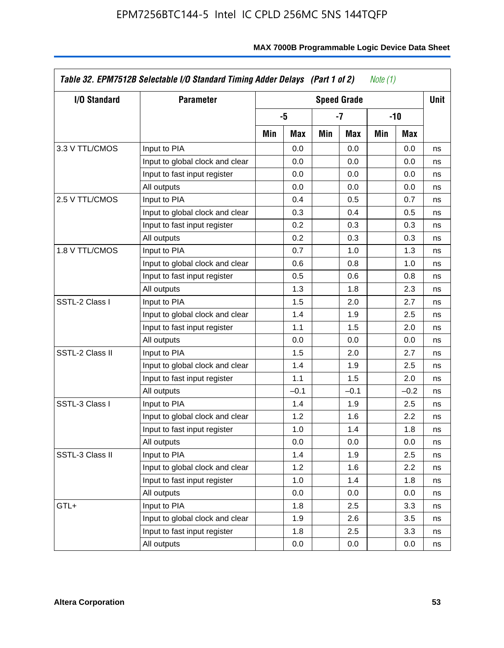| I/O Standard    | <b>Parameter</b>                | <b>Speed Grade</b> |        |     |        |     |        | <b>Unit</b> |
|-----------------|---------------------------------|--------------------|--------|-----|--------|-----|--------|-------------|
|                 |                                 |                    | -5     |     | -7     |     | -10    |             |
|                 |                                 | Min                | Max    | Min | Max    | Min | Max    |             |
| 3.3 V TTL/CMOS  | Input to PIA                    |                    | 0.0    |     | 0.0    |     | 0.0    | ns          |
|                 | Input to global clock and clear |                    | 0.0    |     | 0.0    |     | 0.0    | ns          |
|                 | Input to fast input register    |                    | 0.0    |     | 0.0    |     | 0.0    | ns          |
|                 | All outputs                     |                    | 0.0    |     | 0.0    |     | 0.0    | ns          |
| 2.5 V TTL/CMOS  | Input to PIA                    |                    | 0.4    |     | 0.5    |     | 0.7    | ns          |
|                 | Input to global clock and clear |                    | 0.3    |     | 0.4    |     | 0.5    | ns          |
|                 | Input to fast input register    |                    | 0.2    |     | 0.3    |     | 0.3    | ns          |
|                 | All outputs                     |                    | 0.2    |     | 0.3    |     | 0.3    | ns          |
| 1.8 V TTL/CMOS  | Input to PIA                    |                    | 0.7    |     | 1.0    |     | 1.3    | ns          |
|                 | Input to global clock and clear |                    | 0.6    |     | 0.8    |     | 1.0    | ns          |
|                 | Input to fast input register    |                    | 0.5    |     | 0.6    |     | 0.8    | ns          |
|                 | All outputs                     |                    | 1.3    |     | 1.8    |     | 2.3    | ns          |
| SSTL-2 Class I  | Input to PIA                    |                    | 1.5    |     | 2.0    |     | 2.7    | ns          |
|                 | Input to global clock and clear |                    | 1.4    |     | 1.9    |     | 2.5    | ns          |
|                 | Input to fast input register    |                    | 1.1    |     | 1.5    |     | 2.0    | ns          |
|                 | All outputs                     |                    | 0.0    |     | 0.0    |     | 0.0    | ns          |
| SSTL-2 Class II | Input to PIA                    |                    | 1.5    |     | 2.0    |     | 2.7    | ns          |
|                 | Input to global clock and clear |                    | 1.4    |     | 1.9    |     | 2.5    | ns          |
|                 | Input to fast input register    |                    | 1.1    |     | 1.5    |     | 2.0    | ns          |
|                 | All outputs                     |                    | $-0.1$ |     | $-0.1$ |     | $-0.2$ | ns          |
| SSTL-3 Class I  | Input to PIA                    |                    | 1.4    |     | 1.9    |     | 2.5    | ns          |
|                 | Input to global clock and clear |                    | 1.2    |     | 1.6    |     | 2.2    | ns          |
|                 | Input to fast input register    |                    | 1.0    |     | 1.4    |     | 1.8    | ns          |
|                 | All outputs                     |                    | 0.0    |     | 0.0    |     | 0.0    | ns          |
| SSTL-3 Class II | Input to PIA                    |                    | 1.4    |     | 1.9    |     | 2.5    | ns          |
|                 | Input to global clock and clear |                    | 1.2    |     | 1.6    |     | 2.2    | ns          |
|                 | Input to fast input register    |                    | 1.0    |     | 1.4    |     | 1.8    | ns          |
|                 | All outputs                     |                    | 0.0    |     | 0.0    |     | 0.0    | ns          |
| GTL+            | Input to PIA                    |                    | 1.8    |     | 2.5    |     | 3.3    | ns          |
|                 | Input to global clock and clear |                    | 1.9    |     | 2.6    |     | 3.5    | ns          |
|                 | Input to fast input register    |                    | 1.8    |     | 2.5    |     | 3.3    | ns          |
|                 | All outputs                     |                    | 0.0    |     | 0.0    |     | 0.0    | ns          |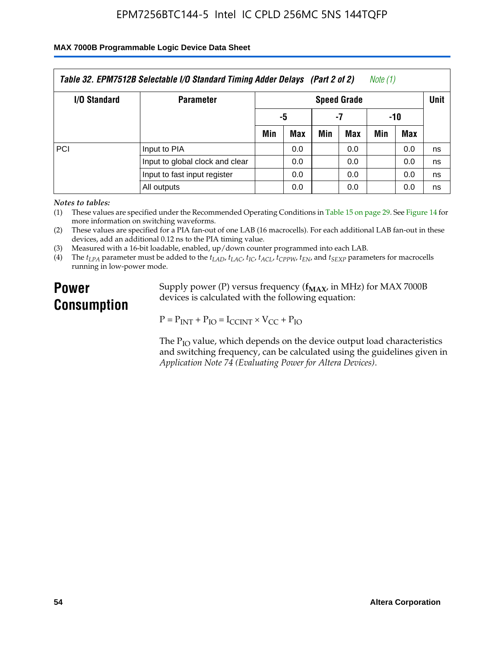#### **MAX 7000B Programmable Logic Device Data Sheet**

| Table 32. EPM7512B Selectable I/O Standard Timing Adder Delays (Part 2 of 2)<br>Note (1) |                                 |                    |     |     |     |     |     |             |  |
|------------------------------------------------------------------------------------------|---------------------------------|--------------------|-----|-----|-----|-----|-----|-------------|--|
| <b>I/O Standard</b>                                                                      | <b>Parameter</b>                | <b>Speed Grade</b> |     |     |     |     |     | <b>Unit</b> |  |
|                                                                                          |                                 | -7<br>-5           |     |     | -10 |     |     |             |  |
|                                                                                          |                                 | Min                | Max | Min | Max | Min | Max |             |  |
| PCI                                                                                      | Input to PIA                    |                    | 0.0 |     | 0.0 |     | 0.0 | ns          |  |
|                                                                                          | Input to global clock and clear |                    | 0.0 |     | 0.0 |     | 0.0 | ns          |  |
|                                                                                          | Input to fast input register    |                    | 0.0 |     | 0.0 |     | 0.0 | ns          |  |
|                                                                                          | All outputs                     |                    | 0.0 |     | 0.0 |     | 0.0 | ns          |  |

*Notes to tables:*

(1) These values are specified under the Recommended Operating Conditions in Table 15 on page 29. See Figure 14 for more information on switching waveforms.

(2) These values are specified for a PIA fan-out of one LAB (16 macrocells). For each additional LAB fan-out in these devices, add an additional 0.12 ns to the PIA timing value.

(3) Measured with a 16-bit loadable, enabled, up/down counter programmed into each LAB.

(4) The  $t_{LPA}$  parameter must be added to the  $t_{LAD}$ ,  $t_{LAC}$ ,  $t_{IC}$ ,  $t_{ACL}$ ,  $t_{CPPW}$ ,  $t_{EN}$ , and  $t_{SEXP}$  parameters for macrocells running in low-power mode.

# **Power Consumption**

Supply power (P) versus frequency ( $f_{MAX}$ , in MHz) for MAX 7000B devices is calculated with the following equation:

 $P = P_{INT} + P_{IO} = I_{CCINT} \times V_{CC} + P_{IO}$ 

The  $P_{IO}$  value, which depends on the device output load characteristics and switching frequency, can be calculated using the guidelines given in *Application Note 74 (Evaluating Power for Altera Devices)*.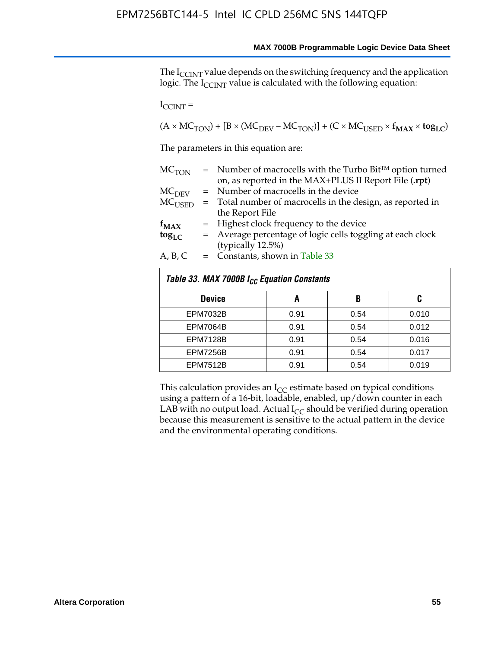The I<sub>CCINT</sub> value depends on the switching frequency and the application logic. The  $I_{\text{CCINT}}$  value is calculated with the following equation:

 $I_{\text{CCINT}} =$ 

 $(A \times MC_{TON}) + [B \times (MC_{DEV} - MC_{TON})] + (C \times MC_{USED} \times f_{MAX} \times tog_{LC})$ 

The parameters in this equation are:

| MC <sub>TON</sub> | $=$ Number of macrocells with the Turbo Bit <sup>TM</sup> option turned |
|-------------------|-------------------------------------------------------------------------|
|                   | on, as reported in the MAX+PLUS II Report File (.rpt)                   |
| MC <sub>DFV</sub> | = Number of macrocells in the device                                    |
| $MC_{LISED}$      | = Total number of macrocells in the design, as reported in              |
|                   | the Report File                                                         |
| $f_{MAX}$         | = Highest clock frequency to the device                                 |
| $tog_{LC}$        | = Average percentage of logic cells toggling at each clock              |
|                   | (typically 12.5%)                                                       |
| A, B, C           | $=$ Constants, shown in Table 33                                        |

| Table 33. MAX 7000B I <sub>CC</sub> Equation Constants |      |      |       |  |  |  |  |  |
|--------------------------------------------------------|------|------|-------|--|--|--|--|--|
| <b>Device</b>                                          | A    | B    | C     |  |  |  |  |  |
| <b>EPM7032B</b>                                        | 0.91 | 0.54 | 0.010 |  |  |  |  |  |
| <b>EPM7064B</b>                                        | 0.91 | 0.54 | 0.012 |  |  |  |  |  |
| <b>EPM7128B</b>                                        | 0.91 | 0.54 | 0.016 |  |  |  |  |  |
| <b>EPM7256B</b>                                        | 0.91 | 0.54 | 0.017 |  |  |  |  |  |
| <b>EPM7512B</b>                                        | 0.91 | 0.54 | 0.019 |  |  |  |  |  |

This calculation provides an  $I_{CC}$  estimate based on typical conditions using a pattern of a 16-bit, loadable, enabled, up/down counter in each LAB with no output load. Actual  $I_{CC}$  should be verified during operation because this measurement is sensitive to the actual pattern in the device and the environmental operating conditions.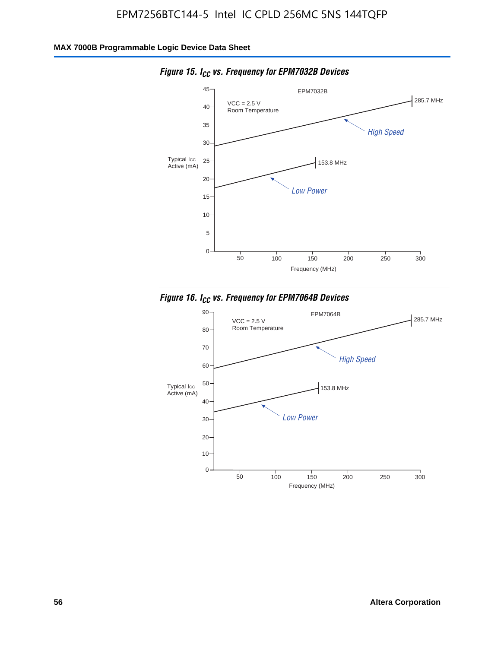

*Figure 15. ICC vs. Frequency for EPM7032B Devices*



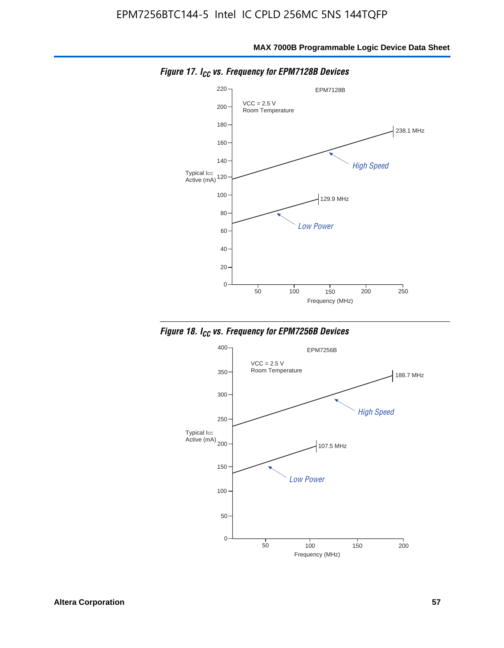

*Figure 17. ICC vs. Frequency for EPM7128B Devices*



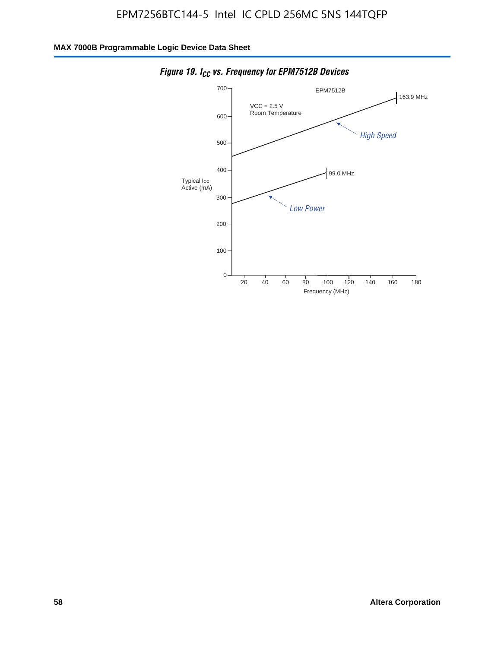

*Figure 19. I<sub>CC</sub> vs. Frequency for EPM7512B Devices*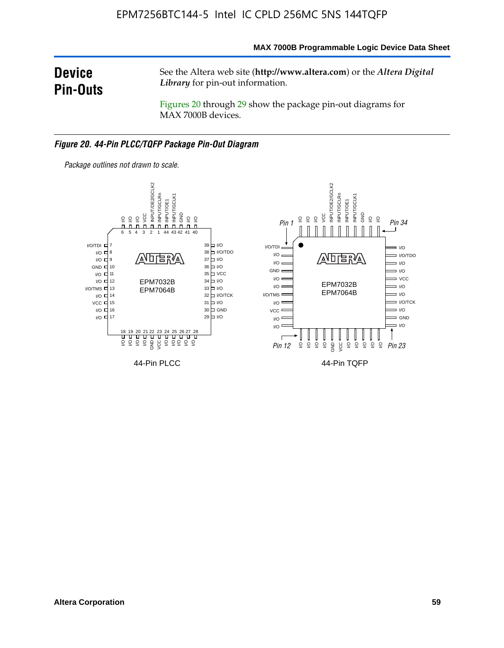**MAX 7000B Programmable Logic Device Data Sheet**

# **Device Pin-Outs**

See the Altera web site (**http://www.altera.com**) or the *Altera Digital Library* for pin-out information.

Figures 20 through 29 show the package pin-out diagrams for MAX 7000B devices.

#### *Figure 20. 44-Pin PLCC/TQFP Package Pin-Out Diagram*



*Package outlines not drawn to scale.*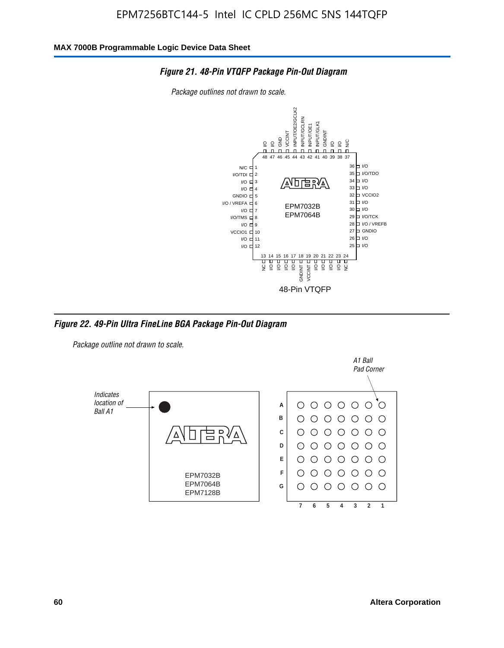

*Package outlines not drawn to scale.*



*Figure 22. 49-Pin Ultra FineLine BGA Package Pin-Out Diagram*

*Package outline not drawn to scale.*

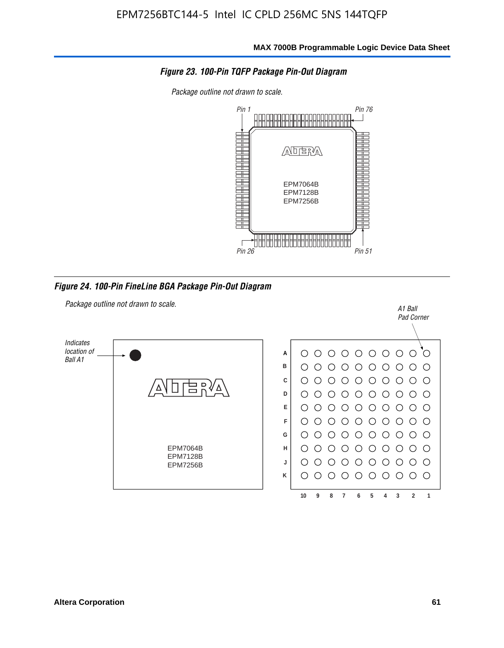

*Package outline not drawn to scale.*



*Figure 24. 100-Pin FineLine BGA Package Pin-Out Diagram*

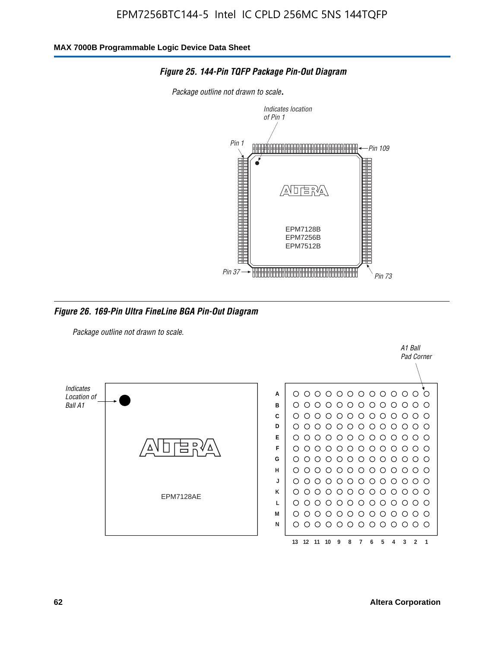

#### *Figure 25. 144-Pin TQFP Package Pin-Out Diagram*

*Package outline not drawn to scale*.

*Figure 26. 169-Pin Ultra FineLine BGA Pin-Out Diagram*

*Package outline not drawn to scale.*



A1 Ball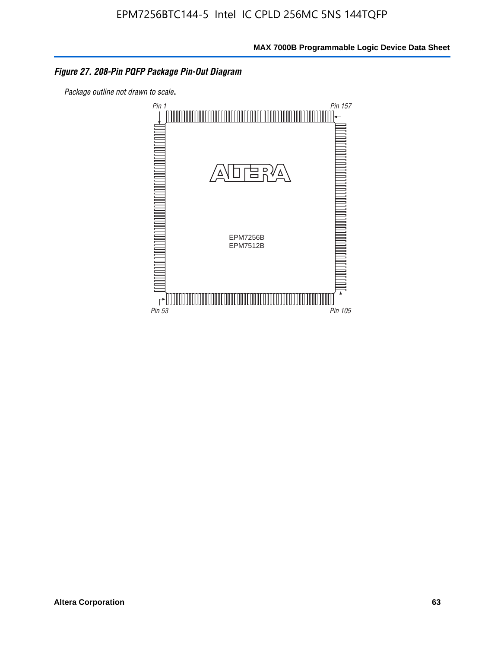#### *Figure 27. 208-Pin PQFP Package Pin-Out Diagram*

*Package outline not drawn to scale*.

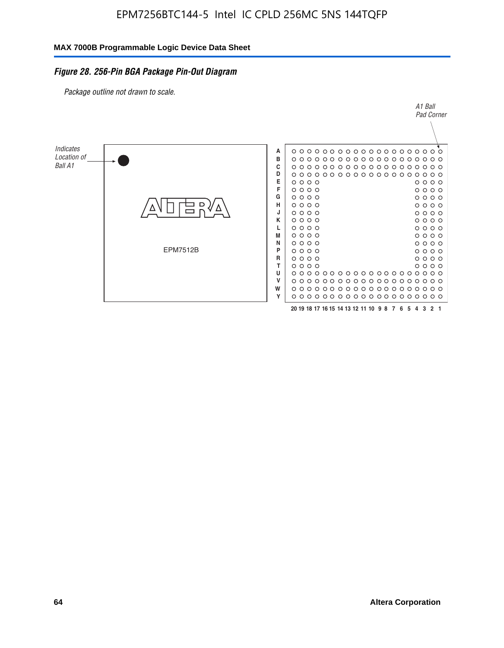#### *Figure 28. 256-Pin BGA Package Pin-Out Diagram*

*Package outline not drawn to scale.*

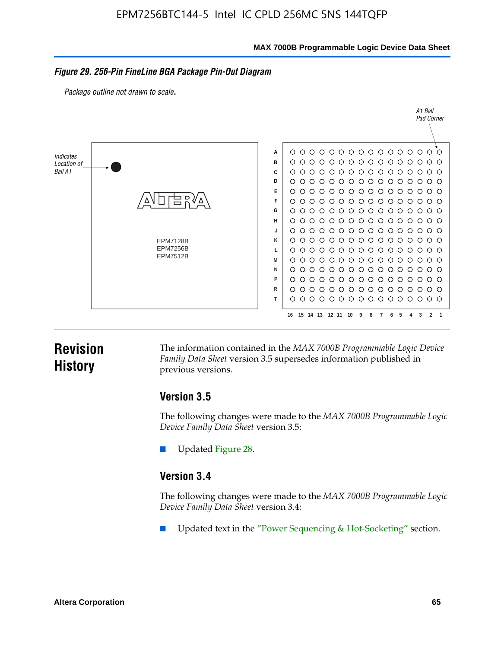**MAX 7000B Programmable Logic Device Data Sheet**

#### *Figure 29. 256-Pin FineLine BGA Package Pin-Out Diagram*

*Package outline not drawn to scale*.



# **Revision History**

The information contained in the *MAX 7000B Programmable Logic Device Family Data Sheet* version 3.5 supersedes information published in previous versions.

#### **Version 3.5**

The following changes were made to the *MAX 7000B Programmable Logic Device Family Data Sheet* version 3.5:

Updated Figure 28.

### **Version 3.4**

The following changes were made to the *MAX 7000B Programmable Logic Device Family Data Sheet* version 3.4:

Updated text in the "Power Sequencing & Hot-Socketing" section.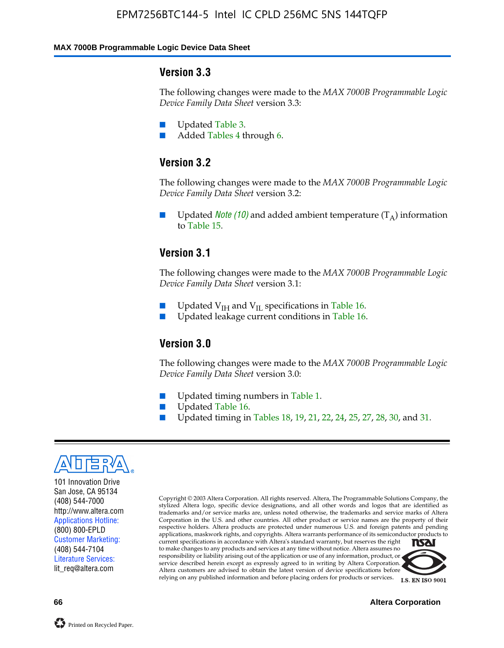#### **MAX 7000B Programmable Logic Device Data Sheet**

#### **Version 3.3**

The following changes were made to the *MAX 7000B Programmable Logic Device Family Data Sheet* version 3.3:

- Updated Table 3.
- Added Tables 4 through 6.

# **Version 3.2**

The following changes were made to the *MAX 7000B Programmable Logic Device Family Data Sheet* version 3.2:

Updated *Note* (10) and added ambient temperature  $(T_A)$  information to Table 15.

#### **Version 3.1**

The following changes were made to the *MAX 7000B Programmable Logic Device Family Data Sheet* version 3.1:

- Updated  $V_{\text{IH}}$  and  $V_{\text{II}}$  specifications in Table 16.
- Updated leakage current conditions in Table 16.

### **Version 3.0**

The following changes were made to the *MAX 7000B Programmable Logic Device Family Data Sheet* version 3.0:

- Updated timing numbers in Table 1.
- Updated Table 16.
- Updated timing in Tables 18, 19, 21, 22, 24, 25, 27, 28, 30, and 31.



101 Innovation Drive San Jose, CA 95134 (408) 544-7000 http://www.altera.com Applications Hotline: (800) 800-EPLD Customer Marketing: (408) 544-7104 Literature Services: lit\_req@altera.com

Copyright © 2003 Altera Corporation. All rights reserved. Altera, The Programmable Solutions Company, the stylized Altera logo, specific device designations, and all other words and logos that are identified as trademarks and/or service marks are, unless noted otherwise, the trademarks and service marks of Altera Corporation in the U.S. and other countries. All other product or service names are the property of their respective holders. Altera products are protected under numerous U.S. and foreign patents and pending applications, maskwork rights, and copyrights. Altera warrants performance of its semiconductor products to current specifications in accordance with Altera's standard warranty, but reserves the right **TSAI** to make changes to any products and services at any time without notice. Altera assumes no responsibility or liability arising out of the application or use of any information, product, or service described herein except as expressly agreed to in writing by Altera Corporation.

Altera customers are advised to obtain the latest version of device specifications before relying on any published information and before placing orders for products or services.